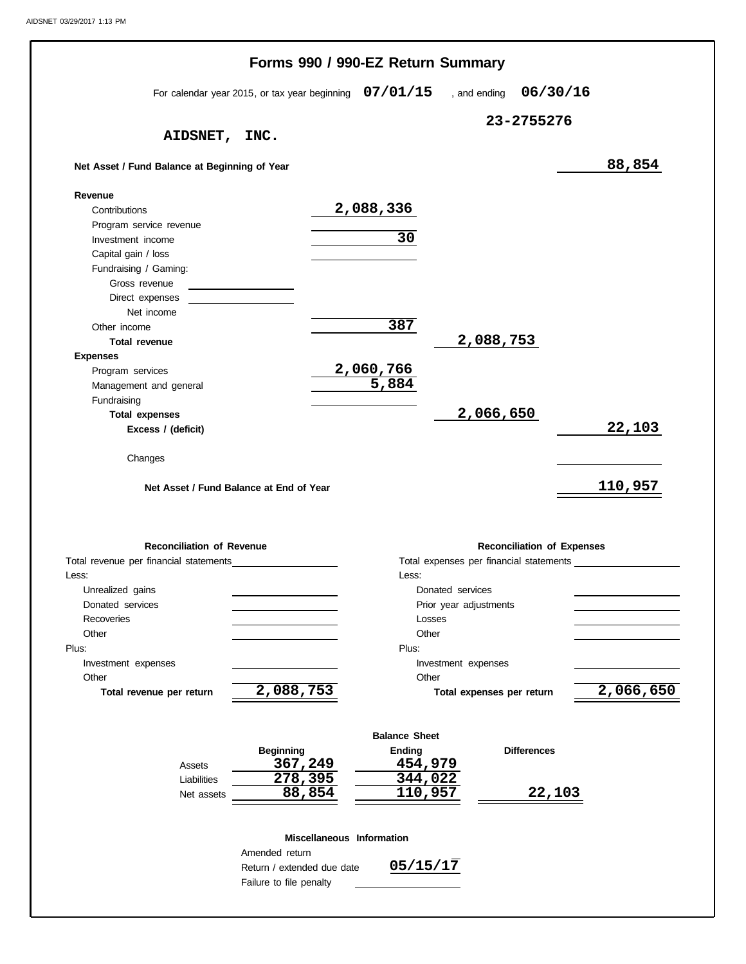|                                                          |                                                          | Forms 990 / 990-EZ Return Summary |                                   |               |
|----------------------------------------------------------|----------------------------------------------------------|-----------------------------------|-----------------------------------|---------------|
|                                                          | For calendar year 2015, or tax year beginning $07/01/15$ |                                   | , and ending $06/30/16$           |               |
|                                                          |                                                          |                                   | 23-2755276                        |               |
| <b>AIDSNET,</b>                                          | INC.                                                     |                                   |                                   |               |
| Net Asset / Fund Balance at Beginning of Year            |                                                          |                                   |                                   | 88,854        |
| Revenue                                                  |                                                          |                                   |                                   |               |
| Contributions                                            |                                                          | 2,088,336                         |                                   |               |
| Program service revenue                                  |                                                          |                                   |                                   |               |
| Investment income                                        |                                                          | 30                                |                                   |               |
| Capital gain / loss                                      |                                                          |                                   |                                   |               |
| Fundraising / Gaming:                                    |                                                          |                                   |                                   |               |
| Gross revenue                                            |                                                          |                                   |                                   |               |
| Direct expenses<br>Net income                            |                                                          |                                   |                                   |               |
| Other income                                             |                                                          | 387                               |                                   |               |
| <b>Total revenue</b>                                     |                                                          |                                   | 2,088,753                         |               |
| <b>Expenses</b>                                          |                                                          |                                   |                                   |               |
| Program services                                         |                                                          | <u>2,060,766</u>                  |                                   |               |
| Management and general                                   |                                                          | 5,884                             |                                   |               |
| Fundraising                                              |                                                          |                                   |                                   |               |
| <b>Total expenses</b>                                    |                                                          |                                   | 2,066,650                         |               |
| Excess / (deficit)                                       |                                                          |                                   |                                   | 22,103        |
| Changes                                                  | Net Asset / Fund Balance at End of Year                  |                                   |                                   | 110,957       |
|                                                          |                                                          |                                   |                                   |               |
| <b>Reconciliation of Revenue</b>                         |                                                          |                                   | <b>Reconciliation of Expenses</b> |               |
|                                                          |                                                          |                                   |                                   |               |
| Unrealized gains                                         |                                                          | Less:<br>Donated services         |                                   |               |
| Donated services                                         |                                                          |                                   | Prior year adjustments            |               |
| Recoveries                                               |                                                          | Losses                            |                                   |               |
| Other                                                    |                                                          | Other                             |                                   |               |
|                                                          |                                                          | Plus:                             |                                   |               |
| Investment expenses                                      |                                                          | Investment expenses               |                                   |               |
| Other                                                    |                                                          | Other                             |                                   |               |
| Total revenue per return                                 | 2,088,753                                                |                                   | Total expenses per return         |               |
|                                                          |                                                          | <b>Balance Sheet</b>              |                                   |               |
|                                                          | <b>Beginning</b>                                         | <b>Ending</b>                     | <b>Differences</b>                |               |
| Assets                                                   |                                                          | 454,979                           |                                   |               |
| Liabilities                                              | 367,249<br>$\overline{278,395}$                          | 344,022                           |                                   |               |
| Net assets                                               | 88,854                                                   | 110,957                           |                                   | <u>22,103</u> |
|                                                          |                                                          |                                   |                                   |               |
|                                                          | Miscellaneous Information                                |                                   |                                   |               |
| Total revenue per financial statements<br>Less:<br>Plus: | Amended return<br>Return / extended due date             | 05/15/17                          |                                   | 2,066,650     |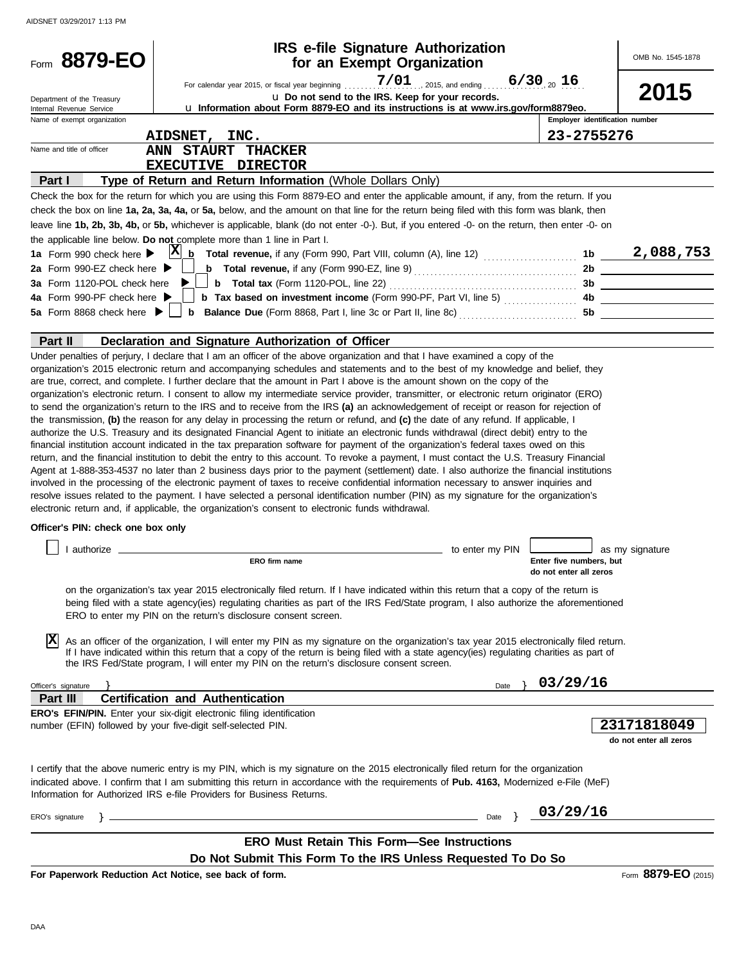| Form 8879-EO                                                                   | <b>IRS e-file Signature Authorization</b><br>for an Exempt Organization                                                                                                                                                                                                                                                                                                                                                                                                                                                                                                                                                                                                                                                                                                                                                                                                                                                                                                                                                                                                                                                                                                                                                                                                                                                                                                                 |                                    |                                                   | OMB No. 1545-1878                     |
|--------------------------------------------------------------------------------|-----------------------------------------------------------------------------------------------------------------------------------------------------------------------------------------------------------------------------------------------------------------------------------------------------------------------------------------------------------------------------------------------------------------------------------------------------------------------------------------------------------------------------------------------------------------------------------------------------------------------------------------------------------------------------------------------------------------------------------------------------------------------------------------------------------------------------------------------------------------------------------------------------------------------------------------------------------------------------------------------------------------------------------------------------------------------------------------------------------------------------------------------------------------------------------------------------------------------------------------------------------------------------------------------------------------------------------------------------------------------------------------|------------------------------------|---------------------------------------------------|---------------------------------------|
| Department of the Treasury<br>Internal Revenue Service                         | For calendar year 2015, or fiscal year beginning<br>u Do not send to the IRS. Keep for your records.<br>La Information about Form 8879-EO and its instructions is at www.irs.gov/form8879eo.                                                                                                                                                                                                                                                                                                                                                                                                                                                                                                                                                                                                                                                                                                                                                                                                                                                                                                                                                                                                                                                                                                                                                                                            | $7/01$ 2015, and ending 6/30 20 16 |                                                   | 2015                                  |
| Name of exempt organization                                                    |                                                                                                                                                                                                                                                                                                                                                                                                                                                                                                                                                                                                                                                                                                                                                                                                                                                                                                                                                                                                                                                                                                                                                                                                                                                                                                                                                                                         |                                    | Employer identification number                    |                                       |
|                                                                                | AIDSNET, INC.                                                                                                                                                                                                                                                                                                                                                                                                                                                                                                                                                                                                                                                                                                                                                                                                                                                                                                                                                                                                                                                                                                                                                                                                                                                                                                                                                                           |                                    | 23-2755276                                        |                                       |
| Name and title of officer                                                      | ANN STAURT THACKER                                                                                                                                                                                                                                                                                                                                                                                                                                                                                                                                                                                                                                                                                                                                                                                                                                                                                                                                                                                                                                                                                                                                                                                                                                                                                                                                                                      |                                    |                                                   |                                       |
| Part I                                                                         | EXECUTIVE DIRECTOR<br>Type of Return and Return Information (Whole Dollars Only)                                                                                                                                                                                                                                                                                                                                                                                                                                                                                                                                                                                                                                                                                                                                                                                                                                                                                                                                                                                                                                                                                                                                                                                                                                                                                                        |                                    |                                                   |                                       |
|                                                                                | Check the box for the return for which you are using this Form 8879-EO and enter the applicable amount, if any, from the return. If you                                                                                                                                                                                                                                                                                                                                                                                                                                                                                                                                                                                                                                                                                                                                                                                                                                                                                                                                                                                                                                                                                                                                                                                                                                                 |                                    |                                                   |                                       |
|                                                                                | check the box on line 1a, 2a, 3a, 4a, or 5a, below, and the amount on that line for the return being filed with this form was blank, then                                                                                                                                                                                                                                                                                                                                                                                                                                                                                                                                                                                                                                                                                                                                                                                                                                                                                                                                                                                                                                                                                                                                                                                                                                               |                                    |                                                   |                                       |
|                                                                                | leave line 1b, 2b, 3b, 4b, or 5b, whichever is applicable, blank (do not enter -0-). But, if you entered -0- on the return, then enter -0- on                                                                                                                                                                                                                                                                                                                                                                                                                                                                                                                                                                                                                                                                                                                                                                                                                                                                                                                                                                                                                                                                                                                                                                                                                                           |                                    |                                                   |                                       |
|                                                                                | the applicable line below. Do not complete more than 1 line in Part I.                                                                                                                                                                                                                                                                                                                                                                                                                                                                                                                                                                                                                                                                                                                                                                                                                                                                                                                                                                                                                                                                                                                                                                                                                                                                                                                  |                                    |                                                   |                                       |
| 1a Form 990 check here $\blacktriangleright$                                   | $ {\bf X} $<br>$\mathbf b$                                                                                                                                                                                                                                                                                                                                                                                                                                                                                                                                                                                                                                                                                                                                                                                                                                                                                                                                                                                                                                                                                                                                                                                                                                                                                                                                                              |                                    |                                                   |                                       |
| 2a Form 990-EZ check here $\blacktriangleright$<br>3a Form 1120-POL check here | <b>b</b> Total revenue, if any (Form 990-EZ, line 9) $\ldots$ $\ldots$ $\ldots$ $\ldots$ $\ldots$ $\ldots$                                                                                                                                                                                                                                                                                                                                                                                                                                                                                                                                                                                                                                                                                                                                                                                                                                                                                                                                                                                                                                                                                                                                                                                                                                                                              |                                    | 2 <sub>b</sub>                                    |                                       |
| 4a Form 990-PF check here ▶                                                    | b Tax based on investment income (Form 990-PF, Part VI, line 5)  4b                                                                                                                                                                                                                                                                                                                                                                                                                                                                                                                                                                                                                                                                                                                                                                                                                                                                                                                                                                                                                                                                                                                                                                                                                                                                                                                     |                                    |                                                   | 3b                                    |
| 5a Form 8868 check here $\blacktriangleright$                                  |                                                                                                                                                                                                                                                                                                                                                                                                                                                                                                                                                                                                                                                                                                                                                                                                                                                                                                                                                                                                                                                                                                                                                                                                                                                                                                                                                                                         |                                    |                                                   |                                       |
|                                                                                |                                                                                                                                                                                                                                                                                                                                                                                                                                                                                                                                                                                                                                                                                                                                                                                                                                                                                                                                                                                                                                                                                                                                                                                                                                                                                                                                                                                         |                                    |                                                   |                                       |
| Part II                                                                        | Declaration and Signature Authorization of Officer                                                                                                                                                                                                                                                                                                                                                                                                                                                                                                                                                                                                                                                                                                                                                                                                                                                                                                                                                                                                                                                                                                                                                                                                                                                                                                                                      |                                    |                                                   |                                       |
|                                                                                | organization's electronic return. I consent to allow my intermediate service provider, transmitter, or electronic return originator (ERO)<br>to send the organization's return to the IRS and to receive from the IRS (a) an acknowledgement of receipt or reason for rejection of<br>the transmission, (b) the reason for any delay in processing the return or refund, and (c) the date of any refund. If applicable, I<br>authorize the U.S. Treasury and its designated Financial Agent to initiate an electronic funds withdrawal (direct debit) entry to the<br>financial institution account indicated in the tax preparation software for payment of the organization's federal taxes owed on this<br>return, and the financial institution to debit the entry to this account. To revoke a payment, I must contact the U.S. Treasury Financial<br>Agent at 1-888-353-4537 no later than 2 business days prior to the payment (settlement) date. I also authorize the financial institutions<br>involved in the processing of the electronic payment of taxes to receive confidential information necessary to answer inquiries and<br>resolve issues related to the payment. I have selected a personal identification number (PIN) as my signature for the organization's<br>electronic return and, if applicable, the organization's consent to electronic funds withdrawal. |                                    |                                                   |                                       |
| Officer's PIN: check one box only                                              |                                                                                                                                                                                                                                                                                                                                                                                                                                                                                                                                                                                                                                                                                                                                                                                                                                                                                                                                                                                                                                                                                                                                                                                                                                                                                                                                                                                         |                                    |                                                   |                                       |
|                                                                                |                                                                                                                                                                                                                                                                                                                                                                                                                                                                                                                                                                                                                                                                                                                                                                                                                                                                                                                                                                                                                                                                                                                                                                                                                                                                                                                                                                                         | to enter my PIN                    |                                                   | as my signature                       |
|                                                                                | ERO firm name                                                                                                                                                                                                                                                                                                                                                                                                                                                                                                                                                                                                                                                                                                                                                                                                                                                                                                                                                                                                                                                                                                                                                                                                                                                                                                                                                                           |                                    | Enter five numbers, but<br>do not enter all zeros |                                       |
| ΙX                                                                             | on the organization's tax year 2015 electronically filed return. If I have indicated within this return that a copy of the return is<br>being filed with a state agency(ies) regulating charities as part of the IRS Fed/State program, I also authorize the aforementioned<br>ERO to enter my PIN on the return's disclosure consent screen.<br>As an officer of the organization, I will enter my PIN as my signature on the organization's tax year 2015 electronically filed return.<br>If I have indicated within this return that a copy of the return is being filed with a state agency(ies) regulating charities as part of<br>the IRS Fed/State program, I will enter my PIN on the return's disclosure consent screen.                                                                                                                                                                                                                                                                                                                                                                                                                                                                                                                                                                                                                                                       |                                    |                                                   |                                       |
|                                                                                |                                                                                                                                                                                                                                                                                                                                                                                                                                                                                                                                                                                                                                                                                                                                                                                                                                                                                                                                                                                                                                                                                                                                                                                                                                                                                                                                                                                         |                                    |                                                   |                                       |
| Officer's signature<br>Part III                                                | <b>Certification and Authentication</b>                                                                                                                                                                                                                                                                                                                                                                                                                                                                                                                                                                                                                                                                                                                                                                                                                                                                                                                                                                                                                                                                                                                                                                                                                                                                                                                                                 | Date                               | 03/29/16                                          |                                       |
|                                                                                | ERO's EFIN/PIN. Enter your six-digit electronic filing identification                                                                                                                                                                                                                                                                                                                                                                                                                                                                                                                                                                                                                                                                                                                                                                                                                                                                                                                                                                                                                                                                                                                                                                                                                                                                                                                   |                                    |                                                   |                                       |
|                                                                                | number (EFIN) followed by your five-digit self-selected PIN.                                                                                                                                                                                                                                                                                                                                                                                                                                                                                                                                                                                                                                                                                                                                                                                                                                                                                                                                                                                                                                                                                                                                                                                                                                                                                                                            |                                    |                                                   | 23171818049<br>do not enter all zeros |
|                                                                                | I certify that the above numeric entry is my PIN, which is my signature on the 2015 electronically filed return for the organization<br>indicated above. I confirm that I am submitting this return in accordance with the requirements of Pub. 4163, Modernized e-File (MeF)<br>Information for Authorized IRS e-file Providers for Business Returns.                                                                                                                                                                                                                                                                                                                                                                                                                                                                                                                                                                                                                                                                                                                                                                                                                                                                                                                                                                                                                                  |                                    |                                                   |                                       |
| ERO's signature                                                                |                                                                                                                                                                                                                                                                                                                                                                                                                                                                                                                                                                                                                                                                                                                                                                                                                                                                                                                                                                                                                                                                                                                                                                                                                                                                                                                                                                                         | Date                               | 03/29/16                                          |                                       |
|                                                                                |                                                                                                                                                                                                                                                                                                                                                                                                                                                                                                                                                                                                                                                                                                                                                                                                                                                                                                                                                                                                                                                                                                                                                                                                                                                                                                                                                                                         |                                    |                                                   |                                       |
|                                                                                | <b>ERO Must Retain This Form-See Instructions</b>                                                                                                                                                                                                                                                                                                                                                                                                                                                                                                                                                                                                                                                                                                                                                                                                                                                                                                                                                                                                                                                                                                                                                                                                                                                                                                                                       |                                    |                                                   |                                       |
|                                                                                | Do Not Submit This Form To the IRS Unless Requested To Do So<br>For Paperwork Reduction Act Notice, see back of form.                                                                                                                                                                                                                                                                                                                                                                                                                                                                                                                                                                                                                                                                                                                                                                                                                                                                                                                                                                                                                                                                                                                                                                                                                                                                   |                                    |                                                   | Form 8879-EO (2015)                   |
|                                                                                |                                                                                                                                                                                                                                                                                                                                                                                                                                                                                                                                                                                                                                                                                                                                                                                                                                                                                                                                                                                                                                                                                                                                                                                                                                                                                                                                                                                         |                                    |                                                   |                                       |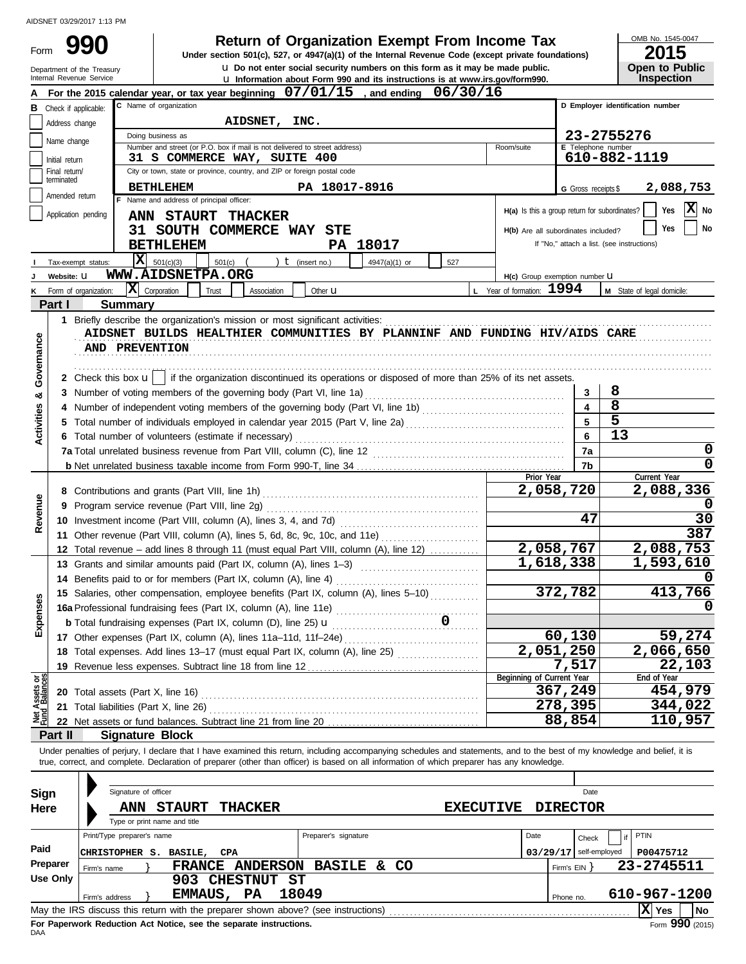Form 990

**990 1 2015 2006 2015 Depend Blue Organization Exempt From Income Tax 2015** 

OMB No. 1545-0047

| ---                   |  |
|-----------------------|--|
| <b>Open to Public</b> |  |
|                       |  |
| <b>Inspection</b>     |  |

| Department of the Treasury<br>Internal Revenue Service | Open to Public<br><b>Inspection</b> |                                                                                                                                                                            |                                     |                              |                                                                             |  |
|--------------------------------------------------------|-------------------------------------|----------------------------------------------------------------------------------------------------------------------------------------------------------------------------|-------------------------------------|------------------------------|-----------------------------------------------------------------------------|--|
|                                                        |                                     | u Information about Form 990 and its instructions is at www.irs.gov/form990.<br>For the 2015 calendar year, or tax year beginning 07/01/15<br>06/30/16<br>and ending       |                                     |                              |                                                                             |  |
|                                                        | <b>B</b> Check if applicable:       | C Name of organization                                                                                                                                                     |                                     |                              | D Employer identification number                                            |  |
|                                                        | Address change                      | AIDSNET,<br>INC.                                                                                                                                                           |                                     |                              |                                                                             |  |
|                                                        | Name change                         | Doing business as                                                                                                                                                          |                                     |                              | 23-2755276                                                                  |  |
|                                                        |                                     | Number and street (or P.O. box if mail is not delivered to street address)<br>Room/suite<br>31 S COMMERCE WAY, SUITE 400                                                   |                                     | E Telephone number           | 610-882-1119                                                                |  |
|                                                        | Initial return<br>Final return/     | City or town, state or province, country, and ZIP or foreign postal code                                                                                                   |                                     |                              |                                                                             |  |
|                                                        | terminated                          | <b>BETHLEHEM</b><br>PA 18017-8916                                                                                                                                          |                                     |                              |                                                                             |  |
|                                                        | Amended return                      | F Name and address of principal officer:                                                                                                                                   |                                     | G Gross receipts \$          | 2,088,753                                                                   |  |
|                                                        | Application pending                 | ANN STAURT THACKER                                                                                                                                                         |                                     |                              | $ \mathbf{X} $ No<br>$H(a)$ is this a group return for subordinates?<br>Yes |  |
|                                                        |                                     | 31 SOUTH COMMERCE WAY<br>STE                                                                                                                                               | H(b) Are all subordinates included? |                              | Yes<br>No                                                                   |  |
|                                                        |                                     | <b>BETHLEHEM</b><br><b>PA 18017</b>                                                                                                                                        |                                     |                              | If "No," attach a list. (see instructions)                                  |  |
|                                                        |                                     | Iх                                                                                                                                                                         |                                     |                              |                                                                             |  |
|                                                        | Tax-exempt status:                  | 501(c)(3)<br>$501(c)$ (<br>) $t$ (insert no.)<br>4947(a)(1) or<br>527<br>WWW.AIDSNETPA.ORG                                                                                 |                                     |                              |                                                                             |  |
|                                                        | Website: U                          |                                                                                                                                                                            | H(c) Group exemption number U       |                              |                                                                             |  |
| κ                                                      | Form of organization:               | $ \mathbf{X} $ Corporation<br>L Year of formation: 1994<br>Trust<br>Association<br>Other <b>u</b>                                                                          |                                     |                              | M State of legal domicile:                                                  |  |
|                                                        | Part I                              | Summary                                                                                                                                                                    |                                     |                              |                                                                             |  |
|                                                        |                                     | AIDSNET BUILDS HEALTHIER COMMUNITIES BY PLANNINF AND FUNDING HIV/AIDS CARE                                                                                                 |                                     |                              |                                                                             |  |
|                                                        |                                     |                                                                                                                                                                            |                                     |                              |                                                                             |  |
|                                                        |                                     | AND PREVENTION                                                                                                                                                             |                                     |                              |                                                                             |  |
| Governance                                             |                                     |                                                                                                                                                                            |                                     |                              |                                                                             |  |
|                                                        |                                     | 2 Check this box $\mathbf{u}$ if the organization discontinued its operations or disposed of more than 25% of its net assets.                                              |                                     |                              |                                                                             |  |
| ఱ                                                      |                                     |                                                                                                                                                                            |                                     | 3                            | 8<br>8                                                                      |  |
| <b>Activities</b>                                      |                                     |                                                                                                                                                                            |                                     | $\overline{\mathbf{4}}$<br>5 | $\overline{5}$                                                              |  |
|                                                        | 5                                   | Total number of individuals employed in calendar year 2015 (Part V, line 2a) [[[[[[[[[[[[[[[[[[[[[[[[[[[[[[[[                                                              |                                     |                              | 13                                                                          |  |
|                                                        |                                     | 6 Total number of volunteers (estimate if necessary)                                                                                                                       |                                     | 6                            |                                                                             |  |
|                                                        |                                     |                                                                                                                                                                            |                                     | 7a                           | 0<br>0                                                                      |  |
|                                                        |                                     |                                                                                                                                                                            | Prior Year                          | 7b                           | Current Year                                                                |  |
|                                                        | 8                                   |                                                                                                                                                                            | 2,058,720                           |                              | 2,088,336                                                                   |  |
|                                                        | 9                                   | Program service revenue (Part VIII, line 2g)                                                                                                                               |                                     |                              |                                                                             |  |
| Revenue                                                |                                     | 10 Investment income (Part VIII, column (A), lines 3, 4, and 7d)                                                                                                           |                                     | 47                           | 30                                                                          |  |
|                                                        |                                     | 11 Other revenue (Part VIII, column (A), lines 5, 6d, 8c, 9c, 10c, and 11e)                                                                                                |                                     |                              | 387                                                                         |  |
|                                                        |                                     | 12 Total revenue – add lines 8 through 11 (must equal Part VIII, column (A), line 12)                                                                                      | 2,058,767                           |                              | 2,088,753                                                                   |  |
|                                                        |                                     | 13 Grants and similar amounts paid (Part IX, column (A), lines 1-3)                                                                                                        | $\overline{1,618,338}$              |                              | 1,593,610                                                                   |  |
|                                                        |                                     | 14 Benefits paid to or for members (Part IX, column (A), line 4)                                                                                                           |                                     |                              |                                                                             |  |
|                                                        |                                     | 15 Salaries, other compensation, employee benefits (Part IX, column (A), lines 5-10)                                                                                       | 372,782                             |                              | 413,766                                                                     |  |
| Ses                                                    |                                     | 16a Professional fundraising fees (Part IX, column (A), line 11e)                                                                                                          |                                     |                              |                                                                             |  |
| Expens                                                 |                                     | <b>b</b> Total fundraising expenses (Part IX, column $(D)$ , line 25) $U$                                                                                                  |                                     |                              |                                                                             |  |
|                                                        |                                     | the contract of the contract of the<br>17 Other expenses (Part IX, column (A), lines 11a-11d, 11f-24e)                                                                     | 60,130                              |                              | 59,274                                                                      |  |
|                                                        |                                     | 18 Total expenses. Add lines 13-17 (must equal Part IX, column (A), line 25)                                                                                               | $\overline{2,051,250}$              |                              | 2,066,650                                                                   |  |
|                                                        |                                     | 19 Revenue less expenses. Subtract line 18 from line 12                                                                                                                    |                                     | 7,517                        | 22,103                                                                      |  |
|                                                        |                                     | Beginning of Current Year                                                                                                                                                  |                                     |                              | End of Year                                                                 |  |
| Net Assets or<br>Fund Balances                         |                                     | 20 Total assets (Part X, line 16)                                                                                                                                          | 367,249                             |                              | 454,979                                                                     |  |
|                                                        |                                     | 21 Total liabilities (Part X, line 26) Mathematical and Contact Total liabilities (Part X, line 26)                                                                        | 278,395                             |                              | 344,022                                                                     |  |
|                                                        |                                     |                                                                                                                                                                            | 88,854                              |                              | 110,957                                                                     |  |
|                                                        | Part II                             | <b>Signature Block</b>                                                                                                                                                     |                                     |                              |                                                                             |  |
|                                                        |                                     | Under penalties of perjury, I declare that I have examined this return, including accompanying schedules and statements, and to the best of my knowledge and belief, it is |                                     |                              |                                                                             |  |
|                                                        |                                     | true, correct, and complete. Declaration of preparer (other than officer) is based on all information of which preparer has any knowledge.                                 |                                     |                              |                                                                             |  |
|                                                        |                                     |                                                                                                                                                                            |                                     |                              |                                                                             |  |
| Sign                                                   |                                     | Signature of officer                                                                                                                                                       |                                     | Date                         |                                                                             |  |
| Here                                                   |                                     | <b>ANN STAURT</b><br><b>THACKER</b><br><b>EXECUTIVE</b>                                                                                                                    | <b>DIRECTOR</b>                     |                              |                                                                             |  |
|                                                        |                                     | Type or print name and title                                                                                                                                               |                                     |                              |                                                                             |  |
|                                                        |                                     | Preparer's signature<br>Print/Type preparer's name<br>Date                                                                                                                 |                                     | Check                        | <b>PTIN</b>                                                                 |  |
| Paid                                                   |                                     | CHRISTOPHER S. BASILE,<br><b>CPA</b>                                                                                                                                       | $03/29/17$ self-employed            |                              | P00475712                                                                   |  |
|                                                        | Preparer<br>Firm's name             | FRANCE ANDERSON BASILE & CO                                                                                                                                                | Firm's EIN }                        |                              | 23-2745511                                                                  |  |
|                                                        | <b>Use Only</b>                     | 903 CHESTNUT ST                                                                                                                                                            |                                     |                              |                                                                             |  |
|                                                        | Firm's address                      | EMMAUS, PA<br>18049                                                                                                                                                        | Phone no.                           |                              | 610-967-1200                                                                |  |
|                                                        |                                     | May the IRS discuss this return with the preparer shown above? (see instructions)                                                                                          |                                     |                              | $ \mathbf{X} $ Yes<br>No l                                                  |  |

|              |             | Signature of officer       |                              |                 |                                                                                   |                  |                 | Date          |                        |
|--------------|-------------|----------------------------|------------------------------|-----------------|-----------------------------------------------------------------------------------|------------------|-----------------|---------------|------------------------|
| Sign<br>Here |             | <b>ANN</b>                 | <b>STAURT</b>                | <b>THACKER</b>  |                                                                                   | <b>EXECUTIVE</b> | <b>DIRECTOR</b> |               |                        |
|              |             |                            | Type or print name and title |                 |                                                                                   |                  |                 |               |                        |
|              |             | Print/Type preparer's name |                              |                 | Preparer's signature                                                              |                  | Date            | Check         | PTIN                   |
| Paid         |             | <b>CHRISTOPHER</b>         | <b>BASILE,</b><br>s.         | CPA             |                                                                                   |                  | 03/29/17        | self-employed | P00475712              |
| Preparer     | Firm's name |                            | <b>FRANCE</b>                | <b>ANDERSON</b> | <b>BASILE</b><br>&.                                                               | CO.              | Firm's EIN      |               | 23-2745511             |
| Use Only     |             |                            |                              | <b>CHESTNUT</b> | ST                                                                                |                  |                 |               |                        |
|              |             | Firm's address             | EMMAUS,                      | <b>PA</b>       | 18049                                                                             |                  | Phone no.       |               | 610-967-1200           |
|              |             |                            |                              |                 | May the IRS discuss this return with the preparer shown above? (see instructions) |                  |                 |               | X <br><b>No</b><br>Yes |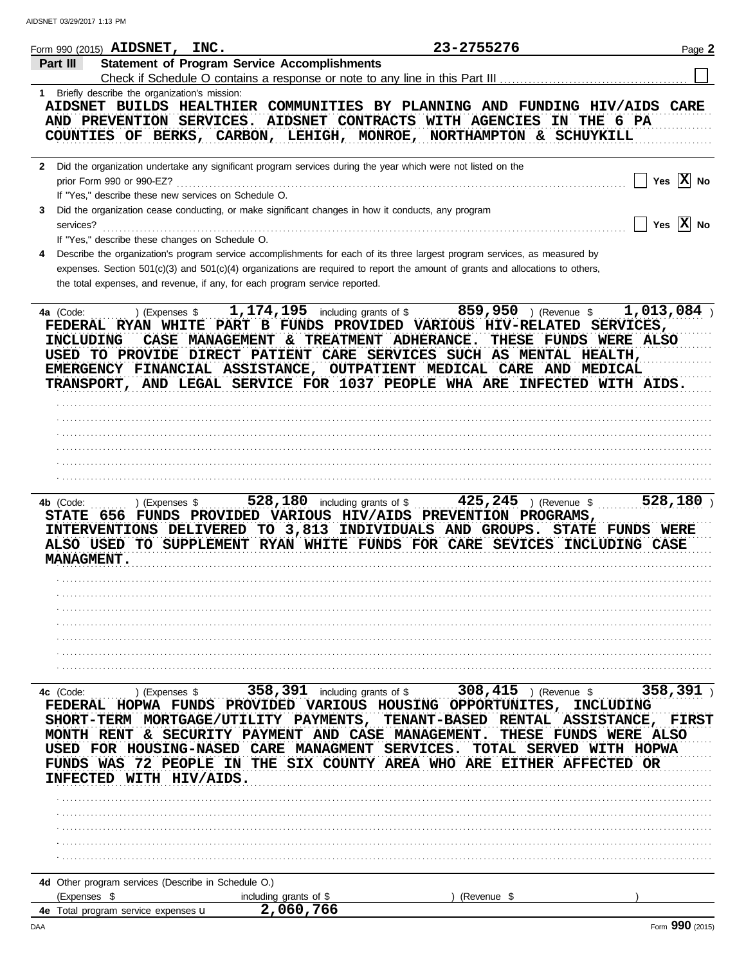|                                             | Form 990 (2015) $\text{ALDSNET}$ ,                                                | <b>INC.</b>                 |                                                                                                                                                                                                                                                                                                                                                 | 23-2755276                                              |                                                                                               | Page 2                  |
|---------------------------------------------|-----------------------------------------------------------------------------------|-----------------------------|-------------------------------------------------------------------------------------------------------------------------------------------------------------------------------------------------------------------------------------------------------------------------------------------------------------------------------------------------|---------------------------------------------------------|-----------------------------------------------------------------------------------------------|-------------------------|
| Part III                                    |                                                                                   |                             | <b>Statement of Program Service Accomplishments</b>                                                                                                                                                                                                                                                                                             |                                                         |                                                                                               |                         |
|                                             |                                                                                   |                             | Check if Schedule O contains a response or note to any line in this Part III                                                                                                                                                                                                                                                                    |                                                         |                                                                                               |                         |
|                                             | 1 Briefly describe the organization's mission:<br>AND PREVENTION SERVICES.        |                             | AIDSNET BUILDS HEALTHIER COMMUNITIES BY PLANNING AND FUNDING HIV/AIDS CARE<br>AIDSNET CONTRACTS WITH AGENCIES<br>COUNTIES OF BERKS, CARBON, LEHIGH, MONROE, NORTHAMPTON & SCHUYKILL                                                                                                                                                             |                                                         | THE 6 PA<br>IN                                                                                |                         |
|                                             | prior Form 990 or 990-EZ?<br>If "Yes," describe these new services on Schedule O. |                             | 2 Did the organization undertake any significant program services during the year which were not listed on the                                                                                                                                                                                                                                  |                                                         |                                                                                               | $ X $ No<br>Yes         |
| 3<br>services?                              | If "Yes," describe these changes on Schedule O.                                   |                             | Did the organization cease conducting, or make significant changes in how it conducts, any program                                                                                                                                                                                                                                              |                                                         |                                                                                               | Yes $ \mathbf{X} $ No   |
|                                             |                                                                                   |                             | Describe the organization's program service accomplishments for each of its three largest program services, as measured by<br>expenses. Section $501(c)(3)$ and $501(c)(4)$ organizations are required to report the amount of grants and allocations to others,<br>the total expenses, and revenue, if any, for each program service reported. |                                                         |                                                                                               |                         |
| 4a (Code:<br>INCLUDING                      | ) (Expenses \$                                                                    | <b>CASE MANAGEMENT</b>      | 1, 174, 195 including grants of \$<br>FEDERAL RYAN WHITE PART B FUNDS PROVIDED VARIOUS HIV-RELATED SERVICES,<br>& TREATMENT ADHERANCE.<br>USED TO PROVIDE DIRECT PATIENT CARE SERVICES SUCH AS MENTAL HEALTH,<br>EMERGENCY FINANCIAL ASSISTANCE, OUTPATIENT MEDICAL CARE AND MEDICAL                                                            |                                                         | $859,950$ ) (Revenue \$<br>THESE FUNDS WERE ALSO                                              | 1,013,084               |
|                                             |                                                                                   |                             | TRANSPORT, AND LEGAL SERVICE FOR 1037 PEOPLE WHA ARE INFECTED WITH AIDS.                                                                                                                                                                                                                                                                        |                                                         |                                                                                               |                         |
|                                             |                                                                                   |                             |                                                                                                                                                                                                                                                                                                                                                 |                                                         |                                                                                               |                         |
|                                             |                                                                                   |                             |                                                                                                                                                                                                                                                                                                                                                 |                                                         |                                                                                               |                         |
|                                             |                                                                                   |                             |                                                                                                                                                                                                                                                                                                                                                 |                                                         |                                                                                               |                         |
|                                             |                                                                                   |                             |                                                                                                                                                                                                                                                                                                                                                 |                                                         |                                                                                               |                         |
| 4b (Code:<br>STATE 656<br><b>MANAGMENT.</b> | ) (Expenses \$                                                                    |                             | 528, 180 including grants of \$<br>FUNDS PROVIDED VARIOUS HIV/AIDS PREVENTION PROGRAMS,<br>INTERVENTIONS DELIVERED TO 3,813<br>ALSO USED TO SUPPLEMENT RYAN WHITE FUNDS FOR CARE SEVICES INCLUDING CASE                                                                                                                                         | INDIVIDUALS AND GROUPS.                                 | $425, 245$ ) (Revenue \$<br><b>STATE FUNDS WERE</b>                                           | 528,180                 |
|                                             |                                                                                   |                             |                                                                                                                                                                                                                                                                                                                                                 |                                                         |                                                                                               |                         |
|                                             |                                                                                   |                             |                                                                                                                                                                                                                                                                                                                                                 |                                                         |                                                                                               |                         |
|                                             |                                                                                   |                             |                                                                                                                                                                                                                                                                                                                                                 |                                                         |                                                                                               |                         |
|                                             |                                                                                   |                             |                                                                                                                                                                                                                                                                                                                                                 |                                                         |                                                                                               |                         |
|                                             |                                                                                   |                             |                                                                                                                                                                                                                                                                                                                                                 |                                                         |                                                                                               |                         |
| 4c (Code:<br>MONTH                          | ) (Expenses \$<br>FEDERAL HOPWA FUNDS<br>RENT                                     |                             | 358, 391 including grants of \$<br>VARIOUS<br><b>PROVIDED</b><br>SHORT-TERM MORTGAGE/UTILITY PAYMENTS,<br>& SECURITY PAYMENT AND CASE MANAGEMENT                                                                                                                                                                                                | 308,415<br>HOUSING OPPORTUNITES,<br><b>TENANT-BASED</b> | ) (Revenue \$<br>INCLUDING<br><b>ASSISTANCE,</b><br>RENTAL<br>THESE<br><b>FUNDS WERE ALSO</b> | 358,391<br><b>FIRST</b> |
| USED<br><b>FUNDS</b><br><b>INFECTED</b>     | FOR HOUSING-NASED<br>WAS<br>72 PEOPLE                                             | <b>IN</b><br>WITH HIV/AIDS. | <b>CARE</b><br><b>MANAGMENT</b><br>THE SIX COUNTY AREA WHO ARE EITHER AFFECTED OR                                                                                                                                                                                                                                                               | <b>SERVICES</b><br><b>TOTAL</b>                         | <b>SERVED</b>                                                                                 | WITH HOPWA              |
|                                             |                                                                                   |                             |                                                                                                                                                                                                                                                                                                                                                 |                                                         |                                                                                               |                         |
|                                             |                                                                                   |                             |                                                                                                                                                                                                                                                                                                                                                 |                                                         |                                                                                               |                         |
|                                             |                                                                                   |                             |                                                                                                                                                                                                                                                                                                                                                 |                                                         |                                                                                               |                         |
|                                             |                                                                                   |                             |                                                                                                                                                                                                                                                                                                                                                 |                                                         |                                                                                               |                         |
|                                             |                                                                                   |                             |                                                                                                                                                                                                                                                                                                                                                 |                                                         |                                                                                               |                         |
|                                             | 4d Other program services (Describe in Schedule O.)                               |                             |                                                                                                                                                                                                                                                                                                                                                 |                                                         |                                                                                               |                         |
| (Expenses \$                                | 4e Total program service expenses u                                               |                             | including grants of \$<br>2,060,766                                                                                                                                                                                                                                                                                                             | (Revenue \$                                             |                                                                                               |                         |
|                                             |                                                                                   |                             |                                                                                                                                                                                                                                                                                                                                                 |                                                         |                                                                                               | 0 <sub>0</sub>          |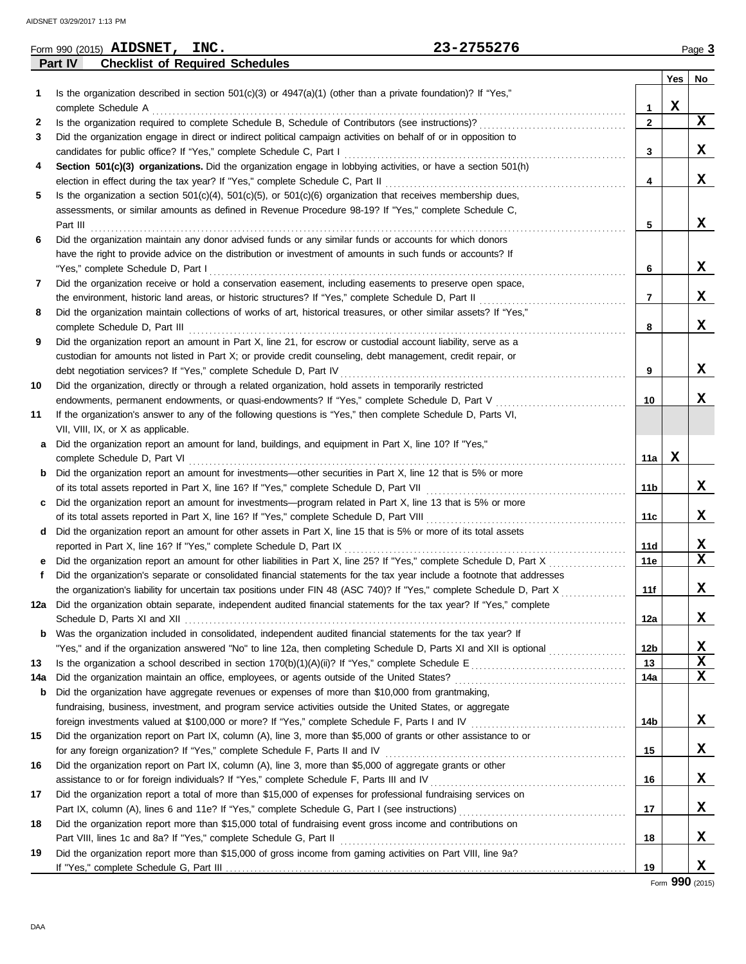|     | 23-2755276<br>Form 990 (2015) AIDSNET, INC.                                                                             |                 |     | Page 3      |
|-----|-------------------------------------------------------------------------------------------------------------------------|-----------------|-----|-------------|
|     | <b>Checklist of Required Schedules</b><br>Part IV                                                                       |                 |     |             |
|     |                                                                                                                         |                 | Yes | No          |
| 1   | Is the organization described in section 501(c)(3) or 4947(a)(1) (other than a private foundation)? If "Yes,"           |                 |     |             |
|     | complete Schedule A                                                                                                     | 1               | X   |             |
| 2   | Is the organization required to complete Schedule B, Schedule of Contributors (see instructions)?                       | $\mathbf{2}$    |     | $\mathbf x$ |
| 3   | Did the organization engage in direct or indirect political campaign activities on behalf of or in opposition to        |                 |     |             |
|     | candidates for public office? If "Yes," complete Schedule C, Part I                                                     | 3               |     | X           |
| 4   | Section 501(c)(3) organizations. Did the organization engage in lobbying activities, or have a section 501(h)           |                 |     |             |
|     | election in effect during the tax year? If "Yes," complete Schedule C, Part II                                          | 4               |     | X           |
| 5   | Is the organization a section $501(c)(4)$ , $501(c)(5)$ , or $501(c)(6)$ organization that receives membership dues,    |                 |     |             |
|     | assessments, or similar amounts as defined in Revenue Procedure 98-19? If "Yes," complete Schedule C,                   |                 |     |             |
|     | Part III                                                                                                                | 5               |     | X           |
| 6   | Did the organization maintain any donor advised funds or any similar funds or accounts for which donors                 |                 |     |             |
|     | have the right to provide advice on the distribution or investment of amounts in such funds or accounts? If             |                 |     |             |
|     | "Yes," complete Schedule D, Part I                                                                                      | 6               |     | X           |
| 7   | Did the organization receive or hold a conservation easement, including easements to preserve open space,               |                 |     |             |
|     | the environment, historic land areas, or historic structures? If "Yes," complete Schedule D, Part II                    | 7               |     | X           |
| 8   | Did the organization maintain collections of works of art, historical treasures, or other similar assets? If "Yes,"     |                 |     |             |
|     | complete Schedule D, Part III                                                                                           | 8               |     | X           |
| 9   | Did the organization report an amount in Part X, line 21, for escrow or custodial account liability, serve as a         |                 |     |             |
|     | custodian for amounts not listed in Part X; or provide credit counseling, debt management, credit repair, or            |                 |     |             |
|     | debt negotiation services? If "Yes," complete Schedule D, Part IV                                                       | 9               |     | X           |
| 10  | Did the organization, directly or through a related organization, hold assets in temporarily restricted                 |                 |     |             |
|     | endowments, permanent endowments, or quasi-endowments? If "Yes," complete Schedule D, Part V                            | 10              |     | X           |
| 11  | If the organization's answer to any of the following questions is "Yes," then complete Schedule D, Parts VI,            |                 |     |             |
|     | VII, VIII, IX, or X as applicable.                                                                                      |                 |     |             |
| а   | Did the organization report an amount for land, buildings, and equipment in Part X, line 10? If "Yes,"                  |                 |     |             |
|     | complete Schedule D, Part VI                                                                                            | 11a             | X   |             |
|     | <b>b</b> Did the organization report an amount for investments—other securities in Part X, line 12 that is 5% or more   |                 |     |             |
|     | of its total assets reported in Part X, line 16? If "Yes," complete Schedule D, Part VII                                | 11b             |     | X           |
| c   | Did the organization report an amount for investments—program related in Part X, line 13 that is 5% or more             |                 |     |             |
|     | of its total assets reported in Part X, line 16? If "Yes," complete Schedule D, Part VIII                               | 11c             |     | X           |
| d   | Did the organization report an amount for other assets in Part X, line 15 that is 5% or more of its total assets        |                 |     |             |
|     | reported in Part X, line 16? If "Yes," complete Schedule D, Part IX                                                     | 11d             |     | X           |
| е   | Did the organization report an amount for other liabilities in Part X, line 25? If "Yes," complete Schedule D, Part X   | 11e             |     | $\mathbf x$ |
|     | Did the organization's separate or consolidated financial statements for the tax year include a footnote that addresses |                 |     |             |
|     | the organization's liability for uncertain tax positions under FIN 48 (ASC 740)? If "Yes," complete Schedule D, Part X  | 11f             |     | X           |
| 12a | Did the organization obtain separate, independent audited financial statements for the tax year? If "Yes," complete     |                 |     |             |
|     |                                                                                                                         | 12a             |     | X           |
| b   | Was the organization included in consolidated, independent audited financial statements for the tax year? If            |                 |     |             |
|     | "Yes," and if the organization answered "No" to line 12a, then completing Schedule D, Parts XI and XII is optional      | 12 <sub>b</sub> |     | X           |
| 13  |                                                                                                                         | 13              |     | X           |
| 14a | Did the organization maintain an office, employees, or agents outside of the United States?                             | 14a             |     | X           |
| b   | Did the organization have aggregate revenues or expenses of more than \$10,000 from grantmaking,                        |                 |     |             |
|     | fundraising, business, investment, and program service activities outside the United States, or aggregate               |                 |     |             |
|     | foreign investments valued at \$100,000 or more? If "Yes," complete Schedule F, Parts I and IV [[[[[[[[[[[[[[[[         | 14b             |     | X           |
| 15  | Did the organization report on Part IX, column (A), line 3, more than \$5,000 of grants or other assistance to or       |                 |     |             |
|     | for any foreign organization? If "Yes," complete Schedule F, Parts II and IV                                            | 15              |     | X           |
| 16  | Did the organization report on Part IX, column (A), line 3, more than \$5,000 of aggregate grants or other              |                 |     |             |
|     |                                                                                                                         | 16              |     | X           |
| 17  | Did the organization report a total of more than \$15,000 of expenses for professional fundraising services on          |                 |     |             |
|     |                                                                                                                         | 17              |     | X           |
| 18  | Did the organization report more than \$15,000 total of fundraising event gross income and contributions on             |                 |     |             |
|     | Part VIII, lines 1c and 8a? If "Yes," complete Schedule G, Part II                                                      | 18              |     | X           |
| 19  | Did the organization report more than \$15,000 of gross income from gaming activities on Part VIII, line 9a?            |                 |     |             |
|     |                                                                                                                         | 19              |     | X           |
|     |                                                                                                                         |                 |     |             |

Form **990** (2015)

DAA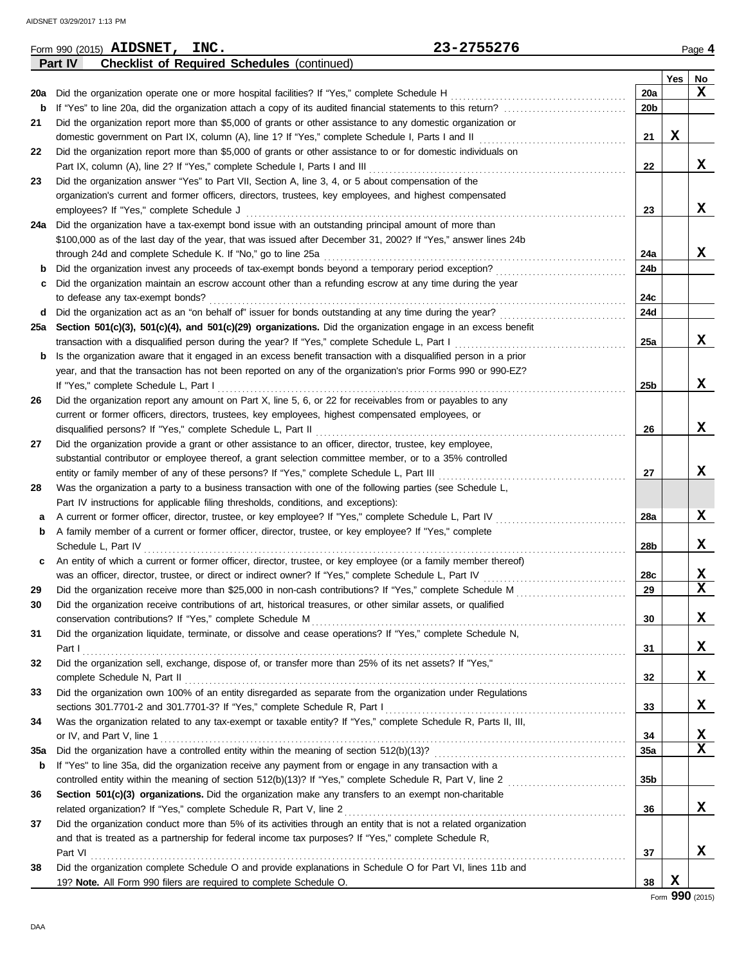|     | 23-2755276<br>Form 990 (2015) AIDSNET, INC.                                                                      |                 |             | Page 4                  |
|-----|------------------------------------------------------------------------------------------------------------------|-----------------|-------------|-------------------------|
|     | <b>Checklist of Required Schedules (continued)</b><br>Part IV                                                    |                 |             |                         |
|     |                                                                                                                  |                 | Yes         | No                      |
| 20a | Did the organization operate one or more hospital facilities? If "Yes," complete Schedule H                      | 20a             |             | X                       |
| b   |                                                                                                                  | 20 <sub>b</sub> |             |                         |
| 21  | Did the organization report more than \$5,000 of grants or other assistance to any domestic organization or      |                 |             |                         |
|     |                                                                                                                  | 21              | $\mathbf x$ |                         |
| 22  | Did the organization report more than \$5,000 of grants or other assistance to or for domestic individuals on    |                 |             |                         |
|     |                                                                                                                  | 22              |             | x                       |
| 23  | Did the organization answer "Yes" to Part VII, Section A, line 3, 4, or 5 about compensation of the              |                 |             |                         |
|     | organization's current and former officers, directors, trustees, key employees, and highest compensated          |                 |             |                         |
|     | employees? If "Yes," complete Schedule J                                                                         | 23              |             | x                       |
|     | 24a Did the organization have a tax-exempt bond issue with an outstanding principal amount of more than          |                 |             |                         |
|     | \$100,000 as of the last day of the year, that was issued after December 31, 2002? If "Yes," answer lines 24b    |                 |             |                         |
|     | through 24d and complete Schedule K. If "No," go to line 25a                                                     | 24a             |             | x                       |
| b   | Did the organization invest any proceeds of tax-exempt bonds beyond a temporary period exception?                | 24b             |             |                         |
| c   | Did the organization maintain an escrow account other than a refunding escrow at any time during the year        |                 |             |                         |
|     | to defease any tax-exempt bonds?                                                                                 | 24c             |             |                         |
| d   | Did the organization act as an "on behalf of" issuer for bonds outstanding at any time during the year?          | 24d             |             |                         |
|     | 25a Section 501(c)(3), 501(c)(4), and 501(c)(29) organizations. Did the organization engage in an excess benefit |                 |             |                         |
|     | transaction with a disqualified person during the year? If "Yes," complete Schedule L, Part I                    | 25a             |             | x                       |
| b   | Is the organization aware that it engaged in an excess benefit transaction with a disqualified person in a prior |                 |             |                         |
|     | year, and that the transaction has not been reported on any of the organization's prior Forms 990 or 990-EZ?     |                 |             |                         |
|     | If "Yes," complete Schedule L, Part I                                                                            | 25b             |             | x                       |
| 26  | Did the organization report any amount on Part X, line 5, 6, or 22 for receivables from or payables to any       |                 |             |                         |
|     | current or former officers, directors, trustees, key employees, highest compensated employees, or                |                 |             |                         |
|     |                                                                                                                  | 26              |             | x                       |
| 27  | Did the organization provide a grant or other assistance to an officer, director, trustee, key employee,         |                 |             |                         |
|     | substantial contributor or employee thereof, a grant selection committee member, or to a 35% controlled          |                 |             |                         |
|     | entity or family member of any of these persons? If "Yes," complete Schedule L, Part III                         | 27              |             | x                       |
| 28  | Was the organization a party to a business transaction with one of the following parties (see Schedule L,        |                 |             |                         |
|     | Part IV instructions for applicable filing thresholds, conditions, and exceptions):                              |                 |             |                         |
| а   | A current or former officer, director, trustee, or key employee? If "Yes," complete Schedule L, Part IV          | 28a             |             | X                       |
| b   | A family member of a current or former officer, director, trustee, or key employee? If "Yes," complete           |                 |             |                         |
|     | Schedule L, Part IV                                                                                              | 28b             |             | x                       |
| c   | An entity of which a current or former officer, director, trustee, or key employee (or a family member thereof)  |                 |             |                         |
|     |                                                                                                                  | 28c             |             | x                       |
| 29  |                                                                                                                  | 29              |             | X,                      |
| 30  | Did the organization receive contributions of art, historical treasures, or other similar assets, or qualified   |                 |             |                         |
|     | conservation contributions? If "Yes," complete Schedule M                                                        | 30              |             | X                       |
| 31  | Did the organization liquidate, terminate, or dissolve and cease operations? If "Yes," complete Schedule N,      |                 |             |                         |
|     |                                                                                                                  | 31              |             | X                       |
| 32  | Did the organization sell, exchange, dispose of, or transfer more than 25% of its net assets? If "Yes,"          |                 |             |                         |
|     |                                                                                                                  | 32              |             | X                       |
| 33  | Did the organization own 100% of an entity disregarded as separate from the organization under Regulations       |                 |             |                         |
|     |                                                                                                                  | 33              |             | X                       |
| 34  | Was the organization related to any tax-exempt or taxable entity? If "Yes," complete Schedule R, Parts II, III,  |                 |             |                         |
|     | or IV, and Part V, line 1                                                                                        | 34              |             | X                       |
| 35a |                                                                                                                  | 35a             |             | $\overline{\mathbf{x}}$ |
| b   | If "Yes" to line 35a, did the organization receive any payment from or engage in any transaction with a          |                 |             |                         |
|     |                                                                                                                  | 35 <sub>b</sub> |             |                         |
| 36  | Section 501(c)(3) organizations. Did the organization make any transfers to an exempt non-charitable             |                 |             |                         |
|     | related organization? If "Yes," complete Schedule R, Part V, line 2                                              | 36              |             | X                       |
| 37  | Did the organization conduct more than 5% of its activities through an entity that is not a related organization |                 |             |                         |
|     | and that is treated as a partnership for federal income tax purposes? If "Yes," complete Schedule R,             |                 |             |                         |
|     | Part VI                                                                                                          | 37              |             | x                       |
| 38  | Did the organization complete Schedule O and provide explanations in Schedule O for Part VI, lines 11b and       |                 |             |                         |
|     | 19? Note. All Form 990 filers are required to complete Schedule O.                                               | 38              | X           |                         |

Form **990** (2015)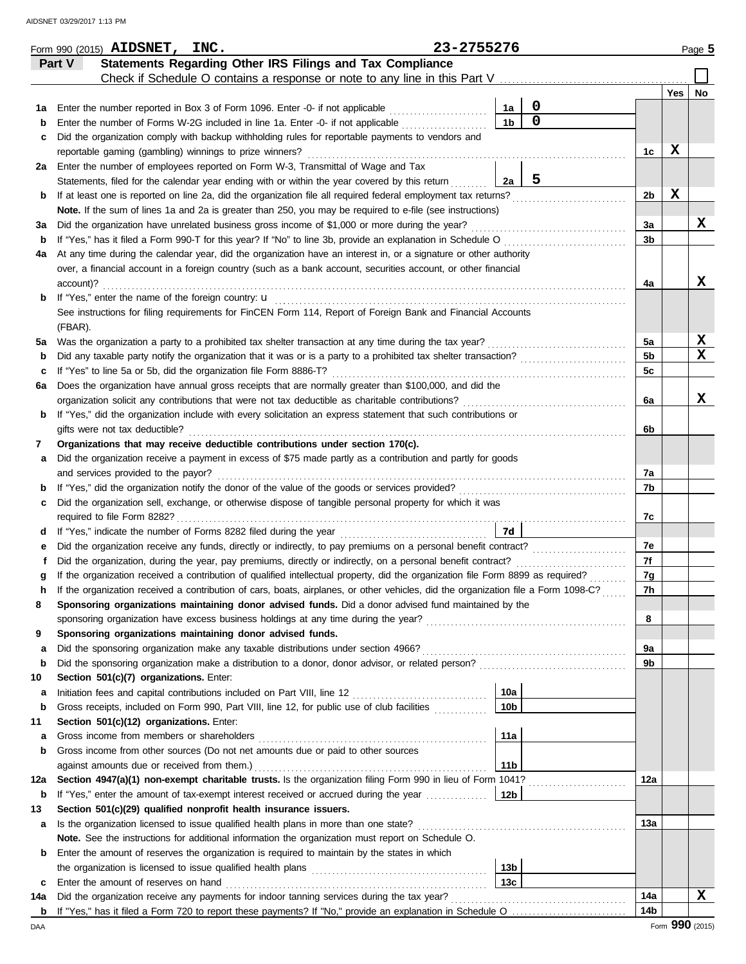|         | Form 990 (2015) AIDSNET, INC.                                                                                                                                                                                |                                                                            | 23-2755276 |                 |                  |                |     | Page 5 |
|---------|--------------------------------------------------------------------------------------------------------------------------------------------------------------------------------------------------------------|----------------------------------------------------------------------------|------------|-----------------|------------------|----------------|-----|--------|
|         | Part V                                                                                                                                                                                                       | Statements Regarding Other IRS Filings and Tax Compliance                  |            |                 |                  |                |     |        |
|         |                                                                                                                                                                                                              | Check if Schedule O contains a response or note to any line in this Part V |            |                 |                  |                |     |        |
|         |                                                                                                                                                                                                              |                                                                            |            |                 |                  |                | Yes | No     |
| 1а      | Enter the number reported in Box 3 of Form 1096. Enter -0- if not applicable                                                                                                                                 |                                                                            |            | 1a              | $\boldsymbol{0}$ |                |     |        |
| b       | Enter the number of Forms W-2G included in line 1a. Enter -0- if not applicable                                                                                                                              |                                                                            |            | 1 <sub>b</sub>  | $\overline{0}$   |                |     |        |
| с       | Did the organization comply with backup withholding rules for reportable payments to vendors and                                                                                                             |                                                                            |            |                 |                  |                |     |        |
|         | reportable gaming (gambling) winnings to prize winners?                                                                                                                                                      |                                                                            |            |                 |                  | 1c             | X   |        |
| 2a      | Enter the number of employees reported on Form W-3, Transmittal of Wage and Tax                                                                                                                              |                                                                            |            |                 |                  |                |     |        |
|         | Statements, filed for the calendar year ending with or within the year covered by this return                                                                                                                |                                                                            |            | 2a              | 5                |                |     |        |
| b       | If at least one is reported on line 2a, did the organization file all required federal employment tax returns?                                                                                               |                                                                            |            |                 |                  | 2b             | X   |        |
|         | Note. If the sum of lines 1a and 2a is greater than 250, you may be required to e-file (see instructions)                                                                                                    |                                                                            |            |                 |                  |                |     | х      |
| За      | Did the organization have unrelated business gross income of \$1,000 or more during the year?<br>If "Yes," has it filed a Form 990-T for this year? If "No" to line 3b, provide an explanation in Schedule O |                                                                            |            |                 |                  | За<br>3b       |     |        |
| b<br>4a | At any time during the calendar year, did the organization have an interest in, or a signature or other authority                                                                                            |                                                                            |            |                 |                  |                |     |        |
|         | over, a financial account in a foreign country (such as a bank account, securities account, or other financial                                                                                               |                                                                            |            |                 |                  |                |     |        |
|         | account)?                                                                                                                                                                                                    |                                                                            |            |                 |                  | 4a             |     | x      |
| b       | If "Yes," enter the name of the foreign country: u                                                                                                                                                           |                                                                            |            |                 |                  |                |     |        |
|         | See instructions for filing requirements for FinCEN Form 114, Report of Foreign Bank and Financial Accounts                                                                                                  |                                                                            |            |                 |                  |                |     |        |
|         | (FBAR).                                                                                                                                                                                                      |                                                                            |            |                 |                  |                |     |        |
| 5a      | Was the organization a party to a prohibited tax shelter transaction at any time during the tax year?                                                                                                        |                                                                            |            |                 |                  | 5a             |     | X      |
| b       | Did any taxable party notify the organization that it was or is a party to a prohibited tax shelter transaction?                                                                                             |                                                                            |            |                 |                  | 5 <sub>b</sub> |     | x      |
| c       | If "Yes" to line 5a or 5b, did the organization file Form 8886-T?                                                                                                                                            |                                                                            |            |                 |                  | 5 <sub>c</sub> |     |        |
| 6а      | Does the organization have annual gross receipts that are normally greater than \$100,000, and did the                                                                                                       |                                                                            |            |                 |                  |                |     |        |
|         | organization solicit any contributions that were not tax deductible as charitable contributions?                                                                                                             |                                                                            |            |                 |                  | 6a             |     | x      |
| b       | If "Yes," did the organization include with every solicitation an express statement that such contributions or                                                                                               |                                                                            |            |                 |                  |                |     |        |
|         | gifts were not tax deductible?                                                                                                                                                                               |                                                                            |            |                 |                  | 6b             |     |        |
| 7       | Organizations that may receive deductible contributions under section 170(c).                                                                                                                                |                                                                            |            |                 |                  |                |     |        |
| а       | Did the organization receive a payment in excess of \$75 made partly as a contribution and partly for goods                                                                                                  |                                                                            |            |                 |                  |                |     |        |
|         | and services provided to the payor?                                                                                                                                                                          |                                                                            |            |                 |                  | 7a<br>7b       |     |        |
| b       | Did the organization sell, exchange, or otherwise dispose of tangible personal property for which it was                                                                                                     |                                                                            |            |                 |                  |                |     |        |
| с       | required to file Form 8282?                                                                                                                                                                                  |                                                                            |            |                 |                  | 7c             |     |        |
| d       | If "Yes," indicate the number of Forms 8282 filed during the year                                                                                                                                            |                                                                            |            | 7d              |                  |                |     |        |
| е       | Did the organization receive any funds, directly or indirectly, to pay premiums on a personal benefit contract?                                                                                              |                                                                            |            |                 |                  | 7e             |     |        |
|         | Did the organization, during the year, pay premiums, directly or indirectly, on a personal benefit contract?                                                                                                 |                                                                            |            |                 |                  | 7f             |     |        |
|         | If the organization received a contribution of qualified intellectual property, did the organization file Form 8899 as required?                                                                             |                                                                            |            |                 |                  | 7g             |     |        |
|         | If the organization received a contribution of cars, boats, airplanes, or other vehicles, did the organization file a Form 1098-C?                                                                           |                                                                            |            |                 |                  | 7h             |     |        |
| 8       | Sponsoring organizations maintaining donor advised funds. Did a donor advised fund maintained by the                                                                                                         |                                                                            |            |                 |                  |                |     |        |
|         | sponsoring organization have excess business holdings at any time during the year?                                                                                                                           |                                                                            |            |                 |                  | 8              |     |        |
| 9       | Sponsoring organizations maintaining donor advised funds.                                                                                                                                                    |                                                                            |            |                 |                  |                |     |        |
| a       | Did the sponsoring organization make any taxable distributions under section 4966?                                                                                                                           |                                                                            |            |                 |                  | 9а             |     |        |
| b       | Did the sponsoring organization make a distribution to a donor, donor advisor, or related person?                                                                                                            |                                                                            |            |                 |                  | 9b             |     |        |
| 10      | Section 501(c)(7) organizations. Enter:                                                                                                                                                                      |                                                                            |            |                 |                  |                |     |        |
| а       | Initiation fees and capital contributions included on Part VIII, line 12 [11] [11] [12] [11] [12] [11] [12] [1                                                                                               |                                                                            |            | 10a             |                  |                |     |        |
| b       | Gross receipts, included on Form 990, Part VIII, line 12, for public use of club facilities<br>Section 501(c)(12) organizations. Enter:                                                                      |                                                                            |            | 10 <sub>b</sub> |                  |                |     |        |
| 11<br>а | Gross income from members or shareholders                                                                                                                                                                    |                                                                            |            | 11a             |                  |                |     |        |
| b       | Gross income from other sources (Do not net amounts due or paid to other sources                                                                                                                             |                                                                            |            |                 |                  |                |     |        |
|         | against amounts due or received from them.)                                                                                                                                                                  |                                                                            |            | 11 <sub>b</sub> |                  |                |     |        |
| 12a     | Section 4947(a)(1) non-exempt charitable trusts. Is the organization filing Form 990 in lieu of Form 1041?                                                                                                   |                                                                            |            |                 |                  | 12a            |     |        |
| b       | If "Yes," enter the amount of tax-exempt interest received or accrued during the year                                                                                                                        |                                                                            |            | 12b             |                  |                |     |        |
| 13      | Section 501(c)(29) qualified nonprofit health insurance issuers.                                                                                                                                             |                                                                            |            |                 |                  |                |     |        |
| a       | Is the organization licensed to issue qualified health plans in more than one state?                                                                                                                         |                                                                            |            |                 |                  | 13а            |     |        |
|         | Note. See the instructions for additional information the organization must report on Schedule O.                                                                                                            |                                                                            |            |                 |                  |                |     |        |
| b       | Enter the amount of reserves the organization is required to maintain by the states in which                                                                                                                 |                                                                            |            |                 |                  |                |     |        |
|         |                                                                                                                                                                                                              |                                                                            |            | 13b             |                  |                |     |        |
| c       | Enter the amount of reserves on hand                                                                                                                                                                         |                                                                            |            | 13 <sub>c</sub> |                  |                |     |        |
| 14a     | Did the organization receive any payments for indoor tanning services during the tax year?                                                                                                                   |                                                                            |            |                 |                  | 14a<br>14b     |     | х      |
|         |                                                                                                                                                                                                              |                                                                            |            |                 |                  |                |     |        |

|  | $23 - 27$ |
|--|-----------|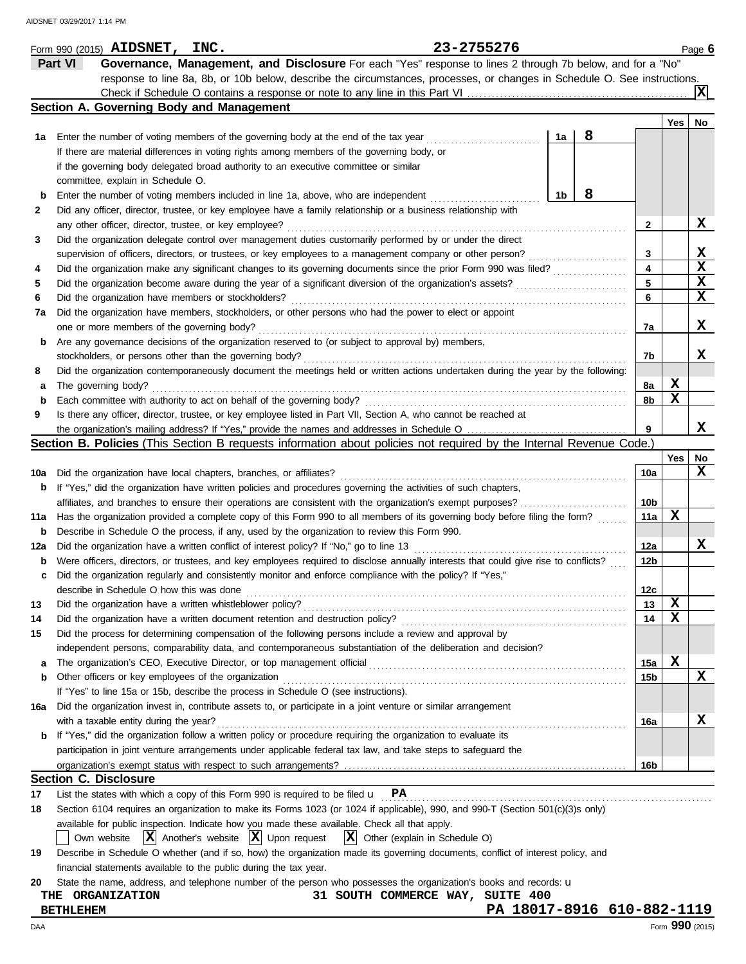|     |                  | Form 990 (2015) AIDSNET, INC.                                                                                                       |                                                              |                                  |                                              | 23-2755276 |                |                            |                 |     | Page 6      |
|-----|------------------|-------------------------------------------------------------------------------------------------------------------------------------|--------------------------------------------------------------|----------------------------------|----------------------------------------------|------------|----------------|----------------------------|-----------------|-----|-------------|
|     | Part VI          | Governance, Management, and Disclosure For each "Yes" response to lines 2 through 7b below, and for a "No"                          |                                                              |                                  |                                              |            |                |                            |                 |     |             |
|     |                  | response to line 8a, 8b, or 10b below, describe the circumstances, processes, or changes in Schedule O. See instructions.           |                                                              |                                  |                                              |            |                |                            |                 |     |             |
|     |                  |                                                                                                                                     |                                                              |                                  |                                              |            |                |                            |                 |     | ΙXΙ         |
|     |                  | Section A. Governing Body and Management                                                                                            |                                                              |                                  |                                              |            |                |                            |                 |     |             |
|     |                  |                                                                                                                                     |                                                              |                                  |                                              |            |                |                            |                 | Yes | No          |
| 1а  |                  | Enter the number of voting members of the governing body at the end of the tax year                                                 |                                                              |                                  |                                              |            | 1a             | 8                          |                 |     |             |
|     |                  | If there are material differences in voting rights among members of the governing body, or                                          |                                                              |                                  |                                              |            |                |                            |                 |     |             |
|     |                  | if the governing body delegated broad authority to an executive committee or similar                                                |                                                              |                                  |                                              |            |                |                            |                 |     |             |
|     |                  | committee, explain in Schedule O.                                                                                                   |                                                              |                                  |                                              |            |                |                            |                 |     |             |
| b   |                  | Enter the number of voting members included in line 1a, above, who are independent                                                  |                                                              |                                  |                                              |            | 1 <sub>b</sub> | 8                          |                 |     |             |
| 2   |                  | Did any officer, director, trustee, or key employee have a family relationship or a business relationship with                      |                                                              |                                  |                                              |            |                |                            |                 |     |             |
|     |                  | any other officer, director, trustee, or key employee?                                                                              |                                                              |                                  |                                              |            |                |                            | 2               |     | X           |
| 3   |                  | Did the organization delegate control over management duties customarily performed by or under the direct                           |                                                              |                                  |                                              |            |                |                            |                 |     |             |
|     |                  | supervision of officers, directors, or trustees, or key employees to a management company or other person?                          |                                                              |                                  |                                              |            |                |                            | 3               |     | x           |
| 4   |                  | Did the organization make any significant changes to its governing documents since the prior Form 990 was filed?                    |                                                              |                                  |                                              |            |                |                            | 4               |     | $\mathbf x$ |
| 5   |                  | Did the organization become aware during the year of a significant diversion of the organization's assets?                          |                                                              |                                  |                                              |            |                |                            | 5               |     | $\mathbf x$ |
| 6   |                  | Did the organization have members or stockholders?                                                                                  |                                                              |                                  |                                              |            |                |                            | 6               |     | $\mathbf x$ |
| 7a  |                  | Did the organization have members, stockholders, or other persons who had the power to elect or appoint                             |                                                              |                                  |                                              |            |                |                            |                 |     |             |
|     |                  | one or more members of the governing body?                                                                                          |                                                              |                                  |                                              |            |                |                            | 7a              |     | X           |
| b   |                  | Are any governance decisions of the organization reserved to (or subject to approval by) members,                                   |                                                              |                                  |                                              |            |                |                            |                 |     |             |
|     |                  | stockholders, or persons other than the governing body?                                                                             |                                                              |                                  |                                              |            |                |                            | 7b              |     | x           |
| 8   |                  | Did the organization contemporaneously document the meetings held or written actions undertaken during the year by the following:   |                                                              |                                  |                                              |            |                |                            |                 |     |             |
| а   |                  | The governing body?                                                                                                                 |                                                              |                                  |                                              |            |                |                            | 8a              | X   |             |
| b   |                  | Each committee with authority to act on behalf of the governing body?                                                               |                                                              |                                  |                                              |            |                |                            | 8b              | X   |             |
| 9   |                  | Is there any officer, director, trustee, or key employee listed in Part VII, Section A, who cannot be reached at                    |                                                              |                                  |                                              |            |                |                            |                 |     |             |
|     |                  |                                                                                                                                     |                                                              |                                  |                                              |            |                |                            | 9               |     | x           |
|     |                  | <b>Section B. Policies</b> (This Section B requests information about policies not required by the Internal Revenue Code.)          |                                                              |                                  |                                              |            |                |                            |                 |     |             |
|     |                  |                                                                                                                                     |                                                              |                                  |                                              |            |                |                            |                 | Yes | No          |
| 10a |                  | Did the organization have local chapters, branches, or affiliates?                                                                  |                                                              |                                  |                                              |            |                |                            | 10a             |     | X           |
| b   |                  | If "Yes," did the organization have written policies and procedures governing the activities of such chapters,                      |                                                              |                                  |                                              |            |                |                            |                 |     |             |
|     |                  | affiliates, and branches to ensure their operations are consistent with the organization's exempt purposes?                         |                                                              |                                  |                                              |            |                |                            | 10b             |     |             |
| 11a |                  | Has the organization provided a complete copy of this Form 990 to all members of its governing body before filing the form?         |                                                              |                                  |                                              |            |                |                            | 11a             | X   |             |
| b   |                  | Describe in Schedule O the process, if any, used by the organization to review this Form 990.                                       |                                                              |                                  |                                              |            |                |                            |                 |     |             |
| 12a |                  | Did the organization have a written conflict of interest policy? If "No," go to line 13                                             |                                                              |                                  |                                              |            |                |                            | 12a             |     | X           |
| b   |                  | Were officers, directors, or trustees, and key employees required to disclose annually interests that could give rise to conflicts? |                                                              |                                  |                                              |            |                |                            | 12b             |     |             |
| c   |                  | Did the organization regularly and consistently monitor and enforce compliance with the policy? If "Yes,"                           |                                                              |                                  |                                              |            |                |                            |                 |     |             |
|     |                  | describe in Schedule O how this was done                                                                                            |                                                              |                                  |                                              |            |                |                            | 12 <sub>c</sub> |     |             |
| 13  |                  | Did the organization have a written whistleblower policy?                                                                           |                                                              |                                  |                                              |            |                |                            | 13              | x   |             |
| 14  |                  | Did the organization have a written document retention and destruction policy?                                                      |                                                              |                                  |                                              |            |                |                            | 14              | x   |             |
| 15  |                  | Did the process for determining compensation of the following persons include a review and approval by                              |                                                              |                                  |                                              |            |                |                            |                 |     |             |
|     |                  | independent persons, comparability data, and contemporaneous substantiation of the deliberation and decision?                       |                                                              |                                  |                                              |            |                |                            |                 |     |             |
| а   |                  | The organization's CEO, Executive Director, or top management official                                                              |                                                              |                                  |                                              |            |                |                            | 15a             | X   |             |
| b   |                  | Other officers or key employees of the organization                                                                                 |                                                              |                                  |                                              |            |                |                            | 15b             |     | X           |
|     |                  | If "Yes" to line 15a or 15b, describe the process in Schedule O (see instructions).                                                 |                                                              |                                  |                                              |            |                |                            |                 |     |             |
| 16a |                  | Did the organization invest in, contribute assets to, or participate in a joint venture or similar arrangement                      |                                                              |                                  |                                              |            |                |                            |                 |     |             |
|     |                  | with a taxable entity during the year?                                                                                              |                                                              |                                  |                                              |            |                |                            | 16a             |     | х           |
|     |                  | If "Yes," did the organization follow a written policy or procedure requiring the organization to evaluate its                      |                                                              |                                  |                                              |            |                |                            |                 |     |             |
|     |                  | participation in joint venture arrangements under applicable federal tax law, and take steps to safeguard the                       |                                                              |                                  |                                              |            |                |                            |                 |     |             |
|     |                  |                                                                                                                                     |                                                              |                                  |                                              |            |                |                            | 16b             |     |             |
|     |                  | <b>Section C. Disclosure</b>                                                                                                        |                                                              |                                  |                                              |            |                |                            |                 |     |             |
| 17  |                  | List the states with which a copy of this Form 990 is required to be filed $\mathbf{u}$ PA                                          |                                                              |                                  |                                              |            |                |                            |                 |     |             |
| 18  |                  | Section 6104 requires an organization to make its Forms 1023 (or 1024 if applicable), 990, and 990-T (Section 501(c)(3)s only)      |                                                              |                                  |                                              |            |                |                            |                 |     |             |
|     |                  | available for public inspection. Indicate how you made these available. Check all that apply.                                       |                                                              |                                  |                                              |            |                |                            |                 |     |             |
|     |                  | Own website                                                                                                                         | $ \mathbf{X} $ Another's website $ \mathbf{X} $ Upon request |                                  | $ \mathbf{X} $ Other (explain in Schedule O) |            |                |                            |                 |     |             |
| 19  |                  | Describe in Schedule O whether (and if so, how) the organization made its governing documents, conflict of interest policy, and     |                                                              |                                  |                                              |            |                |                            |                 |     |             |
|     |                  | financial statements available to the public during the tax year.                                                                   |                                                              |                                  |                                              |            |                |                            |                 |     |             |
| 20  |                  | State the name, address, and telephone number of the person who possesses the organization's books and records: u                   |                                                              |                                  |                                              |            |                |                            |                 |     |             |
|     |                  | THE ORGANIZATION                                                                                                                    |                                                              | 31 SOUTH COMMERCE WAY, SUITE 400 |                                              |            |                |                            |                 |     |             |
|     | <b>BETHLEHEM</b> |                                                                                                                                     |                                                              |                                  |                                              |            |                | PA 18017-8916 610-882-1119 |                 |     |             |
|     |                  |                                                                                                                                     |                                                              |                                  |                                              |            |                |                            |                 |     |             |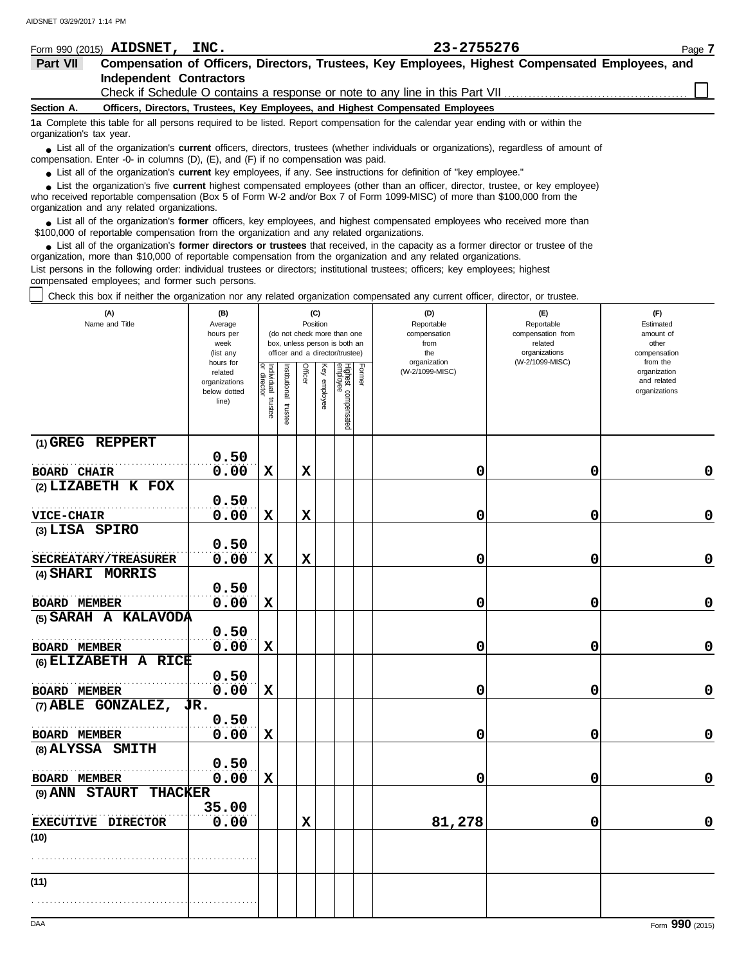| Form 990 (2015)          | <b>AIDSNET,</b><br>INC.                     | 23-2755276                                                                                                                                                                                                                                                  | Page 7 |
|--------------------------|---------------------------------------------|-------------------------------------------------------------------------------------------------------------------------------------------------------------------------------------------------------------------------------------------------------------|--------|
| Part VII                 |                                             | Compensation of Officers, Directors, Trustees, Key Employees, Highest Compensated Employees, and                                                                                                                                                            |        |
|                          | <b>Independent Contractors</b>              |                                                                                                                                                                                                                                                             |        |
|                          |                                             | Check if Schedule O contains a response or note to any line in this Part VII                                                                                                                                                                                |        |
| Section A.               |                                             | Officers, Directors, Trustees, Key Employees, and Highest Compensated Employees                                                                                                                                                                             |        |
| organization's tax year. |                                             | 1a Complete this table for all persons required to be listed. Report compensation for the calendar year ending with or within the                                                                                                                           |        |
|                          |                                             | • List all of the organization's <b>current</b> officers, directors, trustees (whether individuals or organizations), regardless of amount of<br>compensation. Enter -0- in columns $(D)$ , $(E)$ , and $(F)$ if no compensation was paid.                  |        |
|                          |                                             | • List all of the organization's current key employees, if any. See instructions for definition of "key employee."                                                                                                                                          |        |
|                          | organization and any related organizations. | • List the organization's five current highest compensated employees (other than an officer, director, trustee, or key employee)<br>who received reportable compensation (Box 5 of Form W-2 and/or Box 7 of Form 1099-MISC) of more than \$100,000 from the |        |
|                          |                                             |                                                                                                                                                                                                                                                             |        |

■ List all of the organization's **former** officers, key employees, and highest compensated employees who received more than<br> **•** 00,000 of reportable compensation from the ergonization and any related ergonizations \$100,000 of reportable compensation from the organization and any related organizations.

List all of the organization's **former directors or trustees** that received, in the capacity as a former director or trustee of the ● List all of the organization's former directors or trustees that received, in the capacity as a former director organization, more than \$10,000 of reportable compensation from the organization and any related organizati List persons in the following order: individual trustees or directors; institutional trustees; officers; key employees; highest compensated employees; and former such persons.

Check this box if neither the organization nor any related organization compensated any current officer, director, or trustee.

| (A)<br>Name and Title                                  | (B)<br>Average<br>hours per<br>week<br>(list any               | (C)<br>Position<br>(do not check more than one<br>box, unless person is both an<br>officer and a director/trustee) |                       |             |              |                                 |        | (D)<br>Reportable<br>compensation<br>from<br>the<br>organization | (E)<br>Reportable<br>compensation from<br>related<br>organizations<br>(W-2/1099-MISC) | (F)<br>Estimated<br>amount of<br>other<br>compensation   |  |
|--------------------------------------------------------|----------------------------------------------------------------|--------------------------------------------------------------------------------------------------------------------|-----------------------|-------------|--------------|---------------------------------|--------|------------------------------------------------------------------|---------------------------------------------------------------------------------------|----------------------------------------------------------|--|
|                                                        | hours for<br>related<br>organizations<br>below dotted<br>line) | Individual<br>or director<br>trustee                                                                               | Institutional trustee | Officer     | Key employee | Highest compensated<br>employee | Former | (W-2/1099-MISC)                                                  |                                                                                       | from the<br>organization<br>and related<br>organizations |  |
| (1) GREG REPPERT                                       | 0.50                                                           |                                                                                                                    |                       |             |              |                                 |        |                                                                  |                                                                                       |                                                          |  |
| <b>BOARD CHAIR</b>                                     | 0.00                                                           | $\mathbf x$                                                                                                        |                       | $\mathbf x$ |              |                                 |        | 0                                                                | 0                                                                                     | 0                                                        |  |
| (2) LIZABETH K FOX                                     |                                                                |                                                                                                                    |                       |             |              |                                 |        |                                                                  |                                                                                       |                                                          |  |
|                                                        | 0.50                                                           |                                                                                                                    |                       |             |              |                                 |        |                                                                  |                                                                                       |                                                          |  |
| <b>VICE-CHAIR</b>                                      | 0.00                                                           | $\mathbf x$                                                                                                        |                       | $\mathbf x$ |              |                                 |        | 0                                                                | 0                                                                                     | $\mathbf 0$                                              |  |
| (3) LISA SPIRO                                         |                                                                |                                                                                                                    |                       |             |              |                                 |        |                                                                  |                                                                                       |                                                          |  |
|                                                        | 0.50                                                           |                                                                                                                    |                       |             |              |                                 |        |                                                                  |                                                                                       |                                                          |  |
| SECREATARY/TREASURER                                   | 0.00                                                           | $\mathbf x$                                                                                                        |                       | X           |              |                                 |        | 0                                                                | 0                                                                                     | $\mathbf 0$                                              |  |
| (4) SHARI MORRIS                                       |                                                                |                                                                                                                    |                       |             |              |                                 |        |                                                                  |                                                                                       |                                                          |  |
|                                                        | 0.50                                                           |                                                                                                                    |                       |             |              |                                 |        |                                                                  |                                                                                       | 0                                                        |  |
| <b>BOARD MEMBER</b><br>(5) SARAH A KALAVODA            | 0.00                                                           | $\mathbf x$                                                                                                        |                       |             |              |                                 |        | 0                                                                | 0                                                                                     |                                                          |  |
|                                                        | 0.50                                                           |                                                                                                                    |                       |             |              |                                 |        |                                                                  |                                                                                       |                                                          |  |
| <b>BOARD MEMBER</b>                                    | 0.00                                                           | $\mathbf x$                                                                                                        |                       |             |              |                                 |        | 0                                                                | 0                                                                                     | $\mathbf 0$                                              |  |
| (6) ELIZABETH A RICE                                   |                                                                |                                                                                                                    |                       |             |              |                                 |        |                                                                  |                                                                                       |                                                          |  |
|                                                        | 0.50                                                           |                                                                                                                    |                       |             |              |                                 |        |                                                                  |                                                                                       |                                                          |  |
| <b>BOARD MEMBER</b>                                    | 0.00                                                           | $\mathbf x$                                                                                                        |                       |             |              |                                 |        | 0                                                                | 0                                                                                     | $\pmb{0}$                                                |  |
| $(7)$ ABLE GONZALEZ, $\overline{J}R$ .                 |                                                                |                                                                                                                    |                       |             |              |                                 |        |                                                                  |                                                                                       |                                                          |  |
|                                                        | 0.50                                                           |                                                                                                                    |                       |             |              |                                 |        |                                                                  |                                                                                       |                                                          |  |
| <b>BOARD MEMBER</b>                                    | 0.00                                                           | $\mathbf x$                                                                                                        |                       |             |              |                                 |        | 0                                                                | 0                                                                                     | $\mathbf 0$                                              |  |
| (8) ALYSSA SMITH                                       |                                                                |                                                                                                                    |                       |             |              |                                 |        |                                                                  |                                                                                       |                                                          |  |
|                                                        | 0.50                                                           |                                                                                                                    |                       |             |              |                                 |        |                                                                  |                                                                                       |                                                          |  |
| <b>BOARD MEMBER</b><br><b>STAURT</b><br><b>THACKER</b> | 0.00                                                           | $\mathbf x$                                                                                                        |                       |             |              |                                 |        | 0                                                                | 0                                                                                     | 0                                                        |  |
| (9) ANN                                                | 35.00                                                          |                                                                                                                    |                       |             |              |                                 |        |                                                                  |                                                                                       |                                                          |  |
| EXECUTIVE DIRECTOR                                     | 0.00                                                           |                                                                                                                    |                       | $\mathbf x$ |              |                                 |        | 81,278                                                           | 0                                                                                     | $\mathbf 0$                                              |  |
| (10)                                                   |                                                                |                                                                                                                    |                       |             |              |                                 |        |                                                                  |                                                                                       |                                                          |  |
|                                                        |                                                                |                                                                                                                    |                       |             |              |                                 |        |                                                                  |                                                                                       |                                                          |  |
| (11)                                                   |                                                                |                                                                                                                    |                       |             |              |                                 |        |                                                                  |                                                                                       |                                                          |  |
|                                                        |                                                                |                                                                                                                    |                       |             |              |                                 |        |                                                                  |                                                                                       |                                                          |  |
|                                                        |                                                                |                                                                                                                    |                       |             |              |                                 |        |                                                                  |                                                                                       |                                                          |  |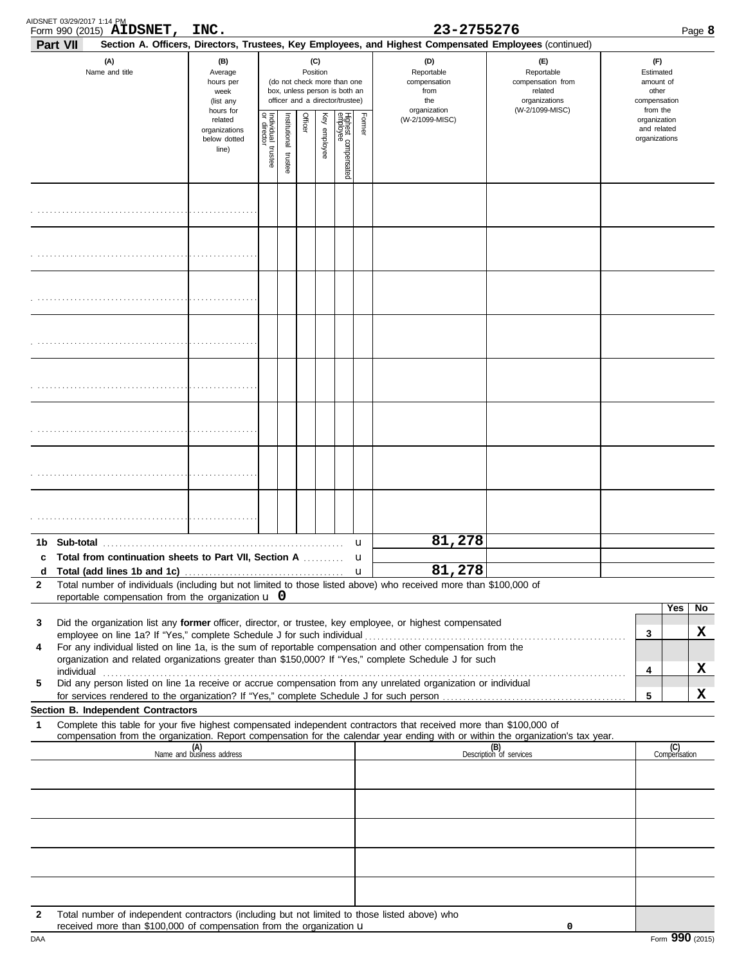| AIDSNET 03/29/2017 1:14 PM | Form 990 (2015) AIDSNET,                                                                                                                                              | INC.                                                          |                                                                                                                    |  |        |                 |  |                                              | 23-2755276                                                                                                         |                                                                                                                                                                    | Page 8                                                             |  |
|----------------------------|-----------------------------------------------------------------------------------------------------------------------------------------------------------------------|---------------------------------------------------------------|--------------------------------------------------------------------------------------------------------------------|--|--------|-----------------|--|----------------------------------------------|--------------------------------------------------------------------------------------------------------------------|--------------------------------------------------------------------------------------------------------------------------------------------------------------------|--------------------------------------------------------------------|--|
| Part VII                   |                                                                                                                                                                       |                                                               |                                                                                                                    |  |        |                 |  |                                              | Section A. Officers, Directors, Trustees, Key Employees, and Highest Compensated Employees (continued)             |                                                                                                                                                                    |                                                                    |  |
|                            | (A)<br>Name and title                                                                                                                                                 | (B)<br>Average<br>hours per<br>week<br>(list any<br>hours for | (C)<br>Position<br>(do not check more than one<br>box, unless person is both an<br>officer and a director/trustee) |  |        |                 |  |                                              | (D)<br>Reportable<br>compensation<br>from<br>the<br>organization                                                   | (E)<br>Reportable<br>compensation from<br>related<br>organizations<br>(W-2/1099-MISC)                                                                              | (F)<br>Estimated<br>amount of<br>other<br>compensation<br>from the |  |
|                            | Officer<br>Institutional trustee<br>Individual 1<br>related<br>organizations<br>below dotted<br>trustee<br>line)                                                      |                                                               | Highest compensated<br>employee<br>Key employee                                                                    |  | Former | (W-2/1099-MISC) |  | organization<br>and related<br>organizations |                                                                                                                    |                                                                                                                                                                    |                                                                    |  |
|                            |                                                                                                                                                                       |                                                               |                                                                                                                    |  |        |                 |  |                                              |                                                                                                                    |                                                                                                                                                                    |                                                                    |  |
|                            |                                                                                                                                                                       |                                                               |                                                                                                                    |  |        |                 |  |                                              |                                                                                                                    |                                                                                                                                                                    |                                                                    |  |
|                            |                                                                                                                                                                       |                                                               |                                                                                                                    |  |        |                 |  |                                              |                                                                                                                    |                                                                                                                                                                    |                                                                    |  |
|                            |                                                                                                                                                                       |                                                               |                                                                                                                    |  |        |                 |  |                                              |                                                                                                                    |                                                                                                                                                                    |                                                                    |  |
|                            |                                                                                                                                                                       |                                                               |                                                                                                                    |  |        |                 |  |                                              |                                                                                                                    |                                                                                                                                                                    |                                                                    |  |
|                            |                                                                                                                                                                       |                                                               |                                                                                                                    |  |        |                 |  |                                              |                                                                                                                    |                                                                                                                                                                    |                                                                    |  |
|                            |                                                                                                                                                                       |                                                               |                                                                                                                    |  |        |                 |  |                                              |                                                                                                                    |                                                                                                                                                                    |                                                                    |  |
|                            |                                                                                                                                                                       |                                                               |                                                                                                                    |  |        |                 |  |                                              |                                                                                                                    |                                                                                                                                                                    |                                                                    |  |
|                            |                                                                                                                                                                       |                                                               |                                                                                                                    |  |        |                 |  | u                                            | 81,278                                                                                                             |                                                                                                                                                                    |                                                                    |  |
| d                          | c Total from continuation sheets to Part VII, Section A                                                                                                               |                                                               |                                                                                                                    |  |        |                 |  | u                                            | 81,278                                                                                                             |                                                                                                                                                                    |                                                                    |  |
| $\mathbf{2}$               |                                                                                                                                                                       |                                                               |                                                                                                                    |  |        |                 |  |                                              | Total number of individuals (including but not limited to those listed above) who received more than \$100,000 of  |                                                                                                                                                                    |                                                                    |  |
|                            | reportable compensation from the organization $\mathbf u$ 0                                                                                                           |                                                               |                                                                                                                    |  |        |                 |  |                                              |                                                                                                                    |                                                                                                                                                                    | Yes<br>No                                                          |  |
| 3                          |                                                                                                                                                                       |                                                               |                                                                                                                    |  |        |                 |  |                                              | Did the organization list any former officer, director, or trustee, key employee, or highest compensated           |                                                                                                                                                                    | X                                                                  |  |
| 4                          | employee on line 1a? If "Yes," complete Schedule J for such individual                                                                                                |                                                               |                                                                                                                    |  |        |                 |  |                                              | For any individual listed on line 1a, is the sum of reportable compensation and other compensation from the        |                                                                                                                                                                    | 3                                                                  |  |
|                            |                                                                                                                                                                       |                                                               |                                                                                                                    |  |        |                 |  |                                              | organization and related organizations greater than \$150,000? If "Yes," complete Schedule J for such              |                                                                                                                                                                    | X<br>4                                                             |  |
| 5                          |                                                                                                                                                                       |                                                               |                                                                                                                    |  |        |                 |  |                                              | Did any person listed on line 1a receive or accrue compensation from any unrelated organization or individual      |                                                                                                                                                                    |                                                                    |  |
|                            | Section B. Independent Contractors                                                                                                                                    |                                                               |                                                                                                                    |  |        |                 |  |                                              |                                                                                                                    |                                                                                                                                                                    | x<br>5                                                             |  |
| 1                          |                                                                                                                                                                       |                                                               |                                                                                                                    |  |        |                 |  |                                              | Complete this table for your five highest compensated independent contractors that received more than \$100,000 of |                                                                                                                                                                    |                                                                    |  |
|                            |                                                                                                                                                                       | (A)<br>Name and business address                              |                                                                                                                    |  |        |                 |  |                                              |                                                                                                                    | compensation from the organization. Report compensation for the calendar year ending with or within the organization's tax year.<br>(B)<br>Description of services | (C)<br>Compensation                                                |  |
|                            |                                                                                                                                                                       |                                                               |                                                                                                                    |  |        |                 |  |                                              |                                                                                                                    |                                                                                                                                                                    |                                                                    |  |
|                            |                                                                                                                                                                       |                                                               |                                                                                                                    |  |        |                 |  |                                              |                                                                                                                    |                                                                                                                                                                    |                                                                    |  |
|                            |                                                                                                                                                                       |                                                               |                                                                                                                    |  |        |                 |  |                                              |                                                                                                                    |                                                                                                                                                                    |                                                                    |  |
|                            |                                                                                                                                                                       |                                                               |                                                                                                                    |  |        |                 |  |                                              |                                                                                                                    |                                                                                                                                                                    |                                                                    |  |
| 2                          | Total number of independent contractors (including but not limited to those listed above) who<br>received more than \$100,000 of compensation from the organization u |                                                               |                                                                                                                    |  |        |                 |  |                                              |                                                                                                                    | 0                                                                                                                                                                  |                                                                    |  |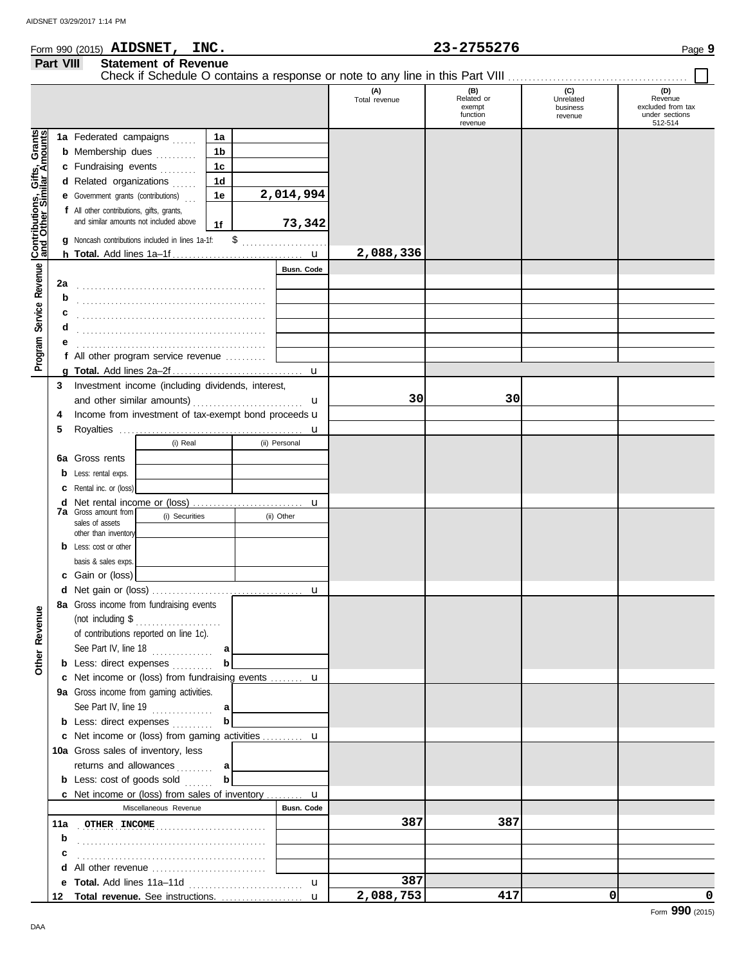|                                                           |           | Form 990 (2015) AIDSNET, INC.                                                       |                                        |                |                   |                      | 23-2755276                                         |                                         | Page 9                                                           |
|-----------------------------------------------------------|-----------|-------------------------------------------------------------------------------------|----------------------------------------|----------------|-------------------|----------------------|----------------------------------------------------|-----------------------------------------|------------------------------------------------------------------|
|                                                           | Part VIII |                                                                                     | <b>Statement of Revenue</b>            |                |                   |                      |                                                    |                                         |                                                                  |
|                                                           |           |                                                                                     |                                        |                |                   | (A)<br>Total revenue | (B)<br>Related or<br>exempt<br>function<br>revenue | (C)<br>Unrelated<br>business<br>revenue | (D)<br>Revenue<br>excluded from tax<br>under sections<br>512-514 |
|                                                           |           | 1a Federated campaigns                                                              |                                        | 1a             |                   |                      |                                                    |                                         |                                                                  |
|                                                           |           | <b>b</b> Membership dues                                                            |                                        | 1 <sub>b</sub> |                   |                      |                                                    |                                         |                                                                  |
|                                                           |           | c Fundraising events                                                                |                                        | 1 <sub>c</sub> |                   |                      |                                                    |                                         |                                                                  |
|                                                           |           | d Related organizations                                                             |                                        | 1 <sub>d</sub> |                   |                      |                                                    |                                         |                                                                  |
|                                                           |           | <b>e</b> Government grants (contributions)                                          |                                        | 1e             | 2,014,994         |                      |                                                    |                                         |                                                                  |
| Contributions, Gifts, Grants<br>and Other Similar Amounts |           | f All other contributions, gifts, grants,<br>and similar amounts not included above |                                        | 1f             | 73,342            |                      |                                                    |                                         |                                                                  |
|                                                           |           | g Noncash contributions included in lines 1a-1f:                                    |                                        |                | $\frac{1}{2}$     |                      |                                                    |                                         |                                                                  |
|                                                           |           |                                                                                     |                                        | 2,088,336      |                   |                      |                                                    |                                         |                                                                  |
|                                                           |           |                                                                                     |                                        |                | <b>Busn. Code</b> |                      |                                                    |                                         |                                                                  |
| Program Service Revenue                                   | 2a        |                                                                                     |                                        |                |                   |                      |                                                    |                                         |                                                                  |
|                                                           | b         |                                                                                     |                                        |                |                   |                      |                                                    |                                         |                                                                  |
|                                                           | С         |                                                                                     |                                        |                |                   |                      |                                                    |                                         |                                                                  |
|                                                           | d         |                                                                                     |                                        |                |                   |                      |                                                    |                                         |                                                                  |
|                                                           | е         |                                                                                     |                                        |                |                   |                      |                                                    |                                         |                                                                  |
|                                                           |           | f All other program service revenue                                                 |                                        |                |                   |                      |                                                    |                                         |                                                                  |
|                                                           |           |                                                                                     |                                        |                |                   |                      |                                                    |                                         |                                                                  |
|                                                           |           | 3 Investment income (including dividends, interest,                                 |                                        |                |                   |                      |                                                    |                                         |                                                                  |
|                                                           |           |                                                                                     |                                        |                | u                 | 30                   | 30                                                 |                                         |                                                                  |
|                                                           | 4         | Income from investment of tax-exempt bond proceeds u                                |                                        |                |                   |                      |                                                    |                                         |                                                                  |
|                                                           | 5         |                                                                                     |                                        |                |                   |                      |                                                    |                                         |                                                                  |
|                                                           |           |                                                                                     | (i) Real                               |                | (ii) Personal     |                      |                                                    |                                         |                                                                  |
|                                                           |           | <b>6a</b> Gross rents                                                               |                                        |                |                   |                      |                                                    |                                         |                                                                  |
|                                                           |           | <b>b</b> Less: rental exps.                                                         |                                        |                |                   |                      |                                                    |                                         |                                                                  |
|                                                           |           | <b>c</b> Rental inc. or (loss)                                                      |                                        |                |                   |                      |                                                    |                                         |                                                                  |
|                                                           |           | <b>7a</b> Gross amount from                                                         | (i) Securities                         |                | (ii) Other        |                      |                                                    |                                         |                                                                  |
|                                                           |           | sales of assets                                                                     |                                        |                |                   |                      |                                                    |                                         |                                                                  |
|                                                           |           | other than inventory<br><b>b</b> Less: cost or other                                |                                        |                |                   |                      |                                                    |                                         |                                                                  |
|                                                           |           | basis & sales exps.                                                                 |                                        |                |                   |                      |                                                    |                                         |                                                                  |
|                                                           |           | c Gain or (loss)                                                                    |                                        |                |                   |                      |                                                    |                                         |                                                                  |
|                                                           |           |                                                                                     |                                        |                |                   |                      |                                                    |                                         |                                                                  |
|                                                           |           | 8a Gross income from fundraising events                                             |                                        |                |                   |                      |                                                    |                                         |                                                                  |
| <b>Other Revenue</b>                                      |           | (not including $\$\dots$                                                            |                                        |                |                   |                      |                                                    |                                         |                                                                  |
|                                                           |           |                                                                                     | of contributions reported on line 1c). |                |                   |                      |                                                    |                                         |                                                                  |
|                                                           |           | See Part IV, line 18                                                                |                                        | a              |                   |                      |                                                    |                                         |                                                                  |
|                                                           |           | <b>b</b> Less: direct expenses                                                      |                                        | b              |                   |                      |                                                    |                                         |                                                                  |
|                                                           |           | c Net income or (loss) from fundraising events  u                                   |                                        |                |                   |                      |                                                    |                                         |                                                                  |
|                                                           |           | 9a Gross income from gaming activities.                                             |                                        |                |                   |                      |                                                    |                                         |                                                                  |
|                                                           |           | See Part IV, line 19                                                                |                                        | a              |                   |                      |                                                    |                                         |                                                                  |
|                                                           |           | <b>b</b> Less: direct expenses                                                      |                                        | b              |                   |                      |                                                    |                                         |                                                                  |
|                                                           |           | c Net income or (loss) from gaming activities  u                                    |                                        |                |                   |                      |                                                    |                                         |                                                                  |
|                                                           |           | 10a Gross sales of inventory, less                                                  |                                        |                |                   |                      |                                                    |                                         |                                                                  |
|                                                           |           | returns and allowances                                                              |                                        | a              |                   |                      |                                                    |                                         |                                                                  |
|                                                           |           | b<br><b>b</b> Less: cost of goods sold                                              |                                        |                |                   |                      |                                                    |                                         |                                                                  |
|                                                           |           | c Net income or (loss) from sales of inventory  u                                   |                                        |                |                   |                      |                                                    |                                         |                                                                  |
|                                                           |           |                                                                                     | Miscellaneous Revenue                  |                | Busn. Code        |                      |                                                    |                                         |                                                                  |

**11a** . . . . . . . . . . . . . . . . . . . . . . . . . . . . . . . . . . . . . . . . . . . . . . **OTHER INCOME 387 387**

u

u

**387**

**2,088,753 417 0 0**

**b**

**c** . . . . . . . . . . . . . . . . . . . . . . . . . . . . . . . . . . . . . . . . . . . . . . **d** All other revenue .............................. **e Total.** Add lines 11a–11d . . . . . . . . . . . . . . . . . . . . . . . . . . . . **Total revenue.** See instructions. . . . . . . . . . . . . . . . . . . . . **12**

. . . . . . . . . . . . . . . . . . . . . . . . . . . . . . . . . . . . . . . . . . . . . .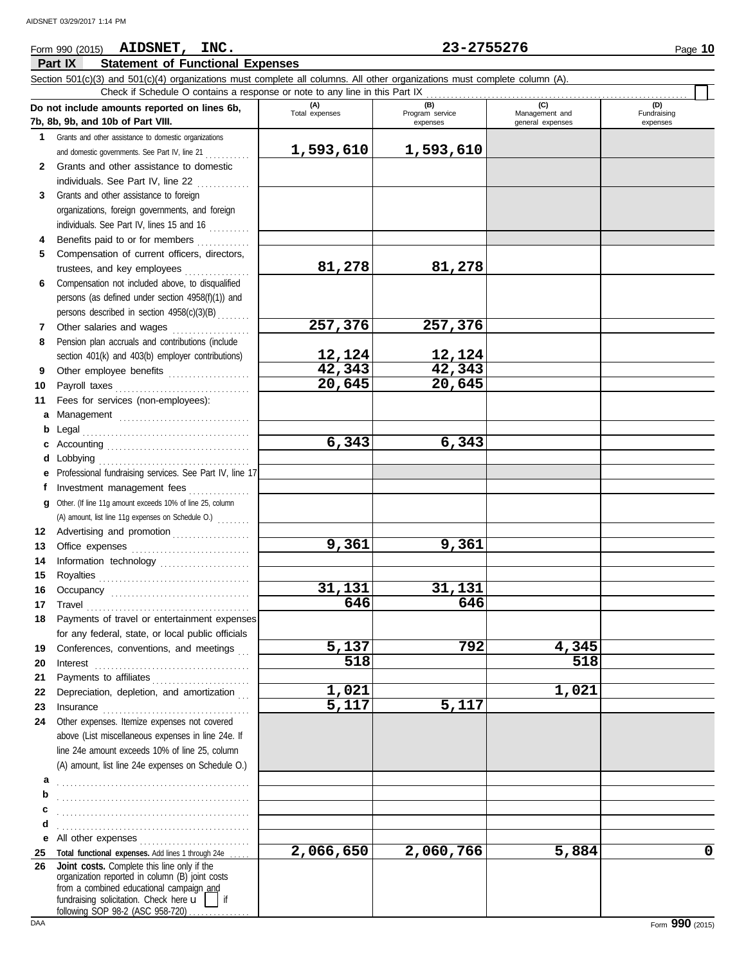### **Part IX Statement of Functional Expenses** Form 990 (2015) Page **10 AIDSNET, INC. 23-2755276** Section 501(c)(3) and 501(c)(4) organizations must complete all columns. All other organizations must complete column (A). **Do not include amounts reported on lines 6b,**<br> **The Object of Data VIII (A) (B) (C) (D)** Total expenses Program service Management and Fundraising Check if Schedule O contains a response or note to any line in this Part IX . . . . . . . . . . . . . . . . . . . . . . . . . . . . . . . . . . . . . . . . . . . . . . . . . . . . . . . . . . . . . . . .

|              | Do not include amounts reported on lines 6b,                                                                                                                                                                                                                                                                                                                                                                                                                                                                                | (A)<br>Total expenses | (B)<br>Program service | (C)<br>Management and | (U)<br>Fundraising |
|--------------|-----------------------------------------------------------------------------------------------------------------------------------------------------------------------------------------------------------------------------------------------------------------------------------------------------------------------------------------------------------------------------------------------------------------------------------------------------------------------------------------------------------------------------|-----------------------|------------------------|-----------------------|--------------------|
|              | 7b, 8b, 9b, and 10b of Part VIII.                                                                                                                                                                                                                                                                                                                                                                                                                                                                                           |                       | expenses               | general expenses      | expenses           |
| 1            | Grants and other assistance to domestic organizations                                                                                                                                                                                                                                                                                                                                                                                                                                                                       |                       |                        |                       |                    |
|              | and domestic governments. See Part IV, line 21                                                                                                                                                                                                                                                                                                                                                                                                                                                                              | 1,593,610             | 1,593,610              |                       |                    |
| $\mathbf{2}$ | Grants and other assistance to domestic                                                                                                                                                                                                                                                                                                                                                                                                                                                                                     |                       |                        |                       |                    |
|              | individuals. See Part IV, line 22                                                                                                                                                                                                                                                                                                                                                                                                                                                                                           |                       |                        |                       |                    |
| 3            | Grants and other assistance to foreign                                                                                                                                                                                                                                                                                                                                                                                                                                                                                      |                       |                        |                       |                    |
|              | organizations, foreign governments, and foreign                                                                                                                                                                                                                                                                                                                                                                                                                                                                             |                       |                        |                       |                    |
|              | individuals. See Part IV, lines 15 and 16                                                                                                                                                                                                                                                                                                                                                                                                                                                                                   |                       |                        |                       |                    |
| 4            | Benefits paid to or for members                                                                                                                                                                                                                                                                                                                                                                                                                                                                                             |                       |                        |                       |                    |
| 5            | Compensation of current officers, directors,                                                                                                                                                                                                                                                                                                                                                                                                                                                                                |                       |                        |                       |                    |
|              |                                                                                                                                                                                                                                                                                                                                                                                                                                                                                                                             | 81,278                | 81,278                 |                       |                    |
| 6            | Compensation not included above, to disqualified                                                                                                                                                                                                                                                                                                                                                                                                                                                                            |                       |                        |                       |                    |
|              | persons (as defined under section 4958(f)(1)) and                                                                                                                                                                                                                                                                                                                                                                                                                                                                           |                       |                        |                       |                    |
|              | persons described in section 4958(c)(3)(B)                                                                                                                                                                                                                                                                                                                                                                                                                                                                                  |                       |                        |                       |                    |
| 7            | Other salaries and wages                                                                                                                                                                                                                                                                                                                                                                                                                                                                                                    | 257,376               | 257,376                |                       |                    |
| 8            | Pension plan accruals and contributions (include                                                                                                                                                                                                                                                                                                                                                                                                                                                                            |                       |                        |                       |                    |
|              | section 401(k) and 403(b) employer contributions)                                                                                                                                                                                                                                                                                                                                                                                                                                                                           | 12,124                | 12,124                 |                       |                    |
| 9            | Other employee benefits                                                                                                                                                                                                                                                                                                                                                                                                                                                                                                     | 42,343                | 42,343                 |                       |                    |
| 10           |                                                                                                                                                                                                                                                                                                                                                                                                                                                                                                                             | 20,645                | 20,645                 |                       |                    |
| 11           | Fees for services (non-employees):                                                                                                                                                                                                                                                                                                                                                                                                                                                                                          |                       |                        |                       |                    |
| а            | Management                                                                                                                                                                                                                                                                                                                                                                                                                                                                                                                  |                       |                        |                       |                    |
| b            |                                                                                                                                                                                                                                                                                                                                                                                                                                                                                                                             |                       |                        |                       |                    |
| c            |                                                                                                                                                                                                                                                                                                                                                                                                                                                                                                                             | 6,343                 | 6,343                  |                       |                    |
| d            |                                                                                                                                                                                                                                                                                                                                                                                                                                                                                                                             |                       |                        |                       |                    |
| е            | Professional fundraising services. See Part IV, line 17                                                                                                                                                                                                                                                                                                                                                                                                                                                                     |                       |                        |                       |                    |
| f            | Investment management fees                                                                                                                                                                                                                                                                                                                                                                                                                                                                                                  |                       |                        |                       |                    |
| g            | Other. (If line 11g amount exceeds 10% of line 25, column                                                                                                                                                                                                                                                                                                                                                                                                                                                                   |                       |                        |                       |                    |
|              | (A) amount, list line 11g expenses on Schedule O.)                                                                                                                                                                                                                                                                                                                                                                                                                                                                          |                       |                        |                       |                    |
| 12           | Advertising and promotion                                                                                                                                                                                                                                                                                                                                                                                                                                                                                                   |                       |                        |                       |                    |
| 13           |                                                                                                                                                                                                                                                                                                                                                                                                                                                                                                                             | 9,361                 | 9,361                  |                       |                    |
| 14           | Information technology                                                                                                                                                                                                                                                                                                                                                                                                                                                                                                      |                       |                        |                       |                    |
| 15           |                                                                                                                                                                                                                                                                                                                                                                                                                                                                                                                             |                       |                        |                       |                    |
| 16           |                                                                                                                                                                                                                                                                                                                                                                                                                                                                                                                             | 31,131                | 31,131                 |                       |                    |
| 17           | $\begin{minipage}[c]{0.9\linewidth} \begin{tabular}{l} \textbf{Travel} \end{tabular} \end{minipage} \end{minipage} \begin{minipage}[c]{0.9\linewidth} \begin{tabular}{l} \textbf{True} \end{tabular} \end{minipage} \end{minipage} \begin{minipage}[c]{0.9\linewidth} \begin{tabular}{l} \textbf{True} \end{tabular} \end{minipage} \end{minipage} \begin{minipage}[c]{0.9\linewidth} \begin{tabular}{l} \textbf{True} \end{tabular} \end{minipage} \end{minipage} \begin{minipage}[c]{0.9\linewidth} \begin{tabular}{l} \$ | 646                   | 646                    |                       |                    |
| 18           | Payments of travel or entertainment expenses                                                                                                                                                                                                                                                                                                                                                                                                                                                                                |                       |                        |                       |                    |
|              | for any federal, state, or local public officials                                                                                                                                                                                                                                                                                                                                                                                                                                                                           |                       |                        |                       |                    |
| 19           | Conferences, conventions, and meetings                                                                                                                                                                                                                                                                                                                                                                                                                                                                                      | 5,137                 | 792                    | 4,345                 |                    |
| 20           | $Interest$                                                                                                                                                                                                                                                                                                                                                                                                                                                                                                                  | 518                   |                        | 518                   |                    |
| 21           | Payments to affiliates                                                                                                                                                                                                                                                                                                                                                                                                                                                                                                      |                       |                        |                       |                    |
| 22           | Depreciation, depletion, and amortization                                                                                                                                                                                                                                                                                                                                                                                                                                                                                   | 1,021                 |                        | 1,021                 |                    |
| 23           |                                                                                                                                                                                                                                                                                                                                                                                                                                                                                                                             | 5,117                 | 5,117                  |                       |                    |
| 24           | Other expenses. Itemize expenses not covered                                                                                                                                                                                                                                                                                                                                                                                                                                                                                |                       |                        |                       |                    |
|              | above (List miscellaneous expenses in line 24e. If                                                                                                                                                                                                                                                                                                                                                                                                                                                                          |                       |                        |                       |                    |
|              | line 24e amount exceeds 10% of line 25, column                                                                                                                                                                                                                                                                                                                                                                                                                                                                              |                       |                        |                       |                    |
|              | (A) amount, list line 24e expenses on Schedule O.)                                                                                                                                                                                                                                                                                                                                                                                                                                                                          |                       |                        |                       |                    |
| а            |                                                                                                                                                                                                                                                                                                                                                                                                                                                                                                                             |                       |                        |                       |                    |
| b            |                                                                                                                                                                                                                                                                                                                                                                                                                                                                                                                             |                       |                        |                       |                    |
| c            |                                                                                                                                                                                                                                                                                                                                                                                                                                                                                                                             |                       |                        |                       |                    |
| d            |                                                                                                                                                                                                                                                                                                                                                                                                                                                                                                                             |                       |                        |                       |                    |
| е            | All other expenses                                                                                                                                                                                                                                                                                                                                                                                                                                                                                                          |                       |                        |                       |                    |
| 25           | Total functional expenses. Add lines 1 through 24e                                                                                                                                                                                                                                                                                                                                                                                                                                                                          | 2,066,650             | 2,060,766              | 5,884                 | 0                  |
| 26           | Joint costs. Complete this line only if the                                                                                                                                                                                                                                                                                                                                                                                                                                                                                 |                       |                        |                       |                    |
|              | organization reported in column (B) joint costs                                                                                                                                                                                                                                                                                                                                                                                                                                                                             |                       |                        |                       |                    |
|              | from a combined educational campaign and<br>fundraising solicitation. Check here $\mathbf{u}$  <br>lif                                                                                                                                                                                                                                                                                                                                                                                                                      |                       |                        |                       |                    |
|              | following SOP 98-2 (ASC 958-720)                                                                                                                                                                                                                                                                                                                                                                                                                                                                                            |                       |                        |                       |                    |
| DAA          |                                                                                                                                                                                                                                                                                                                                                                                                                                                                                                                             |                       |                        |                       | Form 990 (2015)    |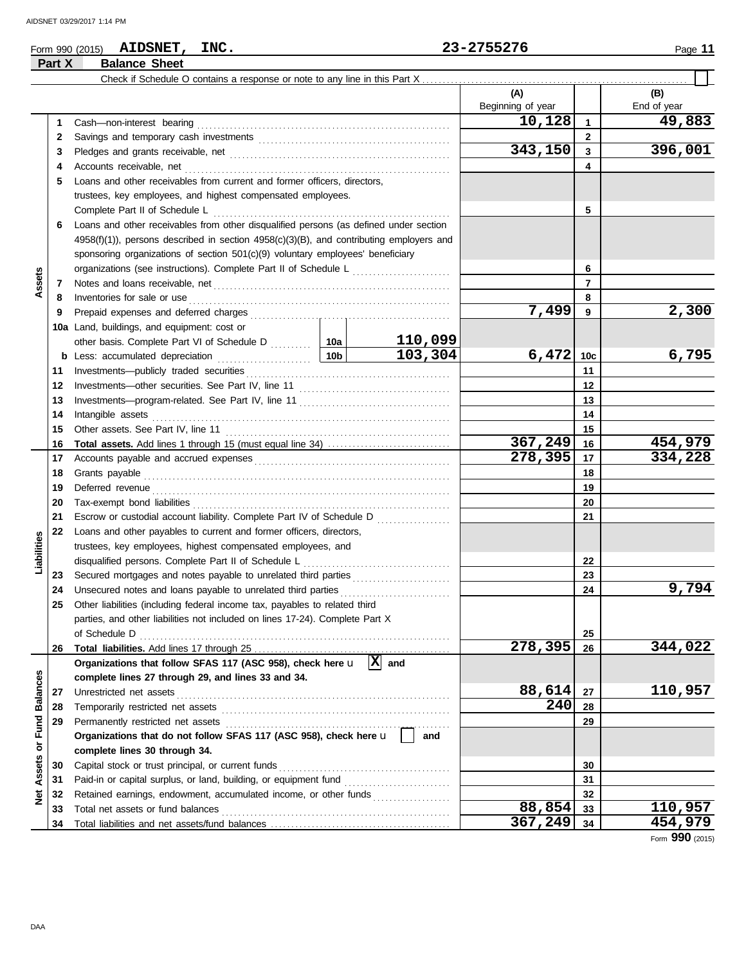## Form 990 (2015) Page **11 AIDSNET, INC. 23-2755276 Part X Balance Sheet**

|                              |    |                                                                                                                                                                                                                                |  |         | (A)<br>Beginning of year |              | (B)<br>End of year |
|------------------------------|----|--------------------------------------------------------------------------------------------------------------------------------------------------------------------------------------------------------------------------------|--|---------|--------------------------|--------------|--------------------|
|                              | 1  | Cash-non-interest bearing                                                                                                                                                                                                      |  |         | 10,128                   | 1            | 49,883             |
|                              | 2  |                                                                                                                                                                                                                                |  |         |                          | $\mathbf{2}$ |                    |
|                              | 3  |                                                                                                                                                                                                                                |  |         | 343,150                  | 3            | 396,001            |
|                              | 4  |                                                                                                                                                                                                                                |  |         |                          | 4            |                    |
|                              | 5  | Loans and other receivables from current and former officers, directors,                                                                                                                                                       |  |         |                          |              |                    |
|                              |    | trustees, key employees, and highest compensated employees.                                                                                                                                                                    |  |         |                          |              |                    |
|                              |    | Complete Part II of Schedule L                                                                                                                                                                                                 |  |         |                          | 5            |                    |
|                              | 6  | Loans and other receivables from other disqualified persons (as defined under section                                                                                                                                          |  |         |                          |              |                    |
|                              |    | $4958(f)(1)$ ), persons described in section $4958(c)(3)(B)$ , and contributing employers and                                                                                                                                  |  |         |                          |              |                    |
|                              |    | sponsoring organizations of section 501(c)(9) voluntary employees' beneficiary                                                                                                                                                 |  |         |                          |              |                    |
|                              |    |                                                                                                                                                                                                                                |  | 6       |                          |              |                    |
| Assets                       | 7  |                                                                                                                                                                                                                                |  | 7       |                          |              |                    |
|                              | 8  | Inventories for sale or use                                                                                                                                                                                                    |  |         |                          | 8            |                    |
|                              | 9  |                                                                                                                                                                                                                                |  |         | 7,499                    | 9            | 2,300              |
|                              |    | 10a Land, buildings, and equipment: cost or                                                                                                                                                                                    |  |         |                          |              |                    |
|                              |    |                                                                                                                                                                                                                                |  | 110,099 |                          |              |                    |
|                              |    |                                                                                                                                                                                                                                |  | 103,304 | 6,472                    | 10c          | 6,795              |
|                              | 11 |                                                                                                                                                                                                                                |  | 11      |                          |              |                    |
|                              | 12 |                                                                                                                                                                                                                                |  |         | 12                       |              |                    |
|                              | 13 |                                                                                                                                                                                                                                |  |         | 13                       |              |                    |
|                              | 14 | Intangible assets                                                                                                                                                                                                              |  |         | 14                       |              |                    |
|                              | 15 | Other assets. See Part IV, line 11 [2010] [2010] [2010] [2010] [2010] [2010] [2010] [2010] [2010] [2010] [2010] [2010] [2010] [2010] [2010] [2010] [2010] [2010] [2010] [2010] [2010] [2010] [2010] [2010] [2010] [2010] [2010 |  |         |                          | 15           |                    |
|                              | 16 |                                                                                                                                                                                                                                |  |         | 367,249                  | 16           | 454,979            |
|                              | 17 |                                                                                                                                                                                                                                |  | 278,395 | 17                       | 334,228      |                    |
|                              | 18 |                                                                                                                                                                                                                                |  |         |                          | 18           |                    |
|                              | 19 | Deferred revenue contains and a state of the contact of the contact of the contact of the contact of the contact of the contact of the contact of the contact of the contact of the contact of the contact of the contact of t |  | 19      |                          |              |                    |
|                              | 20 |                                                                                                                                                                                                                                |  |         |                          | 20           |                    |
|                              | 21 | Escrow or custodial account liability. Complete Part IV of Schedule D                                                                                                                                                          |  |         | 21                       |              |                    |
|                              | 22 | Loans and other payables to current and former officers, directors,                                                                                                                                                            |  |         |                          |              |                    |
| Liabilities                  |    | trustees, key employees, highest compensated employees, and                                                                                                                                                                    |  |         |                          |              |                    |
|                              |    | disqualified persons. Complete Part II of Schedule L                                                                                                                                                                           |  |         |                          | 22           |                    |
|                              | 23 | Secured mortgages and notes payable to unrelated third parties [111] Secured mortgages and notes payable to unrelated third parties                                                                                            |  |         |                          | 23           |                    |
|                              | 24 | Unsecured notes and loans payable to unrelated third parties                                                                                                                                                                   |  |         |                          | 24           | 9,794              |
|                              | 25 | Other liabilities (including federal income tax, payables to related third                                                                                                                                                     |  |         |                          |              |                    |
|                              |    | parties, and other liabilities not included on lines 17-24). Complete Part X                                                                                                                                                   |  |         |                          |              |                    |
|                              |    |                                                                                                                                                                                                                                |  |         |                          | 25           |                    |
|                              | 26 |                                                                                                                                                                                                                                |  |         | 278,395                  | 26           | 344,022            |
|                              |    | Organizations that follow SFAS 117 (ASC 958), check here $\mathbf{u}$ $ \mathbf{X} $ and                                                                                                                                       |  |         |                          |              |                    |
|                              |    | complete lines 27 through 29, and lines 33 and 34.                                                                                                                                                                             |  |         |                          |              |                    |
| <b>Balances</b>              | 27 | Unrestricted net assets                                                                                                                                                                                                        |  |         | 88,614                   | 27           | 110,957            |
|                              | 28 |                                                                                                                                                                                                                                |  |         | 240                      | 28           |                    |
| Fund                         | 29 | Permanently restricted net assets                                                                                                                                                                                              |  |         |                          | 29           |                    |
|                              |    | Organizations that do not follow SFAS 117 (ASC 958), check here u                                                                                                                                                              |  | and     |                          |              |                    |
| $\overleftarrow{\mathbf{o}}$ |    | complete lines 30 through 34.                                                                                                                                                                                                  |  |         |                          |              |                    |
| Assets                       | 30 | Capital stock or trust principal, or current funds                                                                                                                                                                             |  | 30      |                          |              |                    |
|                              | 31 |                                                                                                                                                                                                                                |  |         |                          | 31           |                    |
| ğ                            | 32 | Retained earnings, endowment, accumulated income, or other funds                                                                                                                                                               |  |         |                          | 32           |                    |
|                              | 33 | Total net assets or fund balances                                                                                                                                                                                              |  |         | 88,854                   | 33           | 110,957            |
|                              | 34 |                                                                                                                                                                                                                                |  |         | 367,249                  | 34           | 454,979            |

Form **990** (2015)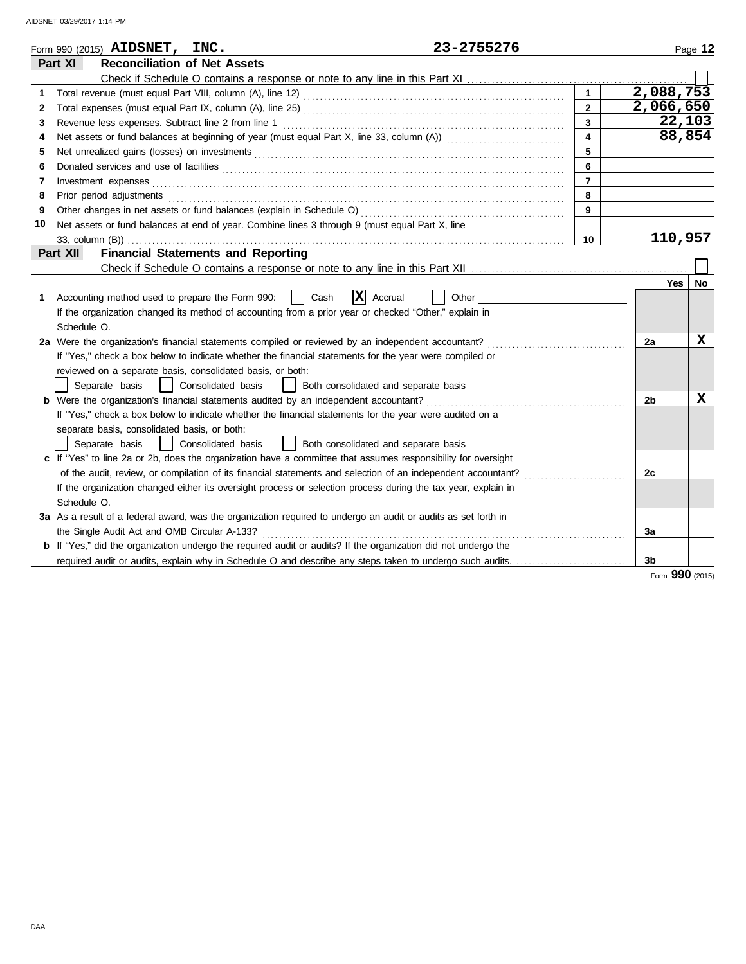| <b>Reconciliation of Net Assets</b><br>Part XI<br>2,088,753<br>$\mathbf{1}$<br>1<br>2,066,650<br>$\overline{2}$<br>2<br>$\overline{3}$<br>Revenue less expenses. Subtract line 2 from line 1<br>3<br>$\overline{4}$<br>4<br>5<br>5<br>6<br>6<br>$\overline{7}$<br>7<br>8<br>Prior period adjustments entertainments and adjustments and account of the contract of the contract of the contract of the contract of the contract of the contract of the contract of the contract of the contract of the con<br>8<br>9<br>9<br>Net assets or fund balances at end of year. Combine lines 3 through 9 (must equal Part X, line<br>10<br>110,957<br>10<br><b>Financial Statements and Reporting</b><br>Part XII<br><b>Yes</b><br>$ \mathbf{X} $ Accrual<br>Accounting method used to prepare the Form 990:<br>Cash<br>Other<br>1 | Page 12 |
|------------------------------------------------------------------------------------------------------------------------------------------------------------------------------------------------------------------------------------------------------------------------------------------------------------------------------------------------------------------------------------------------------------------------------------------------------------------------------------------------------------------------------------------------------------------------------------------------------------------------------------------------------------------------------------------------------------------------------------------------------------------------------------------------------------------------------|---------|
|                                                                                                                                                                                                                                                                                                                                                                                                                                                                                                                                                                                                                                                                                                                                                                                                                              |         |
|                                                                                                                                                                                                                                                                                                                                                                                                                                                                                                                                                                                                                                                                                                                                                                                                                              |         |
|                                                                                                                                                                                                                                                                                                                                                                                                                                                                                                                                                                                                                                                                                                                                                                                                                              |         |
|                                                                                                                                                                                                                                                                                                                                                                                                                                                                                                                                                                                                                                                                                                                                                                                                                              |         |
|                                                                                                                                                                                                                                                                                                                                                                                                                                                                                                                                                                                                                                                                                                                                                                                                                              | 22,103  |
|                                                                                                                                                                                                                                                                                                                                                                                                                                                                                                                                                                                                                                                                                                                                                                                                                              | 88,854  |
|                                                                                                                                                                                                                                                                                                                                                                                                                                                                                                                                                                                                                                                                                                                                                                                                                              |         |
|                                                                                                                                                                                                                                                                                                                                                                                                                                                                                                                                                                                                                                                                                                                                                                                                                              |         |
|                                                                                                                                                                                                                                                                                                                                                                                                                                                                                                                                                                                                                                                                                                                                                                                                                              |         |
|                                                                                                                                                                                                                                                                                                                                                                                                                                                                                                                                                                                                                                                                                                                                                                                                                              |         |
|                                                                                                                                                                                                                                                                                                                                                                                                                                                                                                                                                                                                                                                                                                                                                                                                                              |         |
|                                                                                                                                                                                                                                                                                                                                                                                                                                                                                                                                                                                                                                                                                                                                                                                                                              |         |
|                                                                                                                                                                                                                                                                                                                                                                                                                                                                                                                                                                                                                                                                                                                                                                                                                              |         |
|                                                                                                                                                                                                                                                                                                                                                                                                                                                                                                                                                                                                                                                                                                                                                                                                                              |         |
|                                                                                                                                                                                                                                                                                                                                                                                                                                                                                                                                                                                                                                                                                                                                                                                                                              |         |
|                                                                                                                                                                                                                                                                                                                                                                                                                                                                                                                                                                                                                                                                                                                                                                                                                              | No      |
|                                                                                                                                                                                                                                                                                                                                                                                                                                                                                                                                                                                                                                                                                                                                                                                                                              |         |
| If the organization changed its method of accounting from a prior year or checked "Other," explain in                                                                                                                                                                                                                                                                                                                                                                                                                                                                                                                                                                                                                                                                                                                        |         |
| Schedule O.                                                                                                                                                                                                                                                                                                                                                                                                                                                                                                                                                                                                                                                                                                                                                                                                                  |         |
| 2a Were the organization's financial statements compiled or reviewed by an independent accountant?<br>2a                                                                                                                                                                                                                                                                                                                                                                                                                                                                                                                                                                                                                                                                                                                     | x       |
| If "Yes," check a box below to indicate whether the financial statements for the year were compiled or                                                                                                                                                                                                                                                                                                                                                                                                                                                                                                                                                                                                                                                                                                                       |         |
| reviewed on a separate basis, consolidated basis, or both:                                                                                                                                                                                                                                                                                                                                                                                                                                                                                                                                                                                                                                                                                                                                                                   |         |
| Separate basis<br>Consolidated basis<br>  Both consolidated and separate basis                                                                                                                                                                                                                                                                                                                                                                                                                                                                                                                                                                                                                                                                                                                                               |         |
| <b>b</b> Were the organization's financial statements audited by an independent accountant?<br>2 <sub>b</sub>                                                                                                                                                                                                                                                                                                                                                                                                                                                                                                                                                                                                                                                                                                                | X       |
| If "Yes," check a box below to indicate whether the financial statements for the year were audited on a                                                                                                                                                                                                                                                                                                                                                                                                                                                                                                                                                                                                                                                                                                                      |         |
| separate basis, consolidated basis, or both:                                                                                                                                                                                                                                                                                                                                                                                                                                                                                                                                                                                                                                                                                                                                                                                 |         |
| Separate basis<br>Consolidated basis<br>  Both consolidated and separate basis                                                                                                                                                                                                                                                                                                                                                                                                                                                                                                                                                                                                                                                                                                                                               |         |
| c If "Yes" to line 2a or 2b, does the organization have a committee that assumes responsibility for oversight                                                                                                                                                                                                                                                                                                                                                                                                                                                                                                                                                                                                                                                                                                                |         |
| of the audit, review, or compilation of its financial statements and selection of an independent accountant?<br>2c                                                                                                                                                                                                                                                                                                                                                                                                                                                                                                                                                                                                                                                                                                           |         |
| If the organization changed either its oversight process or selection process during the tax year, explain in                                                                                                                                                                                                                                                                                                                                                                                                                                                                                                                                                                                                                                                                                                                |         |
| Schedule O.                                                                                                                                                                                                                                                                                                                                                                                                                                                                                                                                                                                                                                                                                                                                                                                                                  |         |
| 3a As a result of a federal award, was the organization required to undergo an audit or audits as set forth in                                                                                                                                                                                                                                                                                                                                                                                                                                                                                                                                                                                                                                                                                                               |         |
| the Single Audit Act and OMB Circular A-133?<br>3a                                                                                                                                                                                                                                                                                                                                                                                                                                                                                                                                                                                                                                                                                                                                                                           |         |
| <b>b</b> If "Yes," did the organization undergo the required audit or audits? If the organization did not undergo the                                                                                                                                                                                                                                                                                                                                                                                                                                                                                                                                                                                                                                                                                                        |         |
| 3 <sub>b</sub>                                                                                                                                                                                                                                                                                                                                                                                                                                                                                                                                                                                                                                                                                                                                                                                                               |         |

Form **990** (2015)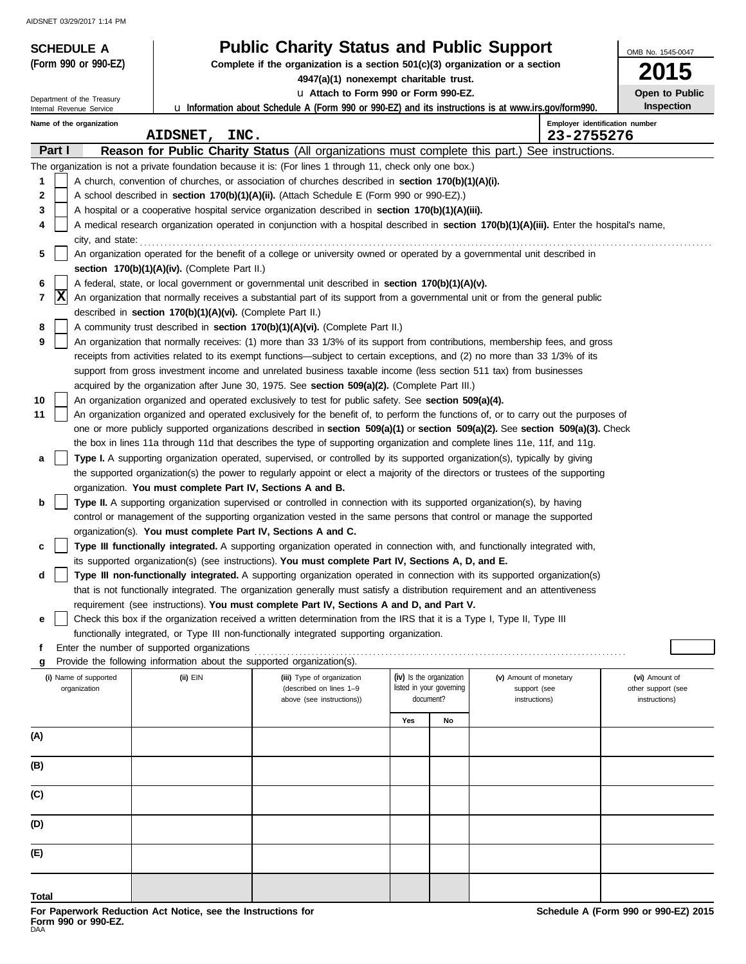| <b>SCHEDULE A</b>                     |                                                                                                                                                                                                 | <b>Public Charity Status and Public Support</b>                                                                                                                                                                                                          |     |                                                      |                                        | OMB No. 1545-0047                    |  |  |  |  |  |
|---------------------------------------|-------------------------------------------------------------------------------------------------------------------------------------------------------------------------------------------------|----------------------------------------------------------------------------------------------------------------------------------------------------------------------------------------------------------------------------------------------------------|-----|------------------------------------------------------|----------------------------------------|--------------------------------------|--|--|--|--|--|
| (Form 990 or 990-EZ)                  |                                                                                                                                                                                                 | Complete if the organization is a section $501(c)(3)$ organization or a section                                                                                                                                                                          |     |                                                      |                                        | <b>2015</b>                          |  |  |  |  |  |
| Department of the Treasury            |                                                                                                                                                                                                 | 4947(a)(1) nonexempt charitable trust.<br>u Attach to Form 990 or Form 990-EZ.                                                                                                                                                                           |     |                                                      |                                        | Open to Public                       |  |  |  |  |  |
| Internal Revenue Service              |                                                                                                                                                                                                 | <b>u</b> Information about Schedule A (Form 990 or 990-EZ) and its instructions is at www.irs.gov/form990.                                                                                                                                               |     |                                                      |                                        | <b>Inspection</b>                    |  |  |  |  |  |
| Name of the organization              | AIDSNET, INC.                                                                                                                                                                                   |                                                                                                                                                                                                                                                          |     |                                                      | 23-2755276                             | Employer identification number       |  |  |  |  |  |
| Part I                                |                                                                                                                                                                                                 | Reason for Public Charity Status (All organizations must complete this part.) See instructions.                                                                                                                                                          |     |                                                      |                                        |                                      |  |  |  |  |  |
|                                       |                                                                                                                                                                                                 | The organization is not a private foundation because it is: (For lines 1 through 11, check only one box.)                                                                                                                                                |     |                                                      |                                        |                                      |  |  |  |  |  |
| 1                                     |                                                                                                                                                                                                 | A church, convention of churches, or association of churches described in section 170(b)(1)(A)(i).                                                                                                                                                       |     |                                                      |                                        |                                      |  |  |  |  |  |
| 2<br>3                                |                                                                                                                                                                                                 | A school described in section 170(b)(1)(A)(ii). (Attach Schedule E (Form 990 or 990-EZ).)<br>A hospital or a cooperative hospital service organization described in section 170(b)(1)(A)(iii).                                                           |     |                                                      |                                        |                                      |  |  |  |  |  |
| 4                                     |                                                                                                                                                                                                 | A medical research organization operated in conjunction with a hospital described in section 170(b)(1)(A)(iii). Enter the hospital's name,                                                                                                               |     |                                                      |                                        |                                      |  |  |  |  |  |
| city, and state:                      |                                                                                                                                                                                                 |                                                                                                                                                                                                                                                          |     |                                                      |                                        |                                      |  |  |  |  |  |
| 5                                     |                                                                                                                                                                                                 | An organization operated for the benefit of a college or university owned or operated by a governmental unit described in                                                                                                                                |     |                                                      |                                        |                                      |  |  |  |  |  |
|                                       | section $170(b)(1)(A)(iv)$ . (Complete Part II.)                                                                                                                                                |                                                                                                                                                                                                                                                          |     |                                                      |                                        |                                      |  |  |  |  |  |
| X                                     | A federal, state, or local government or governmental unit described in section 170(b)(1)(A)(v).<br>6                                                                                           |                                                                                                                                                                                                                                                          |     |                                                      |                                        |                                      |  |  |  |  |  |
|                                       | 7<br>An organization that normally receives a substantial part of its support from a governmental unit or from the general public<br>described in section 170(b)(1)(A)(vi). (Complete Part II.) |                                                                                                                                                                                                                                                          |     |                                                      |                                        |                                      |  |  |  |  |  |
| 8                                     |                                                                                                                                                                                                 | A community trust described in section 170(b)(1)(A)(vi). (Complete Part II.)                                                                                                                                                                             |     |                                                      |                                        |                                      |  |  |  |  |  |
| 9                                     |                                                                                                                                                                                                 | An organization that normally receives: (1) more than 33 1/3% of its support from contributions, membership fees, and gross                                                                                                                              |     |                                                      |                                        |                                      |  |  |  |  |  |
|                                       |                                                                                                                                                                                                 | receipts from activities related to its exempt functions—subject to certain exceptions, and (2) no more than 33 1/3% of its                                                                                                                              |     |                                                      |                                        |                                      |  |  |  |  |  |
|                                       |                                                                                                                                                                                                 | support from gross investment income and unrelated business taxable income (less section 511 tax) from businesses<br>acquired by the organization after June 30, 1975. See section 509(a)(2). (Complete Part III.)                                       |     |                                                      |                                        |                                      |  |  |  |  |  |
| 10                                    |                                                                                                                                                                                                 | An organization organized and operated exclusively to test for public safety. See section 509(a)(4).                                                                                                                                                     |     |                                                      |                                        |                                      |  |  |  |  |  |
| 11                                    |                                                                                                                                                                                                 | An organization organized and operated exclusively for the benefit of, to perform the functions of, or to carry out the purposes of                                                                                                                      |     |                                                      |                                        |                                      |  |  |  |  |  |
|                                       |                                                                                                                                                                                                 | one or more publicly supported organizations described in section 509(a)(1) or section 509(a)(2). See section 509(a)(3). Check                                                                                                                           |     |                                                      |                                        |                                      |  |  |  |  |  |
|                                       |                                                                                                                                                                                                 | the box in lines 11a through 11d that describes the type of supporting organization and complete lines 11e, 11f, and 11g.<br>Type I. A supporting organization operated, supervised, or controlled by its supported organization(s), typically by giving |     |                                                      |                                        |                                      |  |  |  |  |  |
| а                                     |                                                                                                                                                                                                 | the supported organization(s) the power to regularly appoint or elect a majority of the directors or trustees of the supporting                                                                                                                          |     |                                                      |                                        |                                      |  |  |  |  |  |
|                                       | organization. You must complete Part IV, Sections A and B.                                                                                                                                      |                                                                                                                                                                                                                                                          |     |                                                      |                                        |                                      |  |  |  |  |  |
| b                                     |                                                                                                                                                                                                 | Type II. A supporting organization supervised or controlled in connection with its supported organization(s), by having                                                                                                                                  |     |                                                      |                                        |                                      |  |  |  |  |  |
|                                       |                                                                                                                                                                                                 | control or management of the supporting organization vested in the same persons that control or manage the supported                                                                                                                                     |     |                                                      |                                        |                                      |  |  |  |  |  |
|                                       | organization(s). You must complete Part IV, Sections A and C.                                                                                                                                   | Type III functionally integrated. A supporting organization operated in connection with, and functionally integrated with,                                                                                                                               |     |                                                      |                                        |                                      |  |  |  |  |  |
| c                                     |                                                                                                                                                                                                 | its supported organization(s) (see instructions). You must complete Part IV, Sections A, D, and E.                                                                                                                                                       |     |                                                      |                                        |                                      |  |  |  |  |  |
|                                       |                                                                                                                                                                                                 | Type III non-functionally integrated. A supporting organization operated in connection with its supported organization(s)                                                                                                                                |     |                                                      |                                        |                                      |  |  |  |  |  |
|                                       |                                                                                                                                                                                                 | that is not functionally integrated. The organization generally must satisfy a distribution requirement and an attentiveness                                                                                                                             |     |                                                      |                                        |                                      |  |  |  |  |  |
|                                       |                                                                                                                                                                                                 | requirement (see instructions). You must complete Part IV, Sections A and D, and Part V.                                                                                                                                                                 |     |                                                      |                                        |                                      |  |  |  |  |  |
| е                                     |                                                                                                                                                                                                 | Check this box if the organization received a written determination from the IRS that it is a Type I, Type II, Type III<br>functionally integrated, or Type III non-functionally integrated supporting organization.                                     |     |                                                      |                                        |                                      |  |  |  |  |  |
| f                                     | Enter the number of supported organizations                                                                                                                                                     |                                                                                                                                                                                                                                                          |     |                                                      |                                        |                                      |  |  |  |  |  |
| g                                     | Provide the following information about the supported organization(s).                                                                                                                          |                                                                                                                                                                                                                                                          |     |                                                      |                                        |                                      |  |  |  |  |  |
| (i) Name of supported<br>organization | (ii) EIN                                                                                                                                                                                        | (iii) Type of organization<br>(described on lines 1-9                                                                                                                                                                                                    |     | (iv) Is the organization<br>listed in your governing | (v) Amount of monetary<br>support (see | (vi) Amount of<br>other support (see |  |  |  |  |  |
|                                       |                                                                                                                                                                                                 | above (see instructions))                                                                                                                                                                                                                                |     | document?                                            | instructions)                          | instructions)                        |  |  |  |  |  |
|                                       |                                                                                                                                                                                                 |                                                                                                                                                                                                                                                          | Yes | No                                                   |                                        |                                      |  |  |  |  |  |
| (A)                                   |                                                                                                                                                                                                 |                                                                                                                                                                                                                                                          |     |                                                      |                                        |                                      |  |  |  |  |  |
| (B)                                   |                                                                                                                                                                                                 |                                                                                                                                                                                                                                                          |     |                                                      |                                        |                                      |  |  |  |  |  |
| (C)                                   |                                                                                                                                                                                                 |                                                                                                                                                                                                                                                          |     |                                                      |                                        |                                      |  |  |  |  |  |
|                                       |                                                                                                                                                                                                 |                                                                                                                                                                                                                                                          |     |                                                      |                                        |                                      |  |  |  |  |  |
| (D)                                   |                                                                                                                                                                                                 |                                                                                                                                                                                                                                                          |     |                                                      |                                        |                                      |  |  |  |  |  |
| (E)                                   |                                                                                                                                                                                                 |                                                                                                                                                                                                                                                          |     |                                                      |                                        |                                      |  |  |  |  |  |
| Total                                 |                                                                                                                                                                                                 |                                                                                                                                                                                                                                                          |     |                                                      |                                        |                                      |  |  |  |  |  |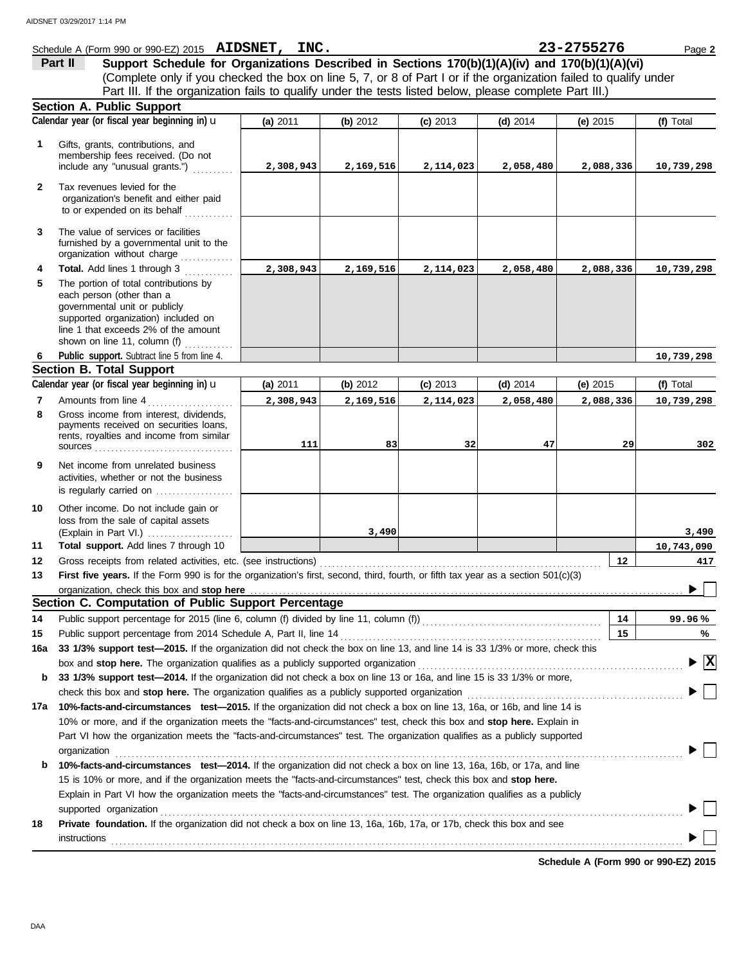|              | Schedule A (Form 990 or 990-EZ) 2015 AIDSNET, INC.                                                                                 |           |            |            |            | 23-2755276 | Page 2                          |
|--------------|------------------------------------------------------------------------------------------------------------------------------------|-----------|------------|------------|------------|------------|---------------------------------|
|              | Support Schedule for Organizations Described in Sections 170(b)(1)(A)(iv) and 170(b)(1)(A)(vi)<br>Part II                          |           |            |            |            |            |                                 |
|              | (Complete only if you checked the box on line 5, 7, or 8 of Part I or if the organization failed to qualify under                  |           |            |            |            |            |                                 |
|              | Part III. If the organization fails to qualify under the tests listed below, please complete Part III.)                            |           |            |            |            |            |                                 |
|              | Section A. Public Support                                                                                                          |           |            |            |            |            |                                 |
|              | Calendar year (or fiscal year beginning in) u                                                                                      | (a) 2011  | (b) $2012$ | $(c)$ 2013 | $(d)$ 2014 | (e) $2015$ | (f) Total                       |
| 1            | Gifts, grants, contributions, and                                                                                                  |           |            |            |            |            |                                 |
|              | membership fees received. (Do not                                                                                                  |           |            |            |            |            |                                 |
|              | include any "unusual grants.")                                                                                                     | 2,308,943 | 2,169,516  | 2,114,023  | 2,058,480  | 2,088,336  | 10,739,298                      |
| $\mathbf{2}$ | Tax revenues levied for the                                                                                                        |           |            |            |            |            |                                 |
|              | organization's benefit and either paid                                                                                             |           |            |            |            |            |                                 |
|              | to or expended on its behalf                                                                                                       |           |            |            |            |            |                                 |
| 3            | The value of services or facilities                                                                                                |           |            |            |            |            |                                 |
|              | furnished by a governmental unit to the                                                                                            |           |            |            |            |            |                                 |
|              | organization without charge                                                                                                        |           |            |            |            |            |                                 |
| 4            | Total. Add lines 1 through 3                                                                                                       | 2,308,943 | 2,169,516  | 2,114,023  | 2,058,480  | 2,088,336  | 10,739,298                      |
| 5            | The portion of total contributions by                                                                                              |           |            |            |            |            |                                 |
|              | each person (other than a<br>governmental unit or publicly                                                                         |           |            |            |            |            |                                 |
|              | supported organization) included on                                                                                                |           |            |            |            |            |                                 |
|              | line 1 that exceeds 2% of the amount                                                                                               |           |            |            |            |            |                                 |
|              | shown on line 11, column (f)                                                                                                       |           |            |            |            |            |                                 |
| 6            | Public support. Subtract line 5 from line 4.                                                                                       |           |            |            |            |            | 10,739,298                      |
|              | <b>Section B. Total Support</b>                                                                                                    |           |            |            |            |            |                                 |
|              | Calendar year (or fiscal year beginning in) u                                                                                      | (a) 2011  | (b) $2012$ | $(c)$ 2013 | $(d)$ 2014 | (e) $2015$ | (f) Total                       |
| 7            | Amounts from line 4                                                                                                                | 2,308,943 | 2,169,516  | 2,114,023  | 2,058,480  | 2,088,336  | 10,739,298                      |
| 8            | Gross income from interest, dividends,<br>payments received on securities loans,                                                   |           |            |            |            |            |                                 |
|              | rents, royalties and income from similar                                                                                           |           |            |            |            |            |                                 |
|              |                                                                                                                                    | 111       | 83         | 32         | 47         | 29         | 302                             |
| 9            | Net income from unrelated business                                                                                                 |           |            |            |            |            |                                 |
|              | activities, whether or not the business                                                                                            |           |            |            |            |            |                                 |
|              | is regularly carried on                                                                                                            |           |            |            |            |            |                                 |
| 10           | Other income. Do not include gain or                                                                                               |           |            |            |            |            |                                 |
|              | loss from the sale of capital assets                                                                                               |           | 3,490      |            |            |            | 3,490                           |
| 11           | (Explain in Part VI.)<br>Total support. Add lines 7 through 10                                                                     |           |            |            |            |            | 10,743,090                      |
| 12           | Gross receipts from related activities, etc. (see instructions)                                                                    |           |            |            |            | 12         | 417                             |
| 13           | First five years. If the Form 990 is for the organization's first, second, third, fourth, or fifth tax year as a section 501(c)(3) |           |            |            |            |            |                                 |
|              |                                                                                                                                    |           |            |            |            |            |                                 |
|              | Section C. Computation of Public Support Percentage                                                                                |           |            |            |            |            |                                 |
| 14           | Public support percentage for 2015 (line 6, column (f) divided by line 11, column (f)) [[[[[[[[[[[[[[[[[[[[[[                      |           |            |            |            | 14         | 99.96%                          |
| 15           | Public support percentage from 2014 Schedule A, Part II, line 14                                                                   |           |            |            |            | 15         | %                               |
| 16a          | 33 1/3% support test-2015. If the organization did not check the box on line 13, and line 14 is 33 1/3% or more, check this        |           |            |            |            |            |                                 |
|              | box and stop here. The organization qualifies as a publicly supported organization                                                 |           |            |            |            |            | $\blacktriangleright$ $\vert$ X |
| b            | 33 1/3% support test-2014. If the organization did not check a box on line 13 or 16a, and line 15 is 33 1/3% or more,              |           |            |            |            |            |                                 |
|              | check this box and stop here. The organization qualifies as a publicly supported organization                                      |           |            |            |            |            |                                 |
| 17а          | 10%-facts-and-circumstances test-2015. If the organization did not check a box on line 13, 16a, or 16b, and line 14 is             |           |            |            |            |            |                                 |
|              | 10% or more, and if the organization meets the "facts-and-circumstances" test, check this box and stop here. Explain in            |           |            |            |            |            |                                 |
|              | Part VI how the organization meets the "facts-and-circumstances" test. The organization qualifies as a publicly supported          |           |            |            |            |            |                                 |
|              | organization                                                                                                                       |           |            |            |            |            |                                 |
| b            | 10%-facts-and-circumstances test-2014. If the organization did not check a box on line 13, 16a, 16b, or 17a, and line              |           |            |            |            |            |                                 |
|              | 15 is 10% or more, and if the organization meets the "facts-and-circumstances" test, check this box and stop here.                 |           |            |            |            |            |                                 |
|              | Explain in Part VI how the organization meets the "facts-and-circumstances" test. The organization qualifies as a publicly         |           |            |            |            |            |                                 |
|              | supported organization                                                                                                             |           |            |            |            |            |                                 |
| 18           | Private foundation. If the organization did not check a box on line 13, 16a, 16b, 17a, or 17b, check this box and see              |           |            |            |            |            |                                 |
|              | instructions                                                                                                                       |           |            |            |            |            |                                 |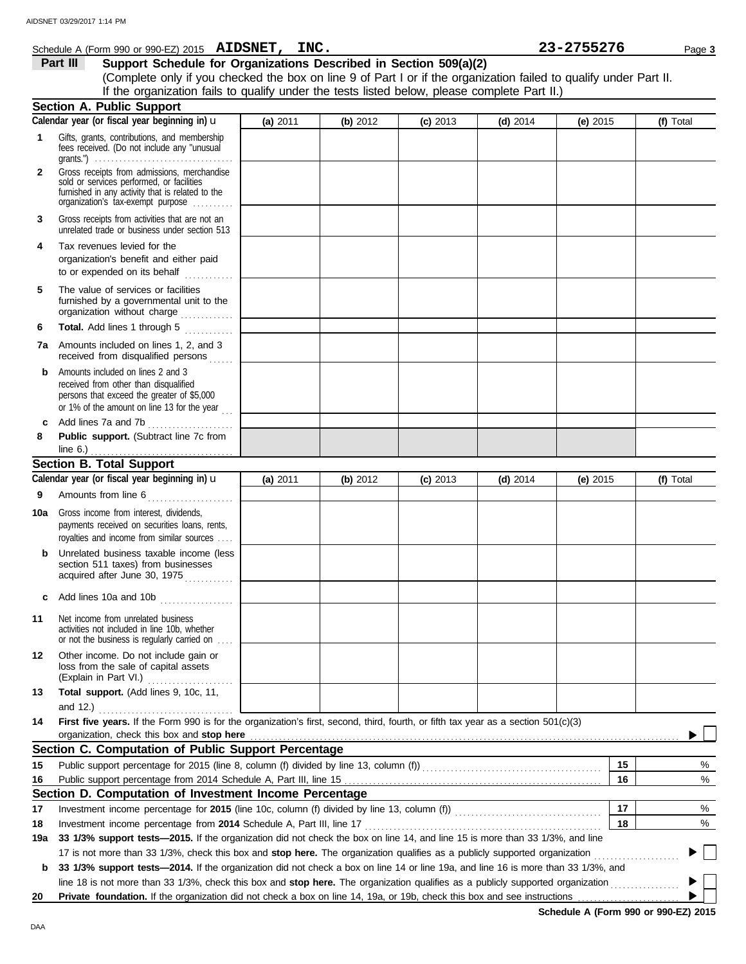|              | Support Schedule for Organizations Described in Section 509(a)(2)<br>Part III<br>(Complete only if you checked the box on line 9 of Part I or if the organization failed to qualify under Part II.                                                                                                                                                                   |          |          |            |            |            |           |
|--------------|----------------------------------------------------------------------------------------------------------------------------------------------------------------------------------------------------------------------------------------------------------------------------------------------------------------------------------------------------------------------|----------|----------|------------|------------|------------|-----------|
|              | If the organization fails to qualify under the tests listed below, please complete Part II.)                                                                                                                                                                                                                                                                         |          |          |            |            |            |           |
|              | <b>Section A. Public Support</b>                                                                                                                                                                                                                                                                                                                                     |          |          |            |            |            |           |
|              | Calendar year (or fiscal year beginning in) u                                                                                                                                                                                                                                                                                                                        | (a) 2011 | (b) 2012 | $(c)$ 2013 | (d) $2014$ | (e) $2015$ | (f) Total |
| $\mathbf{1}$ | Gifts, grants, contributions, and membership<br>fees received. (Do not include any "unusual                                                                                                                                                                                                                                                                          |          |          |            |            |            |           |
| $\mathbf{2}$ | Gross receipts from admissions, merchandise<br>sold or services performed, or facilities<br>furnished in any activity that is related to the<br>organization's tax-exempt purpose                                                                                                                                                                                    |          |          |            |            |            |           |
| 3            | Gross receipts from activities that are not an<br>unrelated trade or business under section 513                                                                                                                                                                                                                                                                      |          |          |            |            |            |           |
| 4            | Tax revenues levied for the<br>organization's benefit and either paid<br>to or expended on its behalf                                                                                                                                                                                                                                                                |          |          |            |            |            |           |
| 5            | The value of services or facilities<br>furnished by a governmental unit to the<br>organization without charge                                                                                                                                                                                                                                                        |          |          |            |            |            |           |
| 6            | Total. Add lines 1 through 5                                                                                                                                                                                                                                                                                                                                         |          |          |            |            |            |           |
| 7a           | Amounts included on lines 1, 2, and 3<br>received from disqualified persons                                                                                                                                                                                                                                                                                          |          |          |            |            |            |           |
| b            | Amounts included on lines 2 and 3<br>received from other than disqualified<br>persons that exceed the greater of \$5,000<br>or 1% of the amount on line 13 for the year $\sim$                                                                                                                                                                                       |          |          |            |            |            |           |
| c            | Add lines 7a and 7b                                                                                                                                                                                                                                                                                                                                                  |          |          |            |            |            |           |
| 8            | Public support. (Subtract line 7c from<br>line 6.) $\frac{1}{2}$ $\frac{1}{2}$ $\frac{1}{2}$ $\frac{1}{2}$ $\frac{1}{2}$ $\frac{1}{2}$                                                                                                                                                                                                                               |          |          |            |            |            |           |
|              | <b>Section B. Total Support</b>                                                                                                                                                                                                                                                                                                                                      |          |          |            |            |            |           |
|              | Calendar year (or fiscal year beginning in) $\mathbf u$                                                                                                                                                                                                                                                                                                              | (a) 2011 | (b) 2012 | $(c)$ 2013 | $(d)$ 2014 | (e) $2015$ | (f) Total |
| 9            |                                                                                                                                                                                                                                                                                                                                                                      |          |          |            |            |            |           |
| 10a          | Gross income from interest, dividends,<br>payments received on securities loans, rents,<br>royalties and income from similar sources                                                                                                                                                                                                                                 |          |          |            |            |            |           |
| b            | Unrelated business taxable income (less<br>section 511 taxes) from businesses<br>acquired after June 30, 1975                                                                                                                                                                                                                                                        |          |          |            |            |            |           |
| c            | Add lines 10a and 10b<br>.                                                                                                                                                                                                                                                                                                                                           |          |          |            |            |            |           |
| 11           | Net income from unrelated business<br>activities not included in line 10b, whether<br>or not the business is regularly carried on                                                                                                                                                                                                                                    |          |          |            |            |            |           |
| 12           | Other income. Do not include gain or<br>loss from the sale of capital assets<br>(Explain in Part VI.)                                                                                                                                                                                                                                                                |          |          |            |            |            |           |
| 13           | Total support. (Add lines 9, 10c, 11,<br>and 12.) $\ldots$                                                                                                                                                                                                                                                                                                           |          |          |            |            |            |           |
| 14           | First five years. If the Form 990 is for the organization's first, second, third, fourth, or fifth tax year as a section 501(c)(3)<br>organization, check this box and stop here manufactured and content of the state of the state of the state of the state of the state of the state of the state of the state of the state of the state of the state of the stat |          |          |            |            |            |           |
|              | Section C. Computation of Public Support Percentage                                                                                                                                                                                                                                                                                                                  |          |          |            |            |            |           |
| 15           | Public support percentage for 2015 (line 8, column (f) divided by line 13, column (f)) [[[[[[[[[[[[[[[[[[[[[[                                                                                                                                                                                                                                                        |          |          |            |            | 15         | %         |
| 16           |                                                                                                                                                                                                                                                                                                                                                                      |          |          |            |            | 16         | %         |
|              | Section D. Computation of Investment Income Percentage                                                                                                                                                                                                                                                                                                               |          |          |            |            |            |           |
| 17           | Investment income percentage for 2015 (line 10c, column (f) divided by line 13, column (f)) [[[[[[[[[[[[[[[[[[                                                                                                                                                                                                                                                       |          |          |            |            | 17         | %         |
| 18           | Investment income percentage from 2014 Schedule A, Part III, line 17                                                                                                                                                                                                                                                                                                 |          |          |            |            | 18         | %         |
| 19a          | 33 1/3% support tests-2015. If the organization did not check the box on line 14, and line 15 is more than 33 1/3%, and line                                                                                                                                                                                                                                         |          |          |            |            |            |           |
|              | 17 is not more than 33 1/3%, check this box and stop here. The organization qualifies as a publicly supported organization                                                                                                                                                                                                                                           |          |          |            |            |            |           |
| b            | 33 1/3% support tests—2014. If the organization did not check a box on line 14 or line 19a, and line 16 is more than 33 1/3%, and                                                                                                                                                                                                                                    |          |          |            |            |            |           |
|              | line 18 is not more than 33 1/3%, check this box and stop here. The organization qualifies as a publicly supported organization <i>mimimimim</i>                                                                                                                                                                                                                     |          |          |            |            |            |           |
| 20           | Private foundation. If the organization did not check a box on line 14, 19a, or 19b, check this box and see instructions                                                                                                                                                                                                                                             |          |          |            |            |            |           |

**Schedule A (Form 990 or 990-EZ) 2015**

**AIDSNET, INC. 23-2755276**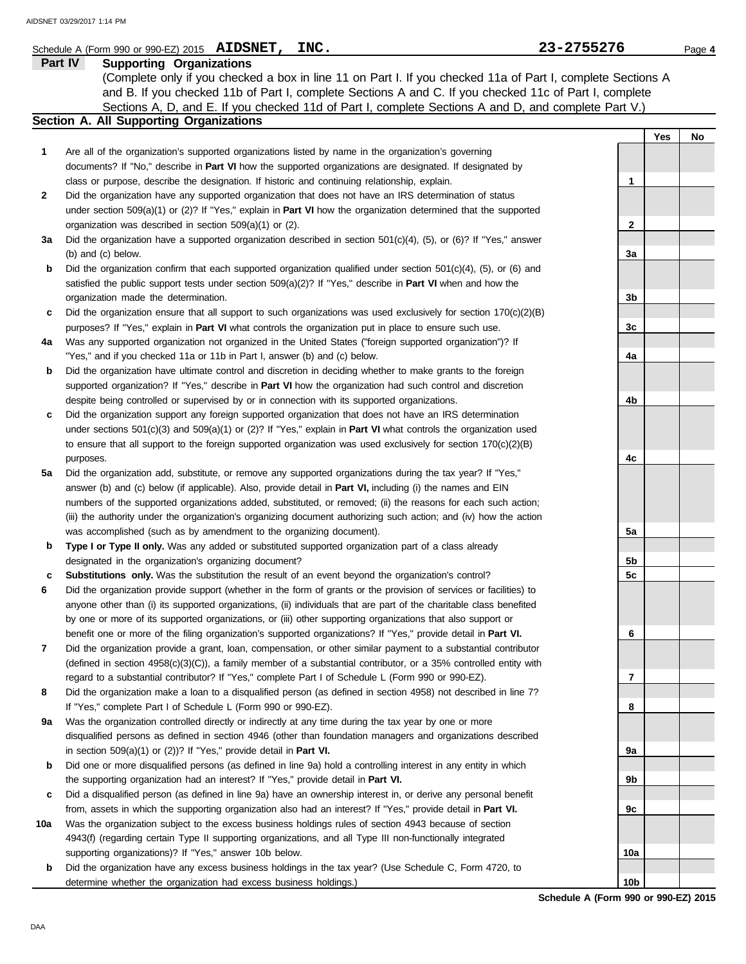### Schedule A (Form 990 or 990-EZ) 2015 **AIDSNET, INC.**  $\bullet$  23 = 2755276 Page 4

|              | Part IV<br><b>Supporting Organizations</b>                                                                             |   |     |    |
|--------------|------------------------------------------------------------------------------------------------------------------------|---|-----|----|
|              | (Complete only if you checked a box in line 11 on Part I. If you checked 11a of Part I, complete Sections A            |   |     |    |
|              | and B. If you checked 11b of Part I, complete Sections A and C. If you checked 11c of Part I, complete                 |   |     |    |
|              | Sections A, D, and E. If you checked 11d of Part I, complete Sections A and D, and complete Part V.)                   |   |     |    |
|              | Section A. All Supporting Organizations                                                                                |   |     |    |
|              |                                                                                                                        |   | Yes | No |
|              | Are all of the organization's supported organizations listed by name in the organization's governing                   |   |     |    |
|              | documents? If "No," describe in <b>Part VI</b> how the supported organizations are designated. If designated by        |   |     |    |
|              | class or purpose, describe the designation. If historic and continuing relationship, explain.                          |   |     |    |
| $\mathbf{2}$ | Did the organization have any supported organization that does not have an IRS determination of status                 |   |     |    |
|              | under section 509(a)(1) or (2)? If "Yes," explain in <b>Part VI</b> how the organization determined that the supported |   |     |    |
|              | organization was described in section 509(a)(1) or (2).                                                                | 2 |     |    |
|              | 20. Did the examination house a supported examination described in section $E(1/\sqrt{d})/E$ or $(E)$ if "Yes" enguier |   |     |    |

- **3a** Did the organization have a supported organization described in section 501(c)(4), (5), or (6)? If "Yes," answer (b) and (c) below.
- **b** Did the organization confirm that each supported organization qualified under section 501(c)(4), (5), or (6) and satisfied the public support tests under section 509(a)(2)? If "Yes," describe in **Part VI** when and how the organization made the determination.
- **c** Did the organization ensure that all support to such organizations was used exclusively for section 170(c)(2)(B) purposes? If "Yes," explain in **Part VI** what controls the organization put in place to ensure such use.
- **4a** Was any supported organization not organized in the United States ("foreign supported organization")? If "Yes," and if you checked 11a or 11b in Part I, answer (b) and (c) below.
- **b** Did the organization have ultimate control and discretion in deciding whether to make grants to the foreign supported organization? If "Yes," describe in **Part VI** how the organization had such control and discretion despite being controlled or supervised by or in connection with its supported organizations.
- **c** Did the organization support any foreign supported organization that does not have an IRS determination under sections 501(c)(3) and 509(a)(1) or (2)? If "Yes," explain in **Part VI** what controls the organization used to ensure that all support to the foreign supported organization was used exclusively for section 170(c)(2)(B) purposes.
- **5a** Did the organization add, substitute, or remove any supported organizations during the tax year? If "Yes," answer (b) and (c) below (if applicable). Also, provide detail in **Part VI,** including (i) the names and EIN numbers of the supported organizations added, substituted, or removed; (ii) the reasons for each such action; (iii) the authority under the organization's organizing document authorizing such action; and (iv) how the action was accomplished (such as by amendment to the organizing document).
- **b Type I or Type II only.** Was any added or substituted supported organization part of a class already designated in the organization's organizing document?
- **c Substitutions only.** Was the substitution the result of an event beyond the organization's control?
- **6** Did the organization provide support (whether in the form of grants or the provision of services or facilities) to anyone other than (i) its supported organizations, (ii) individuals that are part of the charitable class benefited by one or more of its supported organizations, or (iii) other supporting organizations that also support or benefit one or more of the filing organization's supported organizations? If "Yes," provide detail in **Part VI.**
- **7** Did the organization provide a grant, loan, compensation, or other similar payment to a substantial contributor (defined in section 4958(c)(3)(C)), a family member of a substantial contributor, or a 35% controlled entity with regard to a substantial contributor? If "Yes," complete Part I of Schedule L (Form 990 or 990-EZ).
- **8** Did the organization make a loan to a disqualified person (as defined in section 4958) not described in line 7? If "Yes," complete Part I of Schedule L (Form 990 or 990-EZ).
- **9a** Was the organization controlled directly or indirectly at any time during the tax year by one or more disqualified persons as defined in section 4946 (other than foundation managers and organizations described in section 509(a)(1) or (2))? If "Yes," provide detail in **Part VI.**
- **b** Did one or more disqualified persons (as defined in line 9a) hold a controlling interest in any entity in which the supporting organization had an interest? If "Yes," provide detail in **Part VI.**
- **c** Did a disqualified person (as defined in line 9a) have an ownership interest in, or derive any personal benefit from, assets in which the supporting organization also had an interest? If "Yes," provide detail in **Part VI.**
- **10a** Was the organization subject to the excess business holdings rules of section 4943 because of section 4943(f) (regarding certain Type II supporting organizations, and all Type III non-functionally integrated supporting organizations)? If "Yes," answer 10b below.
	- **b** Did the organization have any excess business holdings in the tax year? (Use Schedule C, Form 4720, to determine whether the organization had excess business holdings.)

**3a 3b 3c 4a 4b 4c 5a 5b 5c 6 7 8 9a 9b 9c 10a**

**10b**

**Schedule A (Form 990 or 990-EZ) 2015**

**AIDSNET, INC. 23-2755276**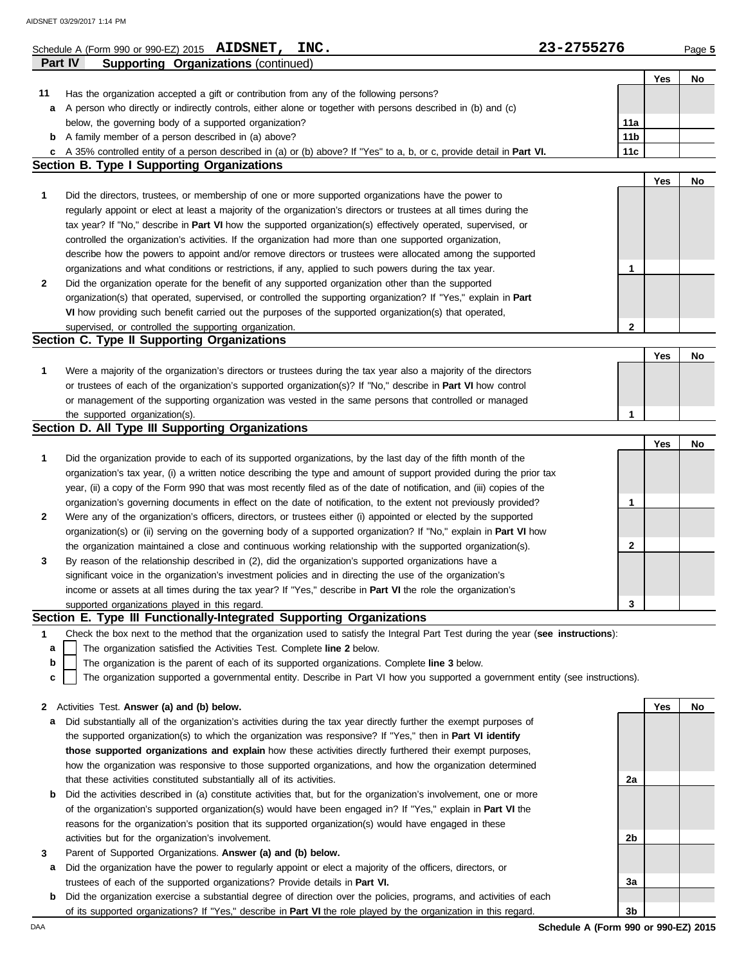### **Part IV Supporting Organizations** (continued) Schedule A (Form 990 or 990-EZ) 2015 **AIDSNET, INC.**  $\bullet$  **23-2755276** Page 5 **Yes No 2 1** organizations and what conditions or restrictions, if any, applied to such powers during the tax year. describe how the powers to appoint and/or remove directors or trustees were allocated among the supported controlled the organization's activities. If the organization had more than one supported organization, tax year? If "No," describe in **Part VI** how the supported organization(s) effectively operated, supervised, or regularly appoint or elect at least a majority of the organization's directors or trustees at all times during the **Section B. Type I Supporting Organizations 11 c** A 35% controlled entity of a person described in (a) or (b) above? If "Yes" to a, b, or c, provide detail in **Part VI. b** A family member of a person described in (a) above? **a** A person who directly or indirectly controls, either alone or together with persons described in (b) and (c) Has the organization accepted a gift or contribution from any of the following persons? below, the governing body of a supported organization? **11a 11b 11c** Did the directors, trustees, or membership of one or more supported organizations have the power to Did the organization operate for the benefit of any supported organization other than the supported organization(s) that operated, supervised, or controlled the supporting organization? If "Yes," explain in **Part VI** how providing such benefit carried out the purposes of the supported organization(s) that operated, supervised, or controlled the supporting organization. **Section C. Type II Supporting Organizations** Were a majority of the organization's directors or trustees during the tax year also a majority of the directors or trustees of each of the organization's supported organization(s)? If "No," describe in **Part VI** how control **1** or management of the supporting organization was vested in the same persons that controlled or managed the supported organization(s). **Section D. All Type III Supporting Organizations** Did the organization provide to each of its supported organizations, by the last day of the fifth month of the organization's tax year, (i) a written notice describing the type and amount of support provided during the prior tax **1** year, (ii) a copy of the Form 990 that was most recently filed as of the date of notification, and (iii) copies of the organization's governing documents in effect on the date of notification, to the extent not previously provided? **2** Were any of the organization's officers, directors, or trustees either (i) appointed or elected by the supported the organization maintained a close and continuous working relationship with the supported organization(s). organization(s) or (ii) serving on the governing body of a supported organization? If "No," explain in **Part VI** how supported organizations played in this regard. income or assets at all times during the tax year? If "Yes," describe in **Part VI** the role the organization's **3** significant voice in the organization's investment policies and in directing the use of the organization's By reason of the relationship described in (2), did the organization's supported organizations have a **Yes No 1 2 1 Yes No Yes No 1 2 3 AIDSNET, INC. 23-2755276** AIDSNET 03/29/2017 1:14 PM

## **Section E. Type III Functionally-Integrated Supporting Organizations**

**1** Check the box next to the method that the organization used to satisfy the Integral Part Test during the year (**see instructions**):

The organization satisfied the Activities Test. Complete **line 2** below. **a**

The organization is the parent of each of its supported organizations. Complete **line 3** below.

The organization supported a governmental entity. Describe in Part VI how you supported a government entity (see instructions). **c**

|  | 2 Activities Test. Answer (a) and (b) below. |  |  |  |  |  |  |
|--|----------------------------------------------|--|--|--|--|--|--|
|--|----------------------------------------------|--|--|--|--|--|--|

- **a** Did substantially all of the organization's activities during the tax year directly further the exempt purposes of the supported organization(s) to which the organization was responsive? If "Yes," then in **Part VI identify those supported organizations and explain** how these activities directly furthered their exempt purposes, how the organization was responsive to those supported organizations, and how the organization determined that these activities constituted substantially all of its activities.
- **b** Did the activities described in (a) constitute activities that, but for the organization's involvement, one or more of the organization's supported organization(s) would have been engaged in? If "Yes," explain in **Part VI** the reasons for the organization's position that its supported organization(s) would have engaged in these activities but for the organization's involvement.
- **3** Parent of Supported Organizations. **Answer (a) and (b) below.**
	- **a** Did the organization have the power to regularly appoint or elect a majority of the officers, directors, or trustees of each of the supported organizations? Provide details in **Part VI.**
	- **b** Did the organization exercise a substantial degree of direction over the policies, programs, and activities of each of its supported organizations? If "Yes," describe in **Part VI** the role played by the organization in this regard.

**Yes No 2a 2b 3a 3b**

**b**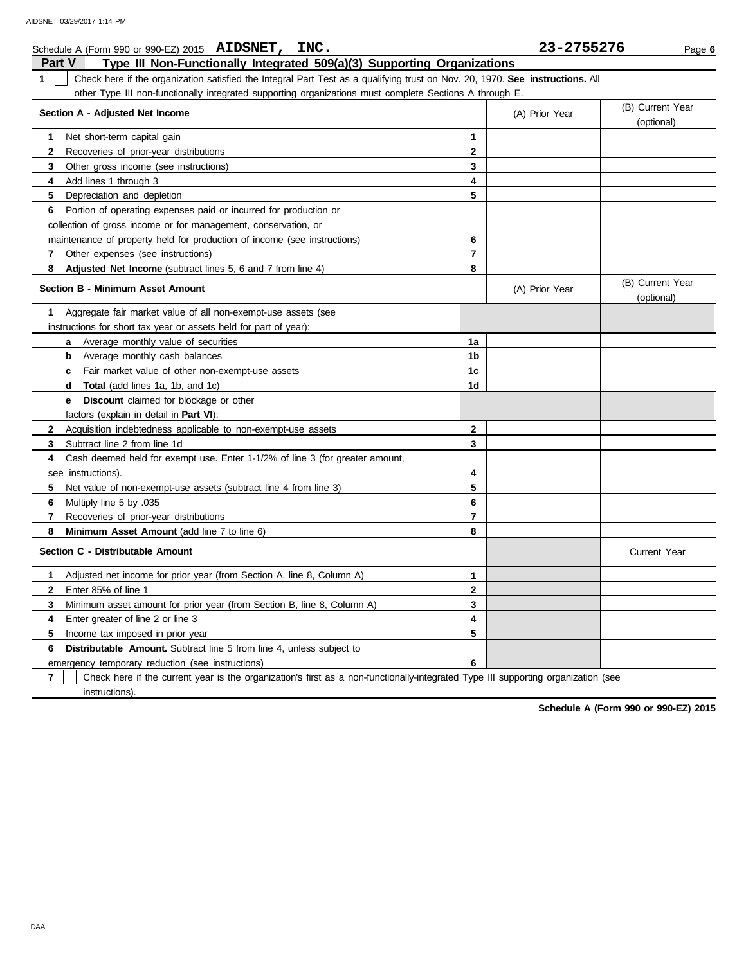|               | Schedule A (Form 990 or 990-EZ) 2015 AIDSNET, INC.                                                                            |                | 23-2755276     | Page 6                         |
|---------------|-------------------------------------------------------------------------------------------------------------------------------|----------------|----------------|--------------------------------|
| <b>Part V</b> | Type III Non-Functionally Integrated 509(a)(3) Supporting Organizations                                                       |                |                |                                |
| 1             | Check here if the organization satisfied the Integral Part Test as a qualifying trust on Nov. 20, 1970. See instructions. All |                |                |                                |
|               | other Type III non-functionally integrated supporting organizations must complete Sections A through E.                       |                |                |                                |
|               | Section A - Adjusted Net Income                                                                                               |                | (A) Prior Year | (B) Current Year<br>(optional) |
| 1             | Net short-term capital gain                                                                                                   | $\mathbf{1}$   |                |                                |
| $\mathbf{2}$  | Recoveries of prior-year distributions                                                                                        | $\mathbf{2}$   |                |                                |
| 3             | Other gross income (see instructions)                                                                                         | 3              |                |                                |
| 4             | Add lines 1 through 3                                                                                                         | 4              |                |                                |
| 5             | Depreciation and depletion                                                                                                    | 5              |                |                                |
| 6             | Portion of operating expenses paid or incurred for production or                                                              |                |                |                                |
|               | collection of gross income or for management, conservation, or                                                                |                |                |                                |
|               | maintenance of property held for production of income (see instructions)                                                      | 6              |                |                                |
| 7             | Other expenses (see instructions)                                                                                             | $\overline{7}$ |                |                                |
| 8             | <b>Adjusted Net Income</b> (subtract lines 5, 6 and 7 from line 4)                                                            | 8              |                |                                |
|               | <b>Section B - Minimum Asset Amount</b>                                                                                       |                | (A) Prior Year | (B) Current Year<br>(optional) |
| 1             | Aggregate fair market value of all non-exempt-use assets (see                                                                 |                |                |                                |
|               | instructions for short tax year or assets held for part of year):                                                             |                |                |                                |
|               | Average monthly value of securities<br>a                                                                                      | 1a             |                |                                |
|               | Average monthly cash balances<br>b                                                                                            | 1b             |                |                                |
|               | Fair market value of other non-exempt-use assets<br>$\mathbf{c}$                                                              | 1 <sub>c</sub> |                |                                |
|               | <b>Total</b> (add lines 1a, 1b, and 1c)<br>d                                                                                  | 1d             |                |                                |
|               | <b>Discount</b> claimed for blockage or other<br>е                                                                            |                |                |                                |
|               | factors (explain in detail in <b>Part VI</b> ):                                                                               |                |                |                                |
| $\mathbf{2}$  | Acquisition indebtedness applicable to non-exempt-use assets                                                                  | $\mathbf{2}$   |                |                                |
| 3             | Subtract line 2 from line 1d                                                                                                  | 3              |                |                                |
| 4             | Cash deemed held for exempt use. Enter 1-1/2% of line 3 (for greater amount,                                                  |                |                |                                |
|               | see instructions).                                                                                                            | 4              |                |                                |
| 5             | Net value of non-exempt-use assets (subtract line 4 from line 3)                                                              | 5              |                |                                |
| 6             | 035. Multiply line 5 by                                                                                                       | 6              |                |                                |
| 7             | Recoveries of prior-year distributions                                                                                        | $\overline{7}$ |                |                                |
| 8             | Minimum Asset Amount (add line 7 to line 6)                                                                                   | 8              |                |                                |
|               | Section C - Distributable Amount                                                                                              |                |                | <b>Current Year</b>            |
| $\mathbf{1}$  | Adjusted net income for prior year (from Section A, line 8, Column A)                                                         | $\mathbf{1}$   |                |                                |
| $\mathbf{2}$  | Enter 85% of line 1                                                                                                           | $\mathbf{2}$   |                |                                |
| 3             | Minimum asset amount for prior year (from Section B, line 8, Column A)                                                        | 3              |                |                                |
| 4             | Enter greater of line 2 or line 3                                                                                             | 4              |                |                                |
| 5             | Income tax imposed in prior year                                                                                              | 5              |                |                                |
| 6             | <b>Distributable Amount.</b> Subtract line 5 from line 4, unless subject to                                                   |                |                |                                |
|               | emergency temporary reduction (see instructions)                                                                              | 6              |                |                                |

**7** Check here if the current year is the organization's first as a non-functionally-integrated Type III supporting organization (see instructions).

**Schedule A (Form 990 or 990-EZ) 2015**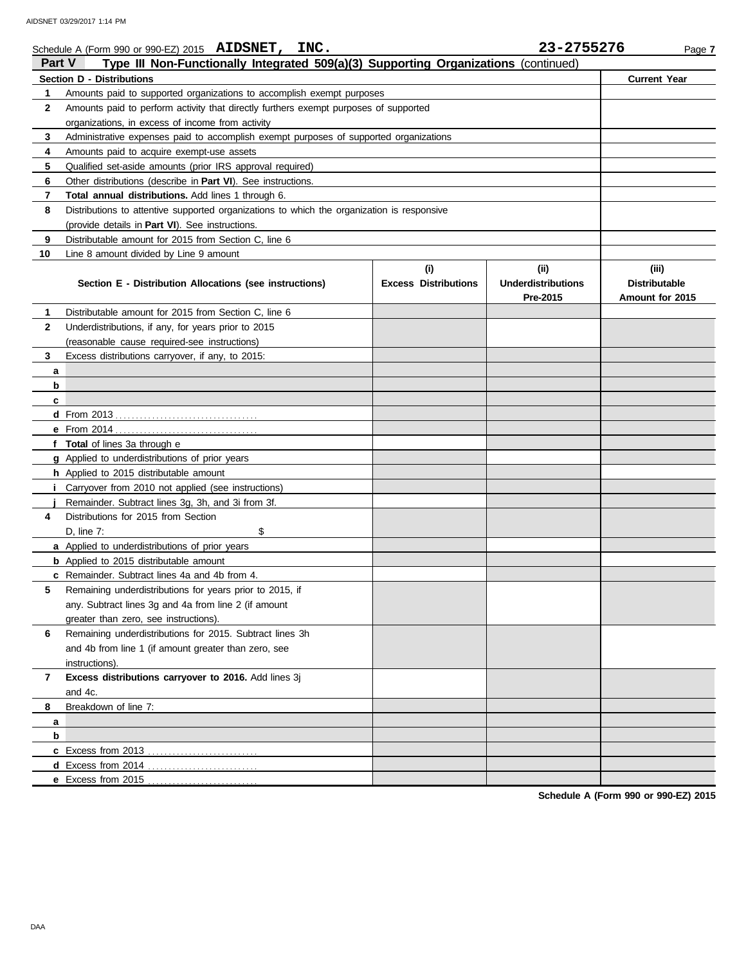| <b>Part V</b> | Schedule A (Form 990 or 990-EZ) 2015 AIDSNET, INC.<br>Type III Non-Functionally Integrated 509(a)(3) Supporting Organizations (continued) |                                    | 23-2755276                                     | Page 7                                           |
|---------------|-------------------------------------------------------------------------------------------------------------------------------------------|------------------------------------|------------------------------------------------|--------------------------------------------------|
|               | <b>Section D - Distributions</b>                                                                                                          |                                    |                                                | <b>Current Year</b>                              |
| 1             | Amounts paid to supported organizations to accomplish exempt purposes                                                                     |                                    |                                                |                                                  |
| 2             | Amounts paid to perform activity that directly furthers exempt purposes of supported                                                      |                                    |                                                |                                                  |
|               | organizations, in excess of income from activity                                                                                          |                                    |                                                |                                                  |
| 3             | Administrative expenses paid to accomplish exempt purposes of supported organizations                                                     |                                    |                                                |                                                  |
| 4             | Amounts paid to acquire exempt-use assets                                                                                                 |                                    |                                                |                                                  |
| 5             | Qualified set-aside amounts (prior IRS approval required)                                                                                 |                                    |                                                |                                                  |
| 6             | Other distributions (describe in <b>Part VI</b> ). See instructions.                                                                      |                                    |                                                |                                                  |
| 7             | <b>Total annual distributions.</b> Add lines 1 through 6.                                                                                 |                                    |                                                |                                                  |
| 8             | Distributions to attentive supported organizations to which the organization is responsive                                                |                                    |                                                |                                                  |
|               | (provide details in Part VI). See instructions.                                                                                           |                                    |                                                |                                                  |
| 9             | Distributable amount for 2015 from Section C, line 6                                                                                      |                                    |                                                |                                                  |
| 10            | Line 8 amount divided by Line 9 amount                                                                                                    |                                    |                                                |                                                  |
|               | Section E - Distribution Allocations (see instructions)                                                                                   | (i)<br><b>Excess Distributions</b> | (iii)<br><b>Underdistributions</b><br>Pre-2015 | (iii)<br><b>Distributable</b><br>Amount for 2015 |
| 1             | Distributable amount for 2015 from Section C, line 6                                                                                      |                                    |                                                |                                                  |
| 2             | Underdistributions, if any, for years prior to 2015                                                                                       |                                    |                                                |                                                  |
|               | (reasonable cause required-see instructions)                                                                                              |                                    |                                                |                                                  |
| 3             | Excess distributions carryover, if any, to 2015:                                                                                          |                                    |                                                |                                                  |
| a             |                                                                                                                                           |                                    |                                                |                                                  |
| b             |                                                                                                                                           |                                    |                                                |                                                  |
| c             |                                                                                                                                           |                                    |                                                |                                                  |
|               |                                                                                                                                           |                                    |                                                |                                                  |
|               |                                                                                                                                           |                                    |                                                |                                                  |
|               | f Total of lines 3a through e                                                                                                             |                                    |                                                |                                                  |
|               | g Applied to underdistributions of prior years                                                                                            |                                    |                                                |                                                  |
|               | h Applied to 2015 distributable amount                                                                                                    |                                    |                                                |                                                  |
|               | Carryover from 2010 not applied (see instructions)                                                                                        |                                    |                                                |                                                  |
|               | Remainder. Subtract lines 3g, 3h, and 3i from 3f.                                                                                         |                                    |                                                |                                                  |
| 4             | Distributions for 2015 from Section                                                                                                       |                                    |                                                |                                                  |
|               | \$<br>D, line 7:                                                                                                                          |                                    |                                                |                                                  |
|               | a Applied to underdistributions of prior years                                                                                            |                                    |                                                |                                                  |
|               | <b>b</b> Applied to 2015 distributable amount                                                                                             |                                    |                                                |                                                  |
|               | <b>c</b> Remainder. Subtract lines 4a and 4b from 4.                                                                                      |                                    |                                                |                                                  |
| 5             | Remaining underdistributions for years prior to 2015, if                                                                                  |                                    |                                                |                                                  |
|               | any. Subtract lines 3g and 4a from line 2 (if amount                                                                                      |                                    |                                                |                                                  |
|               | greater than zero, see instructions).                                                                                                     |                                    |                                                |                                                  |
| 6             | Remaining underdistributions for 2015. Subtract lines 3h                                                                                  |                                    |                                                |                                                  |
|               | and 4b from line 1 (if amount greater than zero, see                                                                                      |                                    |                                                |                                                  |
|               | instructions).                                                                                                                            |                                    |                                                |                                                  |
| 7             | Excess distributions carryover to 2016. Add lines 3j                                                                                      |                                    |                                                |                                                  |
|               | and 4c.<br>Breakdown of line 7:                                                                                                           |                                    |                                                |                                                  |
| 8             |                                                                                                                                           |                                    |                                                |                                                  |
| a<br>b        |                                                                                                                                           |                                    |                                                |                                                  |
|               | c Excess from 2013                                                                                                                        |                                    |                                                |                                                  |
|               | d Excess from 2014                                                                                                                        |                                    |                                                |                                                  |
|               | e Excess from 2015                                                                                                                        |                                    |                                                |                                                  |

**Schedule A (Form 990 or 990-EZ) 2015**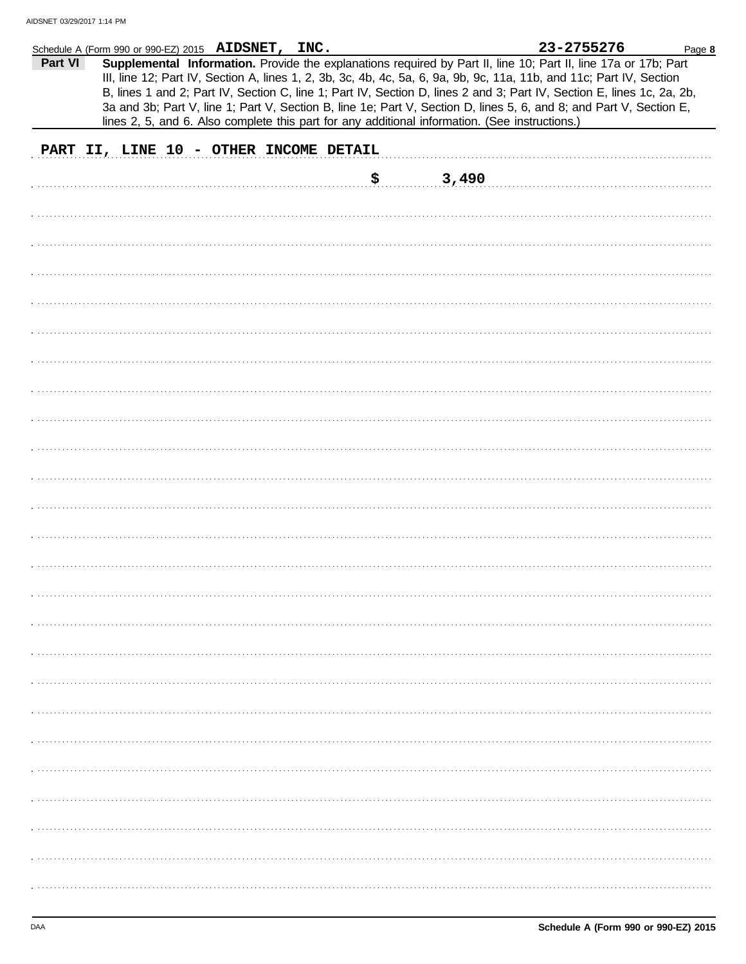|         | Schedule A (Form 990 or 990-EZ) 2015 AIDSNET, INC.                                                                                                                                                                                                                                                                                                                                                                                                                                                                                                                                         |             | 23-2755276 | Page 8 |
|---------|--------------------------------------------------------------------------------------------------------------------------------------------------------------------------------------------------------------------------------------------------------------------------------------------------------------------------------------------------------------------------------------------------------------------------------------------------------------------------------------------------------------------------------------------------------------------------------------------|-------------|------------|--------|
| Part VI | Supplemental Information. Provide the explanations required by Part II, line 10; Part II, line 17a or 17b; Part<br>III, line 12; Part IV, Section A, lines 1, 2, 3b, 3c, 4b, 4c, 5a, 6, 9a, 9b, 9c, 11a, 11b, and 11c; Part IV, Section<br>B, lines 1 and 2; Part IV, Section C, line 1; Part IV, Section D, lines 2 and 3; Part IV, Section E, lines 1c, 2a, 2b,<br>3a and 3b; Part V, line 1; Part V, Section B, line 1e; Part V, Section D, lines 5, 6, and 8; and Part V, Section E,<br>lines 2, 5, and 6. Also complete this part for any additional information. (See instructions.) |             |            |        |
|         | PART II, LINE 10 - OTHER INCOME DETAIL                                                                                                                                                                                                                                                                                                                                                                                                                                                                                                                                                     |             |            |        |
|         |                                                                                                                                                                                                                                                                                                                                                                                                                                                                                                                                                                                            | \$<br>3,490 |            |        |
|         |                                                                                                                                                                                                                                                                                                                                                                                                                                                                                                                                                                                            |             |            |        |
|         |                                                                                                                                                                                                                                                                                                                                                                                                                                                                                                                                                                                            |             |            |        |
|         |                                                                                                                                                                                                                                                                                                                                                                                                                                                                                                                                                                                            |             |            |        |
|         |                                                                                                                                                                                                                                                                                                                                                                                                                                                                                                                                                                                            |             |            |        |
|         |                                                                                                                                                                                                                                                                                                                                                                                                                                                                                                                                                                                            |             |            |        |
|         |                                                                                                                                                                                                                                                                                                                                                                                                                                                                                                                                                                                            |             |            |        |
|         |                                                                                                                                                                                                                                                                                                                                                                                                                                                                                                                                                                                            |             |            |        |
|         |                                                                                                                                                                                                                                                                                                                                                                                                                                                                                                                                                                                            |             |            |        |
|         |                                                                                                                                                                                                                                                                                                                                                                                                                                                                                                                                                                                            |             |            |        |
|         |                                                                                                                                                                                                                                                                                                                                                                                                                                                                                                                                                                                            |             |            |        |
|         |                                                                                                                                                                                                                                                                                                                                                                                                                                                                                                                                                                                            |             |            |        |
|         |                                                                                                                                                                                                                                                                                                                                                                                                                                                                                                                                                                                            |             |            |        |
|         |                                                                                                                                                                                                                                                                                                                                                                                                                                                                                                                                                                                            |             |            |        |
|         |                                                                                                                                                                                                                                                                                                                                                                                                                                                                                                                                                                                            |             |            |        |
|         |                                                                                                                                                                                                                                                                                                                                                                                                                                                                                                                                                                                            |             |            |        |
|         |                                                                                                                                                                                                                                                                                                                                                                                                                                                                                                                                                                                            |             |            |        |
|         |                                                                                                                                                                                                                                                                                                                                                                                                                                                                                                                                                                                            |             |            |        |
|         |                                                                                                                                                                                                                                                                                                                                                                                                                                                                                                                                                                                            |             |            |        |
|         |                                                                                                                                                                                                                                                                                                                                                                                                                                                                                                                                                                                            |             |            |        |
|         |                                                                                                                                                                                                                                                                                                                                                                                                                                                                                                                                                                                            |             |            |        |
|         |                                                                                                                                                                                                                                                                                                                                                                                                                                                                                                                                                                                            |             |            |        |
|         |                                                                                                                                                                                                                                                                                                                                                                                                                                                                                                                                                                                            |             |            |        |
|         |                                                                                                                                                                                                                                                                                                                                                                                                                                                                                                                                                                                            |             |            |        |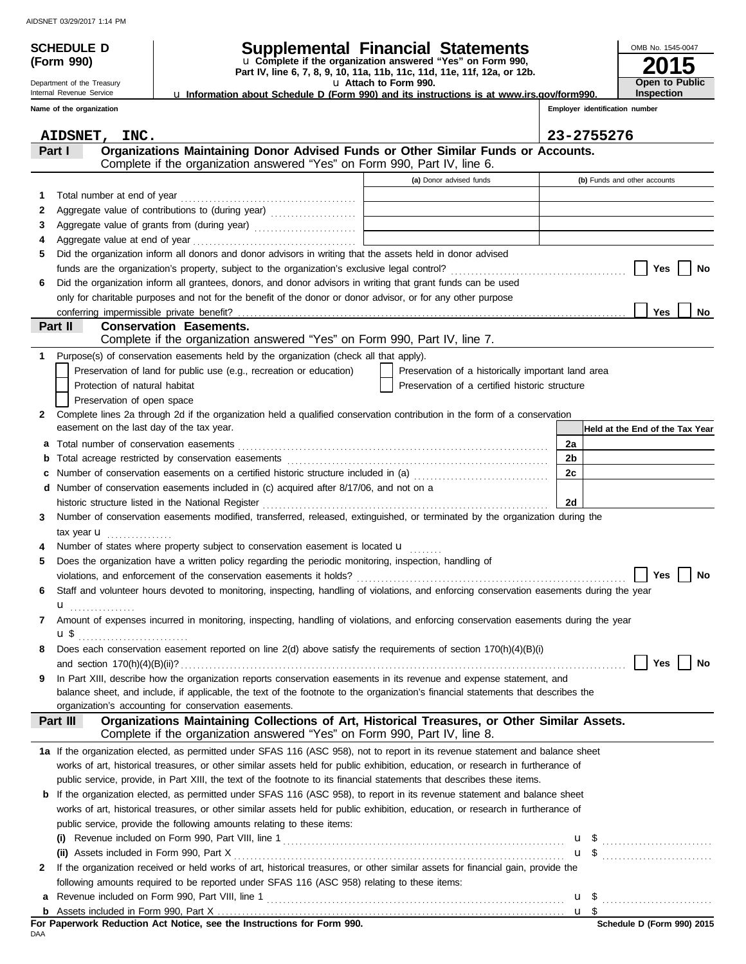Department of the Treasury

# **SCHEDULE D Supplemental Financial Statements**

**Part IV, line 6, 7, 8, 9, 10, 11a, 11b, 11c, 11d, 11e, 11f, 12a, or 12b.** u **Complete if the organization answered "Yes" on Form 990,**

u **Attach to Form 990.**  u **Information about Schedule D (Form 990) and its instructions is at www.irs.gov/form990.**

Internal Revenue Service **Name of the organization**

**(Form 990)**

| ov/form990. |                                | <b>Inspection</b> |
|-------------|--------------------------------|-------------------|
|             | Employer identification number |                   |

**2015**

**Open to Public**

OMB No. 1545-0047

|    | <b>AIDSNET,</b><br>INC.                                                                                                                   |                                                                                           |                | 23-2755276                      |
|----|-------------------------------------------------------------------------------------------------------------------------------------------|-------------------------------------------------------------------------------------------|----------------|---------------------------------|
|    | Organizations Maintaining Donor Advised Funds or Other Similar Funds or Accounts.<br>Part I                                               |                                                                                           |                |                                 |
|    | Complete if the organization answered "Yes" on Form 990, Part IV, line 6.                                                                 |                                                                                           |                |                                 |
|    |                                                                                                                                           | (a) Donor advised funds                                                                   |                | (b) Funds and other accounts    |
| 1. | Total number at end of year                                                                                                               |                                                                                           |                |                                 |
| 2  | Aggregate value of contributions to (during year)                                                                                         |                                                                                           |                |                                 |
| З  | Aggregate value of grants from (during year)                                                                                              | the control of the control of the control of the control of the control of the control of |                |                                 |
| 4  |                                                                                                                                           | the control of the control of the control of the control of the control of the control of |                |                                 |
| 5  | Did the organization inform all donors and donor advisors in writing that the assets held in donor advised                                |                                                                                           |                |                                 |
|    |                                                                                                                                           |                                                                                           |                | Yes<br>No                       |
| 6  | Did the organization inform all grantees, donors, and donor advisors in writing that grant funds can be used                              |                                                                                           |                |                                 |
|    | only for charitable purposes and not for the benefit of the donor or donor advisor, or for any other purpose                              |                                                                                           |                |                                 |
|    |                                                                                                                                           |                                                                                           |                | Yes<br>No                       |
|    | Part II<br><b>Conservation Easements.</b>                                                                                                 |                                                                                           |                |                                 |
|    | Complete if the organization answered "Yes" on Form 990, Part IV, line 7.                                                                 |                                                                                           |                |                                 |
| 1  | Purpose(s) of conservation easements held by the organization (check all that apply).                                                     |                                                                                           |                |                                 |
|    | Preservation of land for public use (e.g., recreation or education)                                                                       | Preservation of a historically important land area                                        |                |                                 |
|    | Protection of natural habitat                                                                                                             | Preservation of a certified historic structure                                            |                |                                 |
|    | Preservation of open space                                                                                                                |                                                                                           |                |                                 |
| 2  | Complete lines 2a through 2d if the organization held a qualified conservation contribution in the form of a conservation                 |                                                                                           |                |                                 |
|    | easement on the last day of the tax year.                                                                                                 |                                                                                           |                | Held at the End of the Tax Year |
| а  | Total number of conservation easements                                                                                                    |                                                                                           | 2a             |                                 |
| b  |                                                                                                                                           |                                                                                           | 2 <sub>b</sub> |                                 |
| с  | Number of conservation easements on a certified historic structure included in (a) [[[[[[[[[[[[[[[[[[[[[[[[[]]]]]]]                       |                                                                                           | 2c             |                                 |
| d  | Number of conservation easements included in (c) acquired after 8/17/06, and not on a                                                     |                                                                                           |                |                                 |
|    | historic structure listed in the National Register                                                                                        |                                                                                           | 2d             |                                 |
| 3  | Number of conservation easements modified, transferred, released, extinguished, or terminated by the organization during the              |                                                                                           |                |                                 |
|    | tax year $\mathbf{u}$                                                                                                                     |                                                                                           |                |                                 |
| 4  | Number of states where property subject to conservation easement is located u                                                             |                                                                                           |                |                                 |
| 5  | Does the organization have a written policy regarding the periodic monitoring, inspection, handling of                                    |                                                                                           |                |                                 |
|    |                                                                                                                                           |                                                                                           |                | Yes<br>No                       |
| 6  | Staff and volunteer hours devoted to monitoring, inspecting, handling of violations, and enforcing conservation easements during the year |                                                                                           |                |                                 |
|    | u                                                                                                                                         |                                                                                           |                |                                 |
| 7  | Amount of expenses incurred in monitoring, inspecting, handling of violations, and enforcing conservation easements during the year       |                                                                                           |                |                                 |
|    | u \$                                                                                                                                      |                                                                                           |                |                                 |
| 8  | Does each conservation easement reported on line 2(d) above satisfy the requirements of section 170(h)(4)(B)(i)                           |                                                                                           |                |                                 |
|    |                                                                                                                                           |                                                                                           |                | Yes $\bigsqcup$ No              |
| 9  | In Part XIII, describe how the organization reports conservation easements in its revenue and expense statement, and                      |                                                                                           |                |                                 |
|    | balance sheet, and include, if applicable, the text of the footnote to the organization's financial statements that describes the         |                                                                                           |                |                                 |
|    | organization's accounting for conservation easements.                                                                                     |                                                                                           |                |                                 |
|    | Organizations Maintaining Collections of Art, Historical Treasures, or Other Similar Assets.<br>Part III                                  |                                                                                           |                |                                 |
|    | Complete if the organization answered "Yes" on Form 990, Part IV, line 8.                                                                 |                                                                                           |                |                                 |
|    | 1a If the organization elected, as permitted under SFAS 116 (ASC 958), not to report in its revenue statement and balance sheet           |                                                                                           |                |                                 |
|    | works of art, historical treasures, or other similar assets held for public exhibition, education, or research in furtherance of          |                                                                                           |                |                                 |
|    | public service, provide, in Part XIII, the text of the footnote to its financial statements that describes these items.                   |                                                                                           |                |                                 |
|    | <b>b</b> If the organization elected, as permitted under SFAS 116 (ASC 958), to report in its revenue statement and balance sheet         |                                                                                           |                |                                 |
|    | works of art, historical treasures, or other similar assets held for public exhibition, education, or research in furtherance of          |                                                                                           |                |                                 |
|    | public service, provide the following amounts relating to these items:                                                                    |                                                                                           |                |                                 |
|    |                                                                                                                                           |                                                                                           |                |                                 |
|    | (ii) Assets included in Form 990, Part X                                                                                                  |                                                                                           |                |                                 |
| 2  | If the organization received or held works of art, historical treasures, or other similar assets for financial gain, provide the          |                                                                                           |                |                                 |
|    | following amounts required to be reported under SFAS 116 (ASC 958) relating to these items:                                               |                                                                                           |                |                                 |
| a  |                                                                                                                                           |                                                                                           |                |                                 |
|    |                                                                                                                                           |                                                                                           |                |                                 |

DAA **For Paperwork Reduction Act Notice, see the Instructions for Form 990.**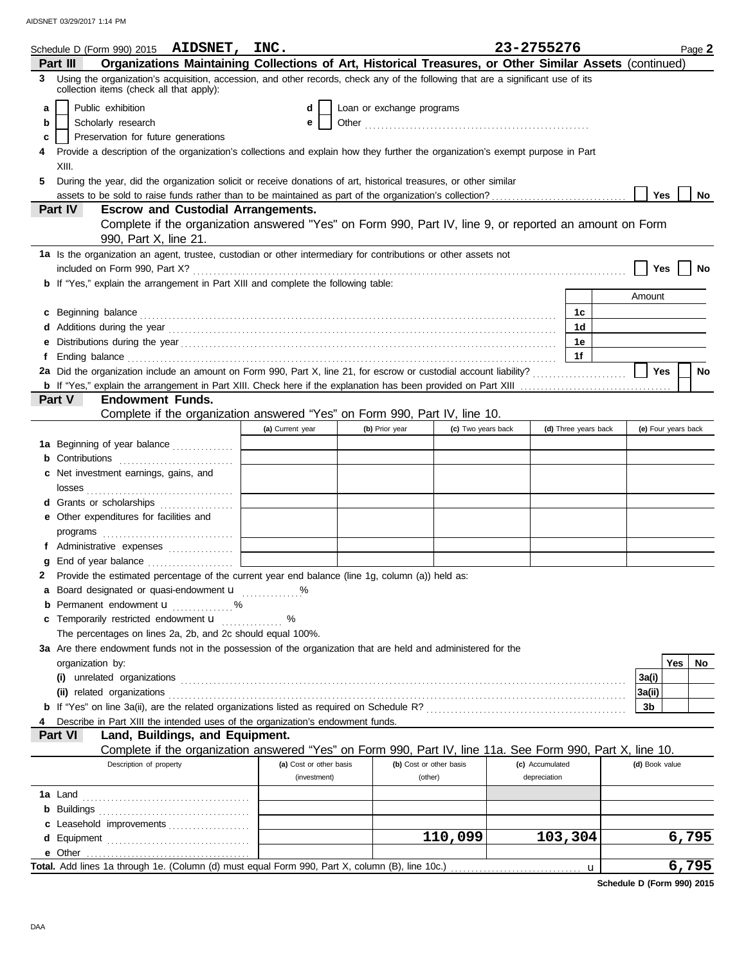|   | Schedule D (Form 990) 2015 AIDSNET, INC.                                                                                                                                                                                             |                         |                           |                         | 23-2755276      |                      |                     | Page 2    |
|---|--------------------------------------------------------------------------------------------------------------------------------------------------------------------------------------------------------------------------------------|-------------------------|---------------------------|-------------------------|-----------------|----------------------|---------------------|-----------|
|   | Organizations Maintaining Collections of Art, Historical Treasures, or Other Similar Assets (continued)<br>Part III                                                                                                                  |                         |                           |                         |                 |                      |                     |           |
| 3 | Using the organization's acquisition, accession, and other records, check any of the following that are a significant use of its<br>collection items (check all that apply):                                                         |                         |                           |                         |                 |                      |                     |           |
| a | Public exhibition                                                                                                                                                                                                                    | d                       | Loan or exchange programs |                         |                 |                      |                     |           |
| b | Scholarly research                                                                                                                                                                                                                   | е                       |                           |                         |                 |                      |                     |           |
| c | Preservation for future generations                                                                                                                                                                                                  |                         |                           |                         |                 |                      |                     |           |
|   | Provide a description of the organization's collections and explain how they further the organization's exempt purpose in Part                                                                                                       |                         |                           |                         |                 |                      |                     |           |
|   | XIII.                                                                                                                                                                                                                                |                         |                           |                         |                 |                      |                     |           |
| 5 | During the year, did the organization solicit or receive donations of art, historical treasures, or other similar                                                                                                                    |                         |                           |                         |                 |                      |                     |           |
|   | assets to be sold to raise funds rather than to be maintained as part of the organization's collection?                                                                                                                              |                         |                           |                         |                 |                      | Yes                 | No.       |
|   | <b>Escrow and Custodial Arrangements.</b><br><b>Part IV</b>                                                                                                                                                                          |                         |                           |                         |                 |                      |                     |           |
|   | Complete if the organization answered "Yes" on Form 990, Part IV, line 9, or reported an amount on Form                                                                                                                              |                         |                           |                         |                 |                      |                     |           |
|   | 990, Part X, line 21.                                                                                                                                                                                                                |                         |                           |                         |                 |                      |                     |           |
|   | 1a Is the organization an agent, trustee, custodian or other intermediary for contributions or other assets not                                                                                                                      |                         |                           |                         |                 |                      |                     |           |
|   |                                                                                                                                                                                                                                      |                         |                           |                         |                 |                      | Yes                 | No        |
|   | <b>b</b> If "Yes," explain the arrangement in Part XIII and complete the following table:                                                                                                                                            |                         |                           |                         |                 |                      |                     |           |
|   |                                                                                                                                                                                                                                      |                         |                           |                         |                 |                      | Amount              |           |
|   | c Beginning balance <b>contract to the contract of the set of the contract of the contract of the contract of the contract of the contract of the contract of the contract of the contract of the contract of the contract of th</b> |                         |                           |                         |                 | 1с                   |                     |           |
|   |                                                                                                                                                                                                                                      |                         |                           |                         |                 | 1d                   |                     |           |
| е |                                                                                                                                                                                                                                      |                         |                           |                         |                 | 1е                   |                     |           |
| f | Ending balance <i>communically contained</i> and all the contained and contained and contained and contained and contained and contained and contained and contained and contained and contained and contained and contained and co  |                         |                           |                         |                 | 1f                   |                     |           |
|   | 2a Did the organization include an amount on Form 990, Part X, line 21, for escrow or custodial account liability?                                                                                                                   |                         |                           |                         |                 |                      | Yes                 | No        |
|   |                                                                                                                                                                                                                                      |                         |                           |                         |                 |                      |                     |           |
|   | Part V<br><b>Endowment Funds.</b>                                                                                                                                                                                                    |                         |                           |                         |                 |                      |                     |           |
|   | Complete if the organization answered "Yes" on Form 990, Part IV, line 10.                                                                                                                                                           |                         |                           |                         |                 |                      |                     |           |
|   |                                                                                                                                                                                                                                      | (a) Current year        | (b) Prior year            | (c) Two years back      |                 | (d) Three years back | (e) Four years back |           |
|   | 1a Beginning of year balance                                                                                                                                                                                                         |                         |                           |                         |                 |                      |                     |           |
|   |                                                                                                                                                                                                                                      |                         |                           |                         |                 |                      |                     |           |
|   | c Net investment earnings, gains, and                                                                                                                                                                                                |                         |                           |                         |                 |                      |                     |           |
|   |                                                                                                                                                                                                                                      |                         |                           |                         |                 |                      |                     |           |
|   | d Grants or scholarships                                                                                                                                                                                                             |                         |                           |                         |                 |                      |                     |           |
|   | e Other expenditures for facilities and                                                                                                                                                                                              |                         |                           |                         |                 |                      |                     |           |
|   |                                                                                                                                                                                                                                      |                         |                           |                         |                 |                      |                     |           |
|   | f Administrative expenses                                                                                                                                                                                                            |                         |                           |                         |                 |                      |                     |           |
| g |                                                                                                                                                                                                                                      |                         |                           |                         |                 |                      |                     |           |
|   | 2 Provide the estimated percentage of the current year end balance (line 1g, column (a)) held as:                                                                                                                                    |                         |                           |                         |                 |                      |                     |           |
|   | a Board designated or quasi-endowment u                                                                                                                                                                                              |                         |                           |                         |                 |                      |                     |           |
|   | <b>b</b> Permanent endowment $\mathbf{u}$ %                                                                                                                                                                                          |                         |                           |                         |                 |                      |                     |           |
|   | c Temporarily restricted endowment <b>u</b>                                                                                                                                                                                          | %                       |                           |                         |                 |                      |                     |           |
|   | The percentages on lines 2a, 2b, and 2c should equal 100%.                                                                                                                                                                           |                         |                           |                         |                 |                      |                     |           |
|   | 3a Are there endowment funds not in the possession of the organization that are held and administered for the                                                                                                                        |                         |                           |                         |                 |                      |                     |           |
|   | organization by:                                                                                                                                                                                                                     |                         |                           |                         |                 |                      |                     | Yes<br>No |
|   |                                                                                                                                                                                                                                      |                         |                           |                         |                 |                      | 3a(i)               |           |
|   |                                                                                                                                                                                                                                      |                         |                           |                         |                 |                      | 3a(ii)              |           |
|   |                                                                                                                                                                                                                                      |                         |                           |                         |                 |                      | 3b                  |           |
|   | Describe in Part XIII the intended uses of the organization's endowment funds.                                                                                                                                                       |                         |                           |                         |                 |                      |                     |           |
|   | Land, Buildings, and Equipment.<br>Part VI                                                                                                                                                                                           |                         |                           |                         |                 |                      |                     |           |
|   | Complete if the organization answered "Yes" on Form 990, Part IV, line 11a. See Form 990, Part X, line 10.                                                                                                                           |                         |                           |                         |                 |                      |                     |           |
|   | Description of property                                                                                                                                                                                                              | (a) Cost or other basis |                           | (b) Cost or other basis | (c) Accumulated |                      | (d) Book value      |           |
|   |                                                                                                                                                                                                                                      | (investment)            |                           | (other)                 | depreciation    |                      |                     |           |
|   |                                                                                                                                                                                                                                      |                         |                           |                         |                 |                      |                     |           |
|   |                                                                                                                                                                                                                                      |                         |                           |                         |                 |                      |                     |           |
|   | c Leasehold improvements                                                                                                                                                                                                             |                         |                           |                         |                 |                      |                     |           |
|   |                                                                                                                                                                                                                                      |                         |                           | 110,099                 |                 | 103,304              |                     | 6,795     |
|   |                                                                                                                                                                                                                                      |                         |                           |                         |                 |                      |                     |           |
|   |                                                                                                                                                                                                                                      |                         |                           |                         |                 | u                    |                     | 6,795     |
|   |                                                                                                                                                                                                                                      |                         |                           |                         |                 |                      |                     |           |

**Schedule D (Form 990) 2015**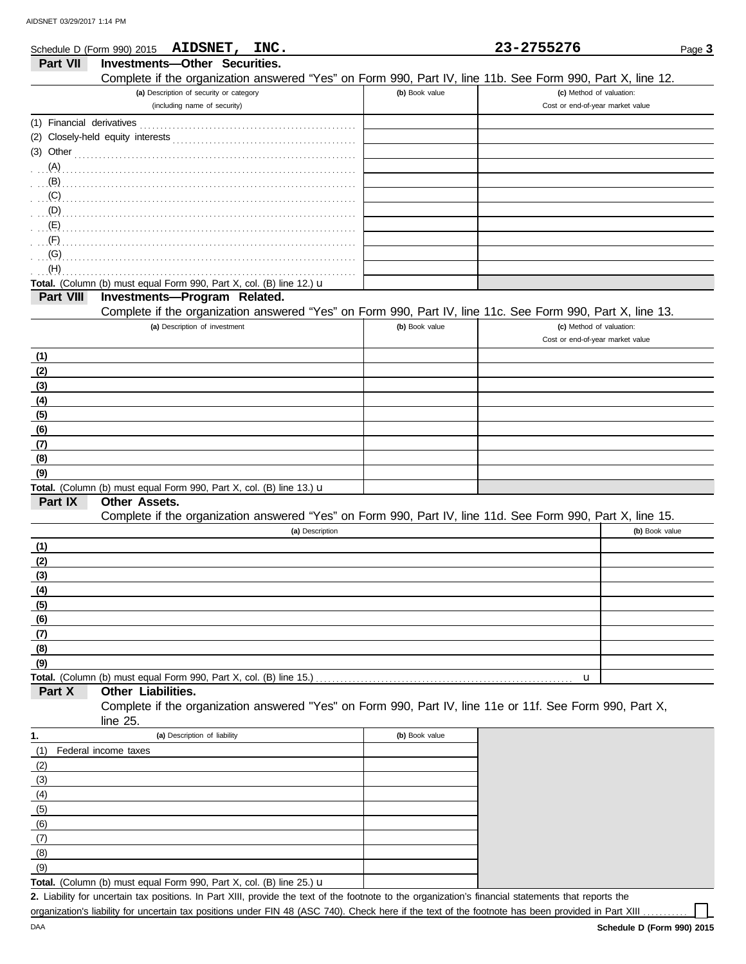|                           | Schedule D (Form 990) 2015 AIDSNET, INC.                                                                   |                | 23-2755276                       | Page 3         |
|---------------------------|------------------------------------------------------------------------------------------------------------|----------------|----------------------------------|----------------|
| Part VII                  | Investments-Other Securities.                                                                              |                |                                  |                |
|                           | Complete if the organization answered "Yes" on Form 990, Part IV, line 11b. See Form 990, Part X, line 12. |                |                                  |                |
|                           | (a) Description of security or category                                                                    | (b) Book value | (c) Method of valuation:         |                |
|                           | (including name of security)                                                                               |                | Cost or end-of-year market value |                |
| (1) Financial derivatives |                                                                                                            |                |                                  |                |
|                           |                                                                                                            |                |                                  |                |
|                           |                                                                                                            |                |                                  |                |
|                           | $(3)$ Other                                                                                                |                |                                  |                |
| (A)                       |                                                                                                            |                |                                  |                |
| $\mathbf{B}$              |                                                                                                            |                |                                  |                |
|                           |                                                                                                            |                |                                  |                |
|                           |                                                                                                            |                |                                  |                |
|                           |                                                                                                            |                |                                  |                |
| $\cdot$ $\cdot$ (F)       |                                                                                                            |                |                                  |                |
|                           |                                                                                                            |                |                                  |                |
| (H)                       |                                                                                                            |                |                                  |                |
|                           | Total. (Column (b) must equal Form 990, Part X, col. (B) line 12.) $\mathbf u$                             |                |                                  |                |
| Part VIII                 | Investments-Program Related.                                                                               |                |                                  |                |
|                           | Complete if the organization answered "Yes" on Form 990, Part IV, line 11c. See Form 990, Part X, line 13. |                |                                  |                |
|                           | (a) Description of investment                                                                              | (b) Book value | (c) Method of valuation:         |                |
|                           |                                                                                                            |                | Cost or end-of-year market value |                |
| <u>(1)</u>                |                                                                                                            |                |                                  |                |
| (2)                       |                                                                                                            |                |                                  |                |
| (3)                       |                                                                                                            |                |                                  |                |
| (4)                       |                                                                                                            |                |                                  |                |
| (5)                       |                                                                                                            |                |                                  |                |
| (6)                       |                                                                                                            |                |                                  |                |
|                           |                                                                                                            |                |                                  |                |
| (7)                       |                                                                                                            |                |                                  |                |
| (8)                       |                                                                                                            |                |                                  |                |
| (9)                       |                                                                                                            |                |                                  |                |
|                           | Total. (Column (b) must equal Form 990, Part X, col. (B) line 13.) u                                       |                |                                  |                |
| Part IX                   | <b>Other Assets.</b>                                                                                       |                |                                  |                |
|                           | Complete if the organization answered "Yes" on Form 990, Part IV, line 11d. See Form 990, Part X, line 15. |                |                                  |                |
|                           | (a) Description                                                                                            |                |                                  | (b) Book value |
| (1)                       |                                                                                                            |                |                                  |                |
| (2)                       |                                                                                                            |                |                                  |                |
| (3)                       |                                                                                                            |                |                                  |                |
| (4)                       |                                                                                                            |                |                                  |                |
| (5)                       |                                                                                                            |                |                                  |                |
| (6)                       |                                                                                                            |                |                                  |                |
| (7)                       |                                                                                                            |                |                                  |                |
| (8)                       |                                                                                                            |                |                                  |                |
| (9)                       |                                                                                                            |                |                                  |                |
|                           | Total. (Column (b) must equal Form 990, Part X, col. (B) line 15.)                                         |                | u                                |                |
| Part X                    | Other Liabilities.                                                                                         |                |                                  |                |
|                           | Complete if the organization answered "Yes" on Form 990, Part IV, line 11e or 11f. See Form 990, Part X,   |                |                                  |                |
|                           | line 25.                                                                                                   |                |                                  |                |
| 1.                        | (a) Description of liability                                                                               | (b) Book value |                                  |                |
| (1)                       | Federal income taxes                                                                                       |                |                                  |                |
|                           |                                                                                                            |                |                                  |                |
| (2)                       |                                                                                                            |                |                                  |                |
| (3)                       |                                                                                                            |                |                                  |                |
| (4)                       |                                                                                                            |                |                                  |                |
| (5)                       |                                                                                                            |                |                                  |                |
| (6)                       |                                                                                                            |                |                                  |                |
| (7)                       |                                                                                                            |                |                                  |                |
| (8)                       |                                                                                                            |                |                                  |                |

Liability for uncertain tax positions. In Part XIII, provide the text of the footnote to the organization's financial statements that reports the **2.** organization's liability for uncertain tax positions under FIN 48 (ASC 740). Check here if the text of the footnote has been provided in Part XIII

 $(9)$ 

Total. (Column (b) must equal Form 990, Part X, col. (B) line 25.) u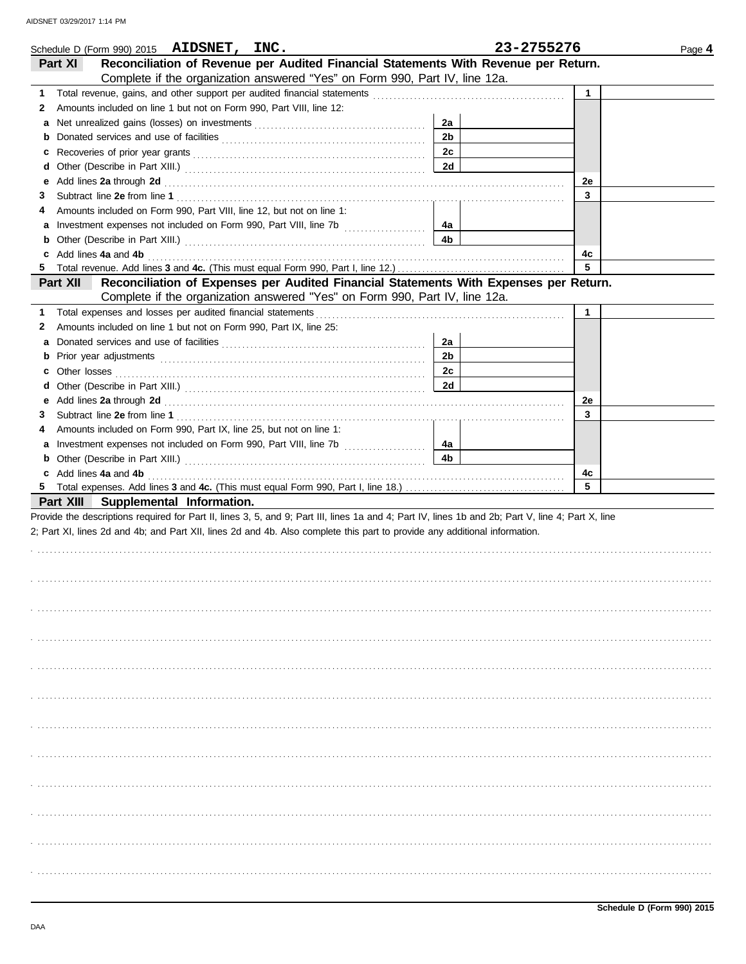|          | Schedule D (Form 990) 2015 AIDSNET, INC.                                                                                                           |                      | 23-2755276  | Page 4 |
|----------|----------------------------------------------------------------------------------------------------------------------------------------------------|----------------------|-------------|--------|
| Part XI  | Reconciliation of Revenue per Audited Financial Statements With Revenue per Return.                                                                |                      |             |        |
|          | Complete if the organization answered "Yes" on Form 990, Part IV, line 12a.                                                                        |                      |             |        |
|          |                                                                                                                                                    |                      | 1           |        |
| 2        | Amounts included on line 1 but not on Form 990, Part VIII, line 12:                                                                                |                      |             |        |
|          |                                                                                                                                                    | 2a                   |             |        |
| b        |                                                                                                                                                    | 2 <sub>b</sub>       |             |        |
| c        |                                                                                                                                                    | 2c                   |             |        |
| d        |                                                                                                                                                    | 2d                   |             |        |
| е        |                                                                                                                                                    |                      | 2e          |        |
| 3        |                                                                                                                                                    |                      | 3           |        |
| 4        | Amounts included on Form 990, Part VIII, line 12, but not on line 1:                                                                               |                      |             |        |
|          | a Investment expenses not included on Form 990, Part VIII, line 7b                                                                                 | 4а                   |             |        |
|          |                                                                                                                                                    | 4b                   |             |        |
|          | c Add lines 4a and 4b                                                                                                                              |                      | 4c          |        |
|          |                                                                                                                                                    |                      | 5           |        |
| Part XII | Reconciliation of Expenses per Audited Financial Statements With Expenses per Return.                                                              |                      |             |        |
|          | Complete if the organization answered "Yes" on Form 990, Part IV, line 12a.                                                                        |                      |             |        |
|          | 1 Total expenses and losses per audited financial statements                                                                                       |                      | $\mathbf 1$ |        |
| 2        | Amounts included on line 1 but not on Form 990, Part IX, line 25:                                                                                  |                      |             |        |
|          |                                                                                                                                                    | 2a<br>2 <sub>b</sub> |             |        |
|          |                                                                                                                                                    | 2c                   |             |        |
| c        |                                                                                                                                                    | 2d                   |             |        |
| d        |                                                                                                                                                    |                      | 2e          |        |
| 3        |                                                                                                                                                    |                      | 3           |        |
| 4        | Amounts included on Form 990, Part IX, line 25, but not on line 1:                                                                                 |                      |             |        |
|          | a Investment expenses not included on Form 990, Part VIII, line 7b                                                                                 | 4а                   |             |        |
|          |                                                                                                                                                    | 4b                   |             |        |
|          | c Add lines 4a and 4b                                                                                                                              |                      | 4c          |        |
|          |                                                                                                                                                    |                      | 5           |        |
|          | Part XIII Supplemental Information.                                                                                                                |                      |             |        |
|          | Provide the descriptions required for Part II, lines 3, 5, and 9; Part III, lines 1a and 4; Part IV, lines 1b and 2b; Part V, line 4; Part X, line |                      |             |        |
|          | 2; Part XI, lines 2d and 4b; and Part XII, lines 2d and 4b. Also complete this part to provide any additional information.                         |                      |             |        |
|          |                                                                                                                                                    |                      |             |        |
|          |                                                                                                                                                    |                      |             |        |
|          |                                                                                                                                                    |                      |             |        |
|          |                                                                                                                                                    |                      |             |        |
|          |                                                                                                                                                    |                      |             |        |
|          |                                                                                                                                                    |                      |             |        |
|          |                                                                                                                                                    |                      |             |        |
|          |                                                                                                                                                    |                      |             |        |
|          |                                                                                                                                                    |                      |             |        |
|          |                                                                                                                                                    |                      |             |        |
|          |                                                                                                                                                    |                      |             |        |
|          |                                                                                                                                                    |                      |             |        |
|          |                                                                                                                                                    |                      |             |        |
|          |                                                                                                                                                    |                      |             |        |
|          |                                                                                                                                                    |                      |             |        |
|          |                                                                                                                                                    |                      |             |        |
|          |                                                                                                                                                    |                      |             |        |
|          |                                                                                                                                                    |                      |             |        |
|          |                                                                                                                                                    |                      |             |        |
|          |                                                                                                                                                    |                      |             |        |
|          |                                                                                                                                                    |                      |             |        |
|          |                                                                                                                                                    |                      |             |        |
|          |                                                                                                                                                    |                      |             |        |
|          |                                                                                                                                                    |                      |             |        |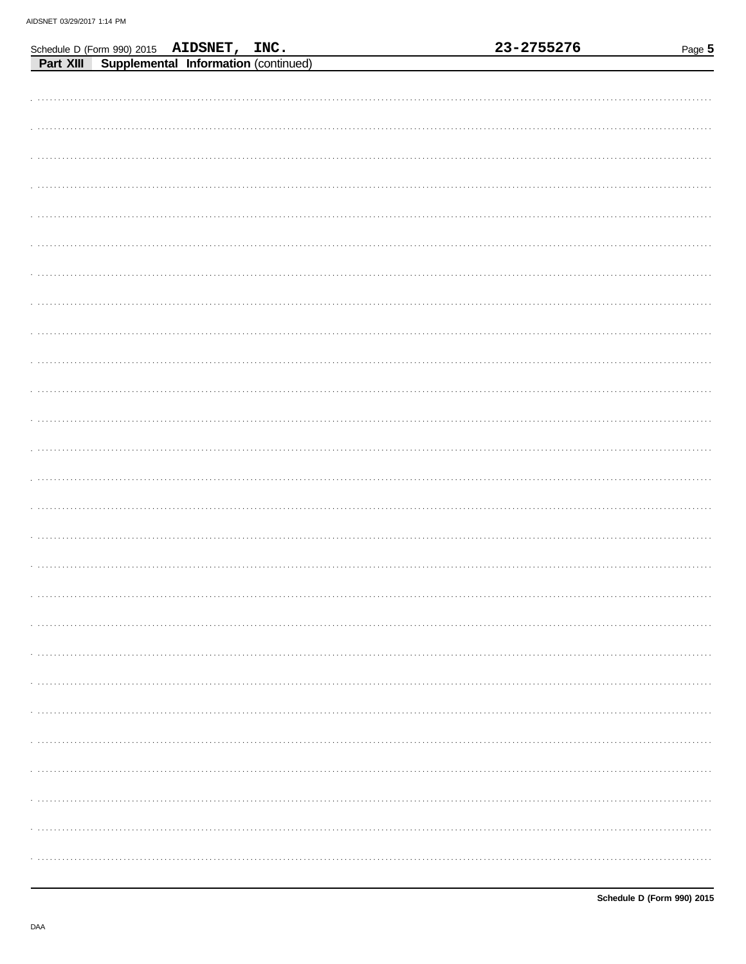|  |                                                                                            |  | 23-2755276 | Page 5 |
|--|--------------------------------------------------------------------------------------------|--|------------|--------|
|  | Schedule D (Form 990) 2015 AIDSNET, INC.<br>Part XIII Supplemental Information (continued) |  |            |        |
|  |                                                                                            |  |            |        |
|  |                                                                                            |  |            |        |
|  |                                                                                            |  |            |        |
|  |                                                                                            |  |            |        |
|  |                                                                                            |  |            |        |
|  |                                                                                            |  |            |        |
|  |                                                                                            |  |            |        |
|  |                                                                                            |  |            |        |
|  |                                                                                            |  |            |        |
|  |                                                                                            |  |            |        |
|  |                                                                                            |  |            |        |
|  |                                                                                            |  |            |        |
|  |                                                                                            |  |            |        |
|  |                                                                                            |  |            |        |
|  |                                                                                            |  |            |        |
|  |                                                                                            |  |            |        |
|  |                                                                                            |  |            |        |
|  |                                                                                            |  |            |        |
|  |                                                                                            |  |            |        |
|  |                                                                                            |  |            |        |
|  |                                                                                            |  |            |        |
|  |                                                                                            |  |            |        |
|  |                                                                                            |  |            |        |
|  |                                                                                            |  |            |        |
|  |                                                                                            |  |            |        |
|  |                                                                                            |  |            |        |
|  |                                                                                            |  |            |        |
|  |                                                                                            |  |            |        |
|  |                                                                                            |  |            |        |
|  |                                                                                            |  |            |        |
|  |                                                                                            |  |            |        |
|  |                                                                                            |  |            |        |
|  |                                                                                            |  |            |        |
|  |                                                                                            |  |            |        |
|  |                                                                                            |  |            |        |
|  |                                                                                            |  |            |        |
|  |                                                                                            |  |            |        |
|  |                                                                                            |  |            |        |
|  |                                                                                            |  |            |        |
|  |                                                                                            |  |            |        |
|  |                                                                                            |  |            |        |
|  |                                                                                            |  |            |        |
|  |                                                                                            |  |            |        |
|  |                                                                                            |  |            |        |
|  |                                                                                            |  |            |        |
|  |                                                                                            |  |            |        |
|  |                                                                                            |  |            |        |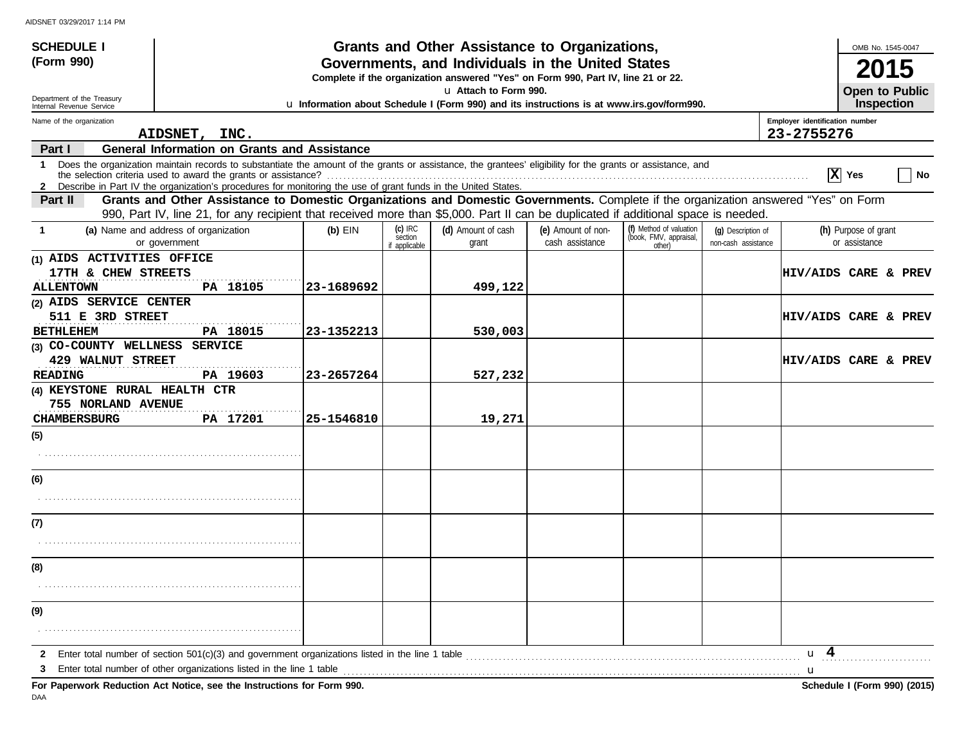| <b>SCHEDULE I</b>                                      |                                                                                                                                                                                                                                                                           |            |                                       | Grants and Other Assistance to Organizations, |                                       |                                                             |                                           |                                | OMB No. 1545-0047                     |
|--------------------------------------------------------|---------------------------------------------------------------------------------------------------------------------------------------------------------------------------------------------------------------------------------------------------------------------------|------------|---------------------------------------|-----------------------------------------------|---------------------------------------|-------------------------------------------------------------|-------------------------------------------|--------------------------------|---------------------------------------|
| (Form 990)                                             | Governments, and Individuals in the United States<br>Complete if the organization answered "Yes" on Form 990, Part IV, line 21 or 22.                                                                                                                                     |            |                                       |                                               |                                       |                                                             |                                           |                                | 2015                                  |
| Department of the Treasury<br>Internal Revenue Service | u Attach to Form 990.<br>Open to Public<br>u Information about Schedule I (Form 990) and its instructions is at www.irs.gov/form990.                                                                                                                                      |            |                                       |                                               |                                       |                                                             |                                           |                                |                                       |
| Name of the organization                               |                                                                                                                                                                                                                                                                           |            |                                       |                                               |                                       |                                                             |                                           | Employer identification number |                                       |
| Part I                                                 | AIDSNET, INC.<br><b>General Information on Grants and Assistance</b>                                                                                                                                                                                                      |            |                                       |                                               |                                       |                                                             |                                           | 23-2755276                     |                                       |
| 1                                                      | Does the organization maintain records to substantiate the amount of the grants or assistance, the grantees' eligibility for the grants or assistance, and                                                                                                                |            |                                       |                                               |                                       |                                                             |                                           | $ \mathbf{x} $                 | No<br>Yes                             |
|                                                        | 2 Describe in Part IV the organization's procedures for monitoring the use of grant funds in the United States.                                                                                                                                                           |            |                                       |                                               |                                       |                                                             |                                           |                                |                                       |
| Part II                                                | Grants and Other Assistance to Domestic Organizations and Domestic Governments. Complete if the organization answered "Yes" on Form<br>990, Part IV, line 21, for any recipient that received more than \$5,000. Part II can be duplicated if additional space is needed. |            |                                       |                                               |                                       |                                                             |                                           |                                |                                       |
| -1                                                     | (a) Name and address of organization<br>or government                                                                                                                                                                                                                     | $(b)$ EIN  | $(c)$ IRC<br>section<br>if applicable | (d) Amount of cash<br>grant                   | (e) Amount of non-<br>cash assistance | (f) Method of valuation<br>(book, FMV, appraisal,<br>other) | (g) Description of<br>non-cash assistance |                                | (h) Purpose of grant<br>or assistance |
| (1) AIDS ACTIVITIES OFFICE<br>17TH & CHEW STREETS      |                                                                                                                                                                                                                                                                           |            |                                       |                                               |                                       |                                                             |                                           |                                | <b>HIV/AIDS CARE &amp; PREV</b>       |
| <b>ALLENTOWN</b><br>(2) AIDS SERVICE CENTER            | PA 18105                                                                                                                                                                                                                                                                  | 23-1689692 |                                       | 499,122                                       |                                       |                                                             |                                           |                                |                                       |
| 511 E 3RD STREET                                       |                                                                                                                                                                                                                                                                           |            |                                       |                                               |                                       |                                                             |                                           |                                | <b>HIV/AIDS CARE &amp; PREV</b>       |
| <b>BETHLEHEM</b>                                       | PA 18015                                                                                                                                                                                                                                                                  | 23-1352213 |                                       | 530,003                                       |                                       |                                                             |                                           |                                |                                       |
| (3) CO-COUNTY WELLNESS SERVICE                         |                                                                                                                                                                                                                                                                           |            |                                       |                                               |                                       |                                                             |                                           |                                |                                       |
| <b>429 WALNUT STREET</b>                               |                                                                                                                                                                                                                                                                           |            |                                       |                                               |                                       |                                                             |                                           |                                | <b>HIV/AIDS CARE &amp; PREV</b>       |
| <b>READING</b><br>(4) KEYSTONE RURAL HEALTH CTR        | PA 19603                                                                                                                                                                                                                                                                  | 23-2657264 |                                       | 527,232                                       |                                       |                                                             |                                           |                                |                                       |
| 755 NORLAND AVENUE                                     |                                                                                                                                                                                                                                                                           |            |                                       |                                               |                                       |                                                             |                                           |                                |                                       |
| <b>CHAMBERSBURG</b>                                    | PA 17201                                                                                                                                                                                                                                                                  | 25-1546810 |                                       | 19,271                                        |                                       |                                                             |                                           |                                |                                       |
| (5)                                                    |                                                                                                                                                                                                                                                                           |            |                                       |                                               |                                       |                                                             |                                           |                                |                                       |
|                                                        |                                                                                                                                                                                                                                                                           |            |                                       |                                               |                                       |                                                             |                                           |                                |                                       |
| (6)                                                    |                                                                                                                                                                                                                                                                           |            |                                       |                                               |                                       |                                                             |                                           |                                |                                       |
|                                                        |                                                                                                                                                                                                                                                                           |            |                                       |                                               |                                       |                                                             |                                           |                                |                                       |
| (7)                                                    |                                                                                                                                                                                                                                                                           |            |                                       |                                               |                                       |                                                             |                                           |                                |                                       |
|                                                        |                                                                                                                                                                                                                                                                           |            |                                       |                                               |                                       |                                                             |                                           |                                |                                       |
| (8)                                                    |                                                                                                                                                                                                                                                                           |            |                                       |                                               |                                       |                                                             |                                           |                                |                                       |
|                                                        |                                                                                                                                                                                                                                                                           |            |                                       |                                               |                                       |                                                             |                                           |                                |                                       |
| (9)                                                    |                                                                                                                                                                                                                                                                           |            |                                       |                                               |                                       |                                                             |                                           |                                |                                       |
|                                                        |                                                                                                                                                                                                                                                                           |            |                                       |                                               |                                       |                                                             |                                           |                                |                                       |
| 2                                                      | Enter total number of section $501(c)(3)$ and government organizations listed in the line 1 table                                                                                                                                                                         |            |                                       |                                               |                                       |                                                             |                                           | $u \quad 4$                    |                                       |
| 3                                                      | Enter total number of other organizations listed in the line 1 table<br>For Paperwork Reduction Act Notice, see the Instructions for Form 990.                                                                                                                            |            |                                       |                                               |                                       |                                                             |                                           | u                              | Schedule I (Form 990) (2015)          |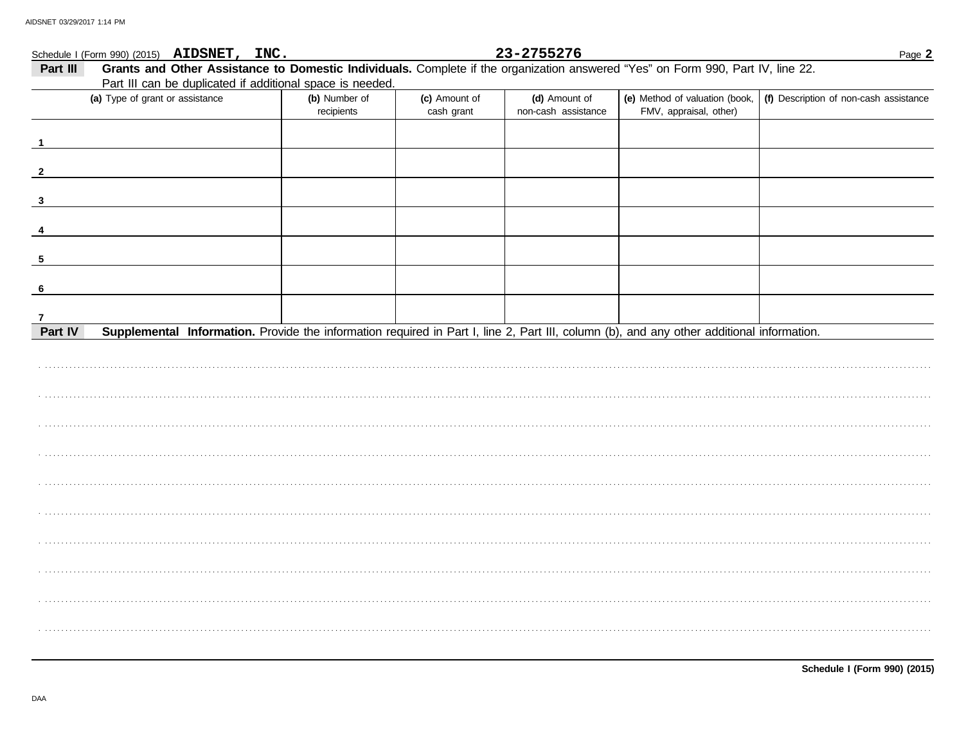|                | Schedule I (Form 990) (2015) AIDSNET, INC.                                                                                                |                             |                             | 23-2755276                           |                                                          | Page 2                                 |
|----------------|-------------------------------------------------------------------------------------------------------------------------------------------|-----------------------------|-----------------------------|--------------------------------------|----------------------------------------------------------|----------------------------------------|
| Part III       | Grants and Other Assistance to Domestic Individuals. Complete if the organization answered "Yes" on Form 990, Part IV, line 22.           |                             |                             |                                      |                                                          |                                        |
|                | Part III can be duplicated if additional space is needed.                                                                                 |                             |                             |                                      |                                                          |                                        |
|                | (a) Type of grant or assistance                                                                                                           | (b) Number of<br>recipients | (c) Amount of<br>cash grant | (d) Amount of<br>non-cash assistance | (e) Method of valuation (book,<br>FMV, appraisal, other) | (f) Description of non-cash assistance |
|                |                                                                                                                                           |                             |                             |                                      |                                                          |                                        |
| $\overline{2}$ |                                                                                                                                           |                             |                             |                                      |                                                          |                                        |
| $\mathbf{3}$   |                                                                                                                                           |                             |                             |                                      |                                                          |                                        |
|                |                                                                                                                                           |                             |                             |                                      |                                                          |                                        |
| 5              |                                                                                                                                           |                             |                             |                                      |                                                          |                                        |
| 6              |                                                                                                                                           |                             |                             |                                      |                                                          |                                        |
| 7              |                                                                                                                                           |                             |                             |                                      |                                                          |                                        |
| Part IV        | Supplemental Information. Provide the information required in Part I, line 2, Part III, column (b), and any other additional information. |                             |                             |                                      |                                                          |                                        |
|                |                                                                                                                                           |                             |                             |                                      |                                                          |                                        |
|                |                                                                                                                                           |                             |                             |                                      |                                                          |                                        |
|                |                                                                                                                                           |                             |                             |                                      |                                                          |                                        |
|                |                                                                                                                                           |                             |                             |                                      |                                                          |                                        |
|                |                                                                                                                                           |                             |                             |                                      |                                                          |                                        |
|                |                                                                                                                                           |                             |                             |                                      |                                                          |                                        |
|                |                                                                                                                                           |                             |                             |                                      |                                                          |                                        |
|                |                                                                                                                                           |                             |                             |                                      |                                                          |                                        |
|                |                                                                                                                                           |                             |                             |                                      |                                                          |                                        |
|                |                                                                                                                                           |                             |                             |                                      |                                                          |                                        |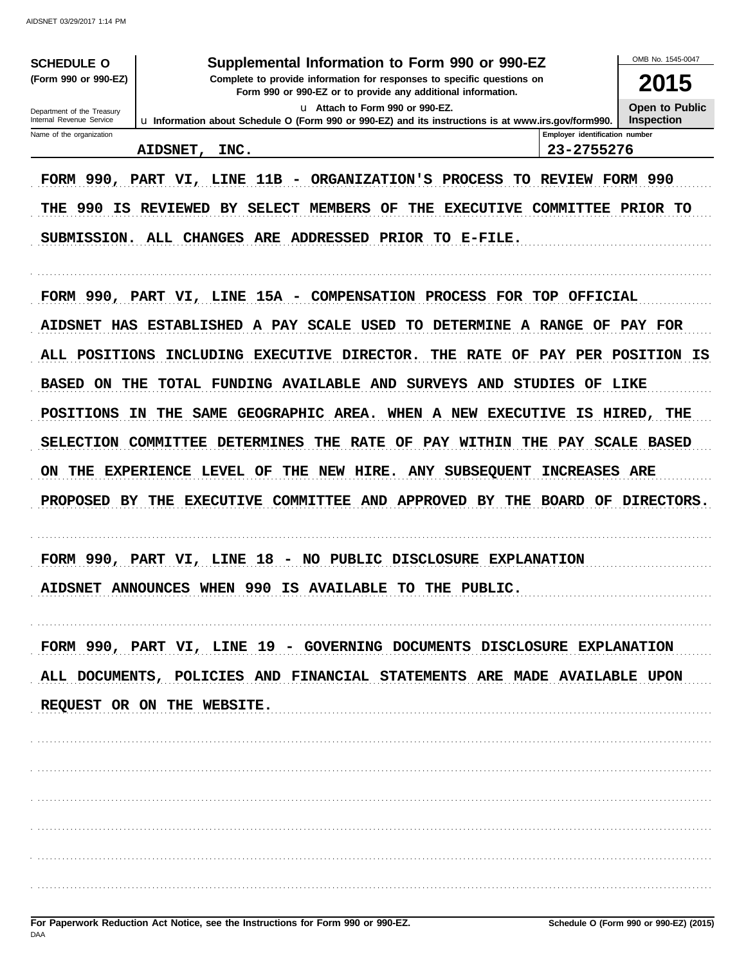| <b>SCHEDULE O</b><br>(Form 990 or 990-EZ)              | Supplemental Information to Form 990 or 990-EZ<br>Complete to provide information for responses to specific questions on               |                                              | OMB No. 1545-0047<br>2015           |
|--------------------------------------------------------|----------------------------------------------------------------------------------------------------------------------------------------|----------------------------------------------|-------------------------------------|
|                                                        | Form 990 or 990-EZ or to provide any additional information.                                                                           |                                              |                                     |
| Department of the Treasury<br>Internal Revenue Service | u Attach to Form 990 or 990-EZ.<br>u Information about Schedule O (Form 990 or 990-EZ) and its instructions is at www.irs.gov/form990. |                                              | Open to Public<br><b>Inspection</b> |
| Name of the organization                               | AIDSNET,<br>INC.                                                                                                                       | Employer identification number<br>23-2755276 |                                     |
|                                                        | FORM 990, PART VI, LINE 11B - ORGANIZATION'S PROCESS TO REVIEW FORM 990                                                                |                                              |                                     |
| THE                                                    | 990 IS REVIEWED BY SELECT MEMBERS OF<br>EXECUTIVE COMMITTEE PRIOR TO<br>THE                                                            |                                              |                                     |
|                                                        | SUBMISSION. ALL CHANGES ARE<br>ADDRESSED<br>PRIOR TO E-FILE.                                                                           |                                              |                                     |
|                                                        | FORM 990, PART VI, LINE 15A - COMPENSATION PROCESS FOR TOP OFFICIAL                                                                    |                                              |                                     |
|                                                        | AIDSNET HAS ESTABLISHED A PAY SCALE USED TO DETERMINE A RANGE OF PAY FOR                                                               |                                              |                                     |
| ALL POSITIONS                                          | INCLUDING EXECUTIVE DIRECTOR.<br>THE RATE OF PAY PER POSITION IS                                                                       |                                              |                                     |
| <b>BASED</b><br>ON<br>THE                              | TOTAL FUNDING AVAILABLE AND SURVEYS AND STUDIES                                                                                        | OF LIKE                                      |                                     |
| <b>POSITIONS</b>                                       | SAME GEOGRAPHIC AREA. WHEN A NEW EXECUTIVE<br>ΙN<br>THE                                                                                |                                              | IS HIRED, THE                       |
| <b>SELECTION</b>                                       | <b>COMMITTEE</b><br><b>DETERMINES</b><br>THE RATE OF PAY WITHIN THE PAY SCALE BASED                                                    |                                              |                                     |
| THE<br>ON                                              | NEW HIRE.<br><b>ANY SUBSEQUENT</b><br><b>EXPERIENCE LEVEL OF</b><br>THE                                                                | <b>INCREASES ARE</b>                         |                                     |
|                                                        | PROPOSED BY THE EXECUTIVE COMMITTEE AND APPROVED BY THE                                                                                |                                              | BOARD OF DIRECTORS.                 |
|                                                        | FORM 990, PART VI, LINE 18 - NO PUBLIC DISCLOSURE EXPLANATION                                                                          |                                              |                                     |
|                                                        | AIDSNET ANNOUNCES WHEN 990 IS AVAILABLE TO THE PUBLIC.                                                                                 |                                              |                                     |
|                                                        | FORM 990, PART VI, LINE 19 - GOVERNING DOCUMENTS DISCLOSURE EXPLANATION                                                                |                                              |                                     |
|                                                        | ALL DOCUMENTS, POLICIES AND FINANCIAL STATEMENTS ARE MADE AVAILABLE UPON                                                               |                                              |                                     |
|                                                        | REQUEST OR ON THE WEBSITE.                                                                                                             |                                              |                                     |
|                                                        |                                                                                                                                        |                                              |                                     |
|                                                        |                                                                                                                                        |                                              |                                     |
|                                                        |                                                                                                                                        |                                              |                                     |
|                                                        |                                                                                                                                        |                                              |                                     |
|                                                        |                                                                                                                                        |                                              |                                     |
|                                                        |                                                                                                                                        |                                              |                                     |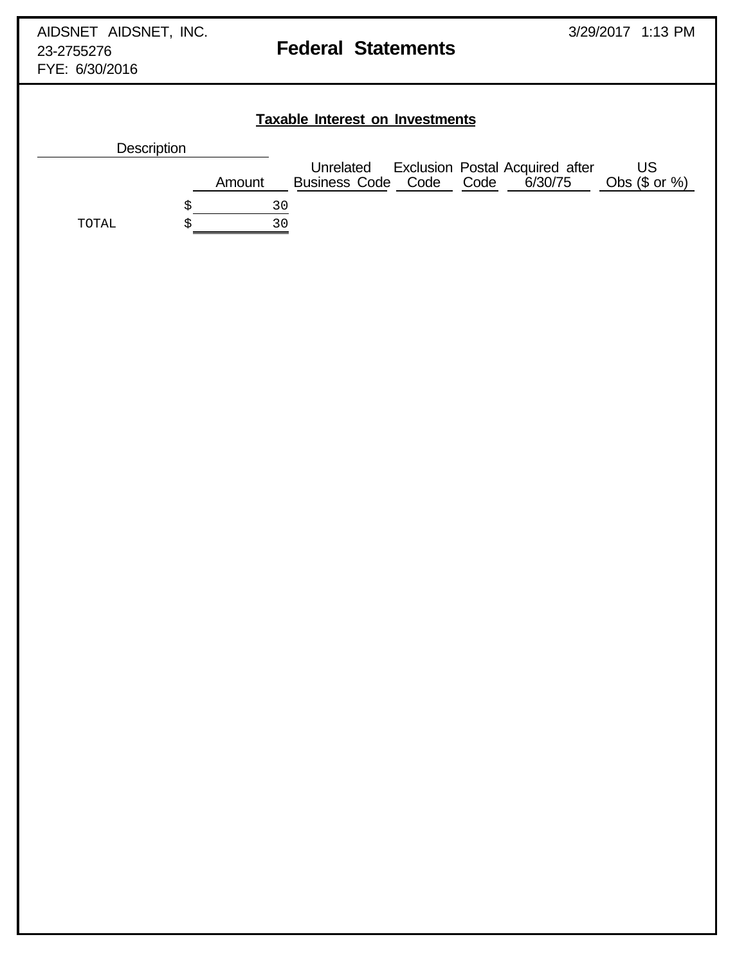FYE: 6/30/2016

# **Taxable Interest on Investments**

| <b>Description</b> |        |                                      |  |                                                   |                        |
|--------------------|--------|--------------------------------------|--|---------------------------------------------------|------------------------|
|                    | Amount | Unrelated<br>Business Code Code Code |  | <b>Exclusion Postal Acquired after</b><br>6/30/75 | US<br>Obs $(\$$ or $%$ |
|                    | 30     |                                      |  |                                                   |                        |
| TOTAL              | 30     |                                      |  |                                                   |                        |